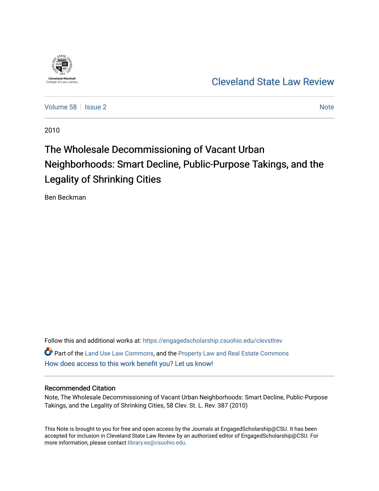

# [Cleveland State Law Review](https://engagedscholarship.csuohio.edu/clevstlrev)

[Volume 58](https://engagedscholarship.csuohio.edu/clevstlrev/vol58) | [Issue 2](https://engagedscholarship.csuohio.edu/clevstlrev/vol58/iss2) [Note](https://engagedscholarship.csuohio.edu/clevstlrev/vol58/iss2/7) 2 Note 2 Note 2 Note 2 Note 2 Note 2 Note 2 Note 2 Note 2 Note 2 Note 2 Note 2 Note 2 Note 2 Note 2 Note 2 Note 2 Note 2 Note 2 Note 2 Note 2 Note 2 Note 2 Note 2 Note 2 Note 2 Note 2 Note 2 Note 2

2010

# The Wholesale Decommissioning of Vacant Urban Neighborhoods: Smart Decline, Public-Purpose Takings, and the Legality of Shrinking Cities

Ben Beckman

Follow this and additional works at: [https://engagedscholarship.csuohio.edu/clevstlrev](https://engagedscholarship.csuohio.edu/clevstlrev?utm_source=engagedscholarship.csuohio.edu%2Fclevstlrev%2Fvol58%2Fiss2%2F7&utm_medium=PDF&utm_campaign=PDFCoverPages) Part of the [Land Use Law Commons](http://network.bepress.com/hgg/discipline/852?utm_source=engagedscholarship.csuohio.edu%2Fclevstlrev%2Fvol58%2Fiss2%2F7&utm_medium=PDF&utm_campaign=PDFCoverPages), and the [Property Law and Real Estate Commons](http://network.bepress.com/hgg/discipline/897?utm_source=engagedscholarship.csuohio.edu%2Fclevstlrev%2Fvol58%2Fiss2%2F7&utm_medium=PDF&utm_campaign=PDFCoverPages)  [How does access to this work benefit you? Let us know!](http://library.csuohio.edu/engaged/)

# Recommended Citation

Note, The Wholesale Decommissioning of Vacant Urban Neighborhoods: Smart Decline, Public-Purpose Takings, and the Legality of Shrinking Cities, 58 Clev. St. L. Rev. 387 (2010)

This Note is brought to you for free and open access by the Journals at EngagedScholarship@CSU. It has been accepted for inclusion in Cleveland State Law Review by an authorized editor of EngagedScholarship@CSU. For more information, please contact [library.es@csuohio.edu](mailto:library.es@csuohio.edu).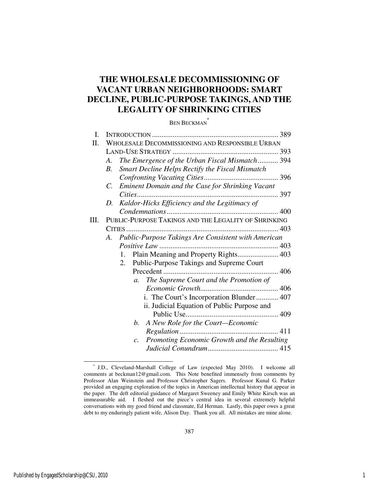# **THE WHOLESALE DECOMMISSIONING OF VACANT URBAN NEIGHBORHOODS: SMART DECLINE, PUBLIC-PURPOSE TAKINGS, AND THE LEGALITY OF SHRINKING CITIES**

BEN BECKMAN \*

| I. |                                                                 | 389 |
|----|-----------------------------------------------------------------|-----|
| П. | WHOLESALE DECOMMISSIONING AND RESPONSIBLE URBAN                 |     |
|    |                                                                 |     |
|    | The Emergence of the Urban Fiscal Mismatch 394<br>A.            |     |
|    | Smart Decline Helps Rectify the Fiscal Mismatch<br>B.           |     |
|    |                                                                 |     |
|    | Eminent Domain and the Case for Shrinking Vacant<br>$C_{\cdot}$ |     |
|    |                                                                 |     |
|    | Kaldor-Hicks Efficiency and the Legitimacy of<br>D.             |     |
|    |                                                                 |     |
| Ш. | PUBLIC-PURPOSE TAKINGS AND THE LEGALITY OF SHRINKING            |     |
|    |                                                                 |     |
|    | Public-Purpose Takings Are Consistent with American<br>A.       |     |
|    |                                                                 |     |
|    | Plain Meaning and Property Rights 403<br>$1_{-}$                |     |
|    | Public-Purpose Takings and Supreme Court<br>2.                  |     |
|    |                                                                 |     |
|    | The Supreme Court and the Promotion of<br>$a_{\cdot}$           |     |
|    |                                                                 |     |
|    |                                                                 |     |
|    | ii. Judicial Equation of Public Purpose and                     |     |
|    |                                                                 |     |
|    | A New Role for the Court-Economic<br>b.                         |     |
|    |                                                                 |     |
|    | c. Promoting Economic Growth and the Resulting                  |     |
|    |                                                                 |     |

-

 <sup>\*</sup> J.D., Cleveland-Marshall College of Law (expected May 2010). I welcome all comments at beckman12@gmail.com. This Note benefited immensely from comments by Professor Alan Weinstein and Professor Christopher Sagers. Professor Kunal G. Parker provided an engaging exploration of the topics in American intellectual history that appear in the paper. The deft editorial guidance of Margaret Sweeney and Emily White Kirsch was an immeasurable aid. I fleshed out the piece's central idea in several extremely helpful conversations with my good friend and classmate, Ed Herman. Lastly, this paper owes a great debt to my enduringly patient wife, Alison Day. Thank you all. All mistakes are mine alone.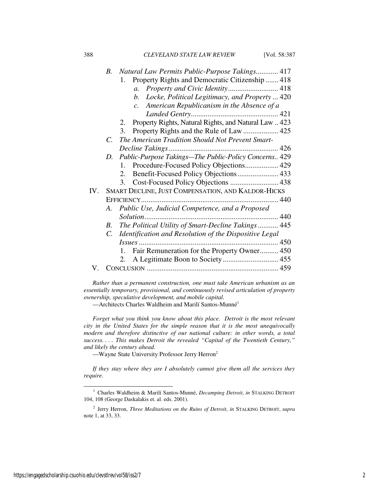388 *CLEVELAND STATE LAW REVIEW* [Vol. 58:387

| Natural Law Permits Public-Purpose Takings 417         |                                                                                                                                                                                                                                                                                                                                                                                  |
|--------------------------------------------------------|----------------------------------------------------------------------------------------------------------------------------------------------------------------------------------------------------------------------------------------------------------------------------------------------------------------------------------------------------------------------------------|
| Property Rights and Democratic Citizenship  418<br>1.  |                                                                                                                                                                                                                                                                                                                                                                                  |
| Property and Civic Identity 418<br>$a_{\cdot}$         |                                                                                                                                                                                                                                                                                                                                                                                  |
| b.                                                     |                                                                                                                                                                                                                                                                                                                                                                                  |
| American Republicanism in the Absence of a<br>c.       |                                                                                                                                                                                                                                                                                                                                                                                  |
|                                                        |                                                                                                                                                                                                                                                                                                                                                                                  |
|                                                        |                                                                                                                                                                                                                                                                                                                                                                                  |
| 3.                                                     |                                                                                                                                                                                                                                                                                                                                                                                  |
| The American Tradition Should Not Prevent Smart-       |                                                                                                                                                                                                                                                                                                                                                                                  |
|                                                        |                                                                                                                                                                                                                                                                                                                                                                                  |
| Public-Purpose Takings-The Public-Policy Concerns 429  |                                                                                                                                                                                                                                                                                                                                                                                  |
| 1.                                                     |                                                                                                                                                                                                                                                                                                                                                                                  |
| 2.                                                     |                                                                                                                                                                                                                                                                                                                                                                                  |
| 3.                                                     |                                                                                                                                                                                                                                                                                                                                                                                  |
|                                                        |                                                                                                                                                                                                                                                                                                                                                                                  |
|                                                        |                                                                                                                                                                                                                                                                                                                                                                                  |
| Public Use, Judicial Competence, and a Proposed        |                                                                                                                                                                                                                                                                                                                                                                                  |
|                                                        |                                                                                                                                                                                                                                                                                                                                                                                  |
|                                                        |                                                                                                                                                                                                                                                                                                                                                                                  |
| Identification and Resolution of the Dispositive Legal |                                                                                                                                                                                                                                                                                                                                                                                  |
|                                                        |                                                                                                                                                                                                                                                                                                                                                                                  |
| $1_{-}$                                                |                                                                                                                                                                                                                                                                                                                                                                                  |
| 2.                                                     |                                                                                                                                                                                                                                                                                                                                                                                  |
|                                                        |                                                                                                                                                                                                                                                                                                                                                                                  |
|                                                        | B.<br>Locke, Political Legitimacy, and Property  420<br>2. Property Rights, Natural Rights, and Natural Law  423<br>$C_{\cdot}$<br>D.<br>Procedure-Focused Policy Objections 429<br>SMART DECLINE, JUST COMPENSATION, AND KALDOR-HICKS<br>A.<br>The Political Utility of Smart-Decline Takings 445<br>$B_{\cdot}$<br>$C_{\cdot}$<br>Fair Remuneration for the Property Owner 450 |

*Rather than a permanent construction, one must take American urbanism as an essentially temporary, provisional, and continuously revised articulation of property ownership, speculative development, and mobile capital.* 

—Architects Charles Waldheim and Marilí Santos-Munné<sup>1</sup>

*Forget what you think you know about this place. Detroit is the most relevant city in the United States for the simple reason that it is the most unequivocally modern and therefore distinctive of our national culture: in other words, a total success. . . . This makes Detroit the revealed "Capital of the Twentieth Century," and likely the century ahead.* 

—Wayne State University Professor Jerry Herron<sup>2</sup>

*If they stay where they are I absolutely cannot give them all the services they require.* 

l

<sup>&</sup>lt;sup>1</sup> Charles Waldheim & Marilí Santos-Munné, *Decamping Detroit*, *in* STALKING DETROIT 104, 108 (George Daskalakis et. al. eds. 2001).

<sup>2</sup> Jerry Herron, *Three Meditations on the Ruins of Detroit*, *in* STALKING DETROIT, *supra*  note 1, at 33, 33.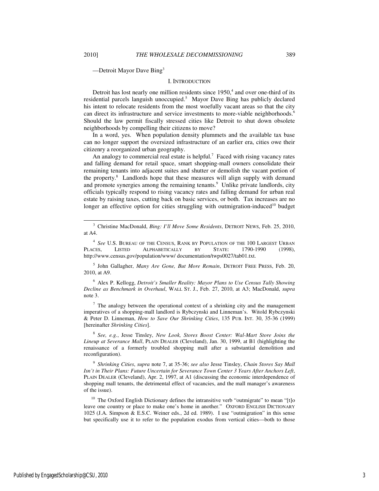-

—Detroit Mayor Dave Bing<sup>3</sup>

#### I. INTRODUCTION

Detroit has lost nearly one million residents since  $1950<sup>4</sup>$  and over one-third of its residential parcels languish unoccupied.<sup>5</sup> Mayor Dave Bing has publicly declared his intent to relocate residents from the most woefully vacant areas so that the city can direct its infrastructure and service investments to more-viable neighborhoods.<sup>6</sup> Should the law permit fiscally stressed cities like Detroit to shut down obsolete neighborhoods by compelling their citizens to move?

In a word, yes. When population density plummets and the available tax base can no longer support the oversized infrastructure of an earlier era, cities owe their citizenry a reorganized urban geography.

An analogy to commercial real estate is helpful.<sup>7</sup> Faced with rising vacancy rates and falling demand for retail space, smart shopping-mall owners consolidate their remaining tenants into adjacent suites and shutter or demolish the vacant portion of the property.<sup>8</sup> Landlords hope that these measures will align supply with demand and promote synergies among the remaining tenants.<sup>9</sup> Unlike private landlords, city officials typically respond to rising vacancy rates and falling demand for urban real estate by raising taxes, cutting back on basic services, or both. Tax increases are no longer an effective option for cities struggling with outmigration-induced<sup>10</sup> budget

4 *See* U.S. BUREAU OF THE CENSUS, RANK BY POPULATION OF THE 100 LARGEST URBAN PLACES, LISTED ALPHABETICALLY BY STATE: 1790-1990 (1998), http://www.census.gov/population/www/ documentation/twps0027/tab01.txt.

5 John Gallagher, *Many Are Gone, But More Remain*, DETROIT FREE PRESS, Feb. 20, 2010, at A9.

6 Alex P. Kellogg, *Detroit's Smaller Reality: Mayor Plans to Use Census Tally Showing Decline as Benchmark in Overhaul*, WALL ST. J., Feb. 27, 2010, at A3; MacDonald, *supra*  note 3.

 $7$  The analogy between the operational context of a shrinking city and the management imperatives of a shopping-mall landlord is Rybczynski and Linneman's. Witold Rybczynski & Peter D. Linneman, *How to Save Our Shrinking Cities*, 135 PUB. INT. 30, 35-36 (1999) [hereinafter *Shrinking Cities*].

8 *See, e.g.*, Jesse Tinsley, *New Look, Stores Boost Center: Wal-Mart Store Joins the Lineup at Severance Mall*, PLAIN DEALER (Cleveland), Jan. 30, 1999, at B1 (highlighting the renaissance of a formerly troubled shopping mall after a substantial demolition and reconfiguration).

9 *Shrinking Cities*, *supra* note 7, at 35-36; *see also* Jesse Tinsley, *Chain Stores Say Mall Isn't in Their Plans: Future Uncertain for Severance Town Center 3 Years After Anchors Left*, PLAIN DEALER (Cleveland), Apr. 2, 1997, at A1 (discussing the economic interdependence of shopping mall tenants, the detrimental effect of vacancies, and the mall manager's awareness of the issue).

 $10$  The Oxford English Dictionary defines the intransitive verb "outmigrate" to mean "[t]o leave one country or place to make one's home in another." OXFORD ENGLISH DICTIONARY 1025 (J.A. Simpson & E.S.C. Weiner eds., 2d ed. 1989). I use "outmigration" in this sense but specifically use it to refer to the population exodus from vertical cities—both to those

<sup>3</sup> Christine MacDonald, *Bing: I'll Move Some Residents*, DETROIT NEWS, Feb. 25, 2010, at A4.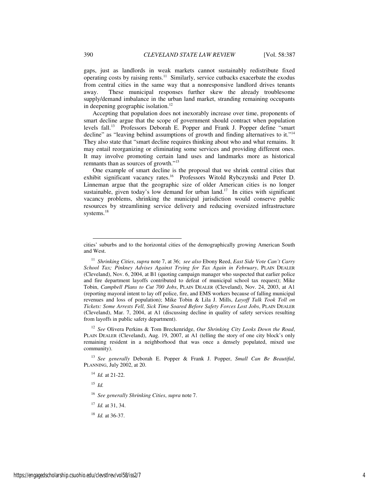gaps, just as landlords in weak markets cannot sustainably redistribute fixed operating costs by raising rents.<sup>11</sup> Similarly, service cutbacks exacerbate the exodus from central cities in the same way that a nonresponsive landlord drives tenants away. These municipal responses further skew the already troublesome supply/demand imbalance in the urban land market, stranding remaining occupants in deepening geographic isolation.<sup>12</sup>

Accepting that population does not inexorably increase over time, proponents of smart decline argue that the scope of government should contract when population levels fall.<sup>13</sup> Professors Deborah E. Popper and Frank J. Popper define "smart decline" as "leaving behind assumptions of growth and finding alternatives to it."<sup>14</sup> They also state that "smart decline requires thinking about who and what remains. It may entail reorganizing or eliminating some services and providing different ones. It may involve promoting certain land uses and landmarks more as historical remnants than as sources of growth."<sup>15</sup>

One example of smart decline is the proposal that we shrink central cities that exhibit significant vacancy rates.<sup>16</sup> Professors Witold Rybczynski and Peter D. Linneman argue that the geographic size of older American cities is no longer sustainable, given today's low demand for urban land.<sup>17</sup> In cities with significant vacancy problems, shrinking the municipal jurisdiction would conserve public resources by streamlining service delivery and reducing oversized infrastructure systems.<sup>18</sup>

<sup>12</sup> *See* Olivera Perkins & Tom Breckenridge, *Our Shrinking City Looks Down the Road*, PLAIN DEALER (Cleveland), Aug. 19, 2007, at A1 (telling the story of one city block's only remaining resident in a neighborhood that was once a densely populated, mixed use community).

<sup>13</sup> *See generally* Deborah E. Popper & Frank J. Popper, *Small Can Be Beautiful*, PLANNING, July 2002, at 20.

 $15$  *Id.* 

-

cities' suburbs and to the horizontal cities of the demographically growing American South and West.

<sup>11</sup> *Shrinking Cities*, *supra* note 7, at 36; *see also* Ebony Reed, *East Side Vote Can't Carry School Tax; Pinkney Advises Against Trying for Tax Again in February*, PLAIN DEALER (Cleveland), Nov. 6, 2004, at B1 (quoting campaign manager who suspected that earlier police and fire department layoffs contributed to defeat of municipal school tax request); Mike Tobin, *Campbell Plans to Cut 700 Jobs*, PLAIN DEALER (Cleveland), Nov. 24, 2003, at A1 (reporting mayoral intent to lay off police, fire, and EMS workers because of falling municipal revenues and loss of population); Mike Tobin & Lila J. Mills, *Layoff Talk Took Toll on Tickets: Some Arrests Fell, Sick Time Soared Before Safety Forces Lost Jobs*, PLAIN DEALER (Cleveland), Mar. 7, 2004, at A1 (discussing decline in quality of safety services resulting from layoffs in public safety department).

<sup>14</sup> *Id.* at 21-22.

<sup>16</sup> *See generally Shrinking Cities*, *supra* note 7.

<sup>17</sup> *Id.* at 31, 34.

<sup>18</sup> *Id.* at 36-37.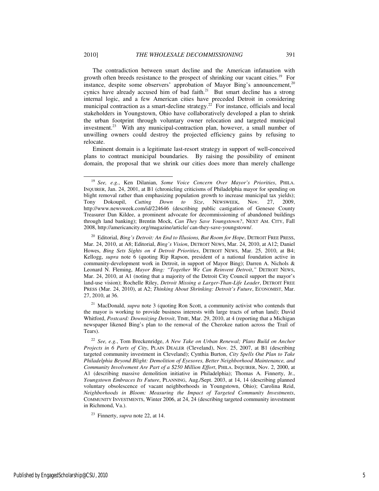The contradiction between smart decline and the American infatuation with growth often breeds resistance to the prospect of shrinking our vacant cities.<sup>19</sup> For instance, despite some observers' approbation of Mayor Bing's announcement,<sup>20</sup> cynics have already accused him of bad faith.<sup>21</sup> But smart decline has a strong internal logic, and a few American cities have preceded Detroit in considering municipal contraction as a smart-decline strategy.<sup>22</sup> For instance, officials and local stakeholders in Youngstown, Ohio have collaboratively developed a plan to shrink the urban footprint through voluntary owner relocation and targeted municipal investment.<sup>23</sup> With any municipal-contraction plan, however, a small number of unwilling owners could destroy the projected efficiency gains by refusing to relocate.

Eminent domain is a legitimate last-resort strategy in support of well-conceived plans to contract municipal boundaries. By raising the possibility of eminent domain, the proposal that we shrink our cities does more than merely challenge

<sup>21</sup> MacDonald, *supra* note 3 (quoting Ron Scott, a community activist who contends that the mayor is working to provide business interests with large tracts of urban land); David Whitford, *Postcard: Downsizing Detroit*, TIME, Mar. 29, 2010, at 4 (reporting that a Michigan newspaper likened Bing's plan to the removal of the Cherokee nation across the Trail of Tears).

j

<sup>19</sup> *See, e.g.*, Ken Dilanian, *Some Voice Concern Over Mayor's Priorities*, PHILA. INQUIRER, Jan. 24, 2001, at B1 (chronicling criticisms of Philadelphia mayor for spending on blight removal rather than emphasizing population growth to increase municipal tax yields); Tony Dokoupil, *Cutting Down to Size*, NEWSWEEK, Nov. 27, 2009, http://www.newsweek.com/id/224646 (describing public castigation of Genesee County Treasurer Dan Kildee, a prominent advocate for decommissioning of abandoned buildings through land banking); Brentin Mock, *Can They Save Youngstown?*, NEXT AM. CITY, Fall 2008, http://americancity.org/magazine/article/ can-they-save-youngstown/.

<sup>&</sup>lt;sup>20</sup> Editorial, *Bing's Detroit: An End to Illusions, But Room for Hope*, DETROIT FREE PRESS, Mar. 24, 2010, at A8; Editorial, *Bing's Vision*, DETROIT NEWS, Mar. 24, 2010, at A12; Daniel Howes, *Bing Sets Sights on 4 Detroit Priorities*, DETROIT NEWS, Mar. 25, 2010, at B4; Kellogg, *supra* note 6 (quoting Rip Rapson, president of a national foundation active in community-development work in Detroit, in support of Mayor Bing); Darren A. Nichols & Leonard N. Fleming, *Mayor Bing: "Together We Can Reinvent Detroit*,*"* DETROIT NEWS, Mar. 24, 2010, at A1 (noting that a majority of the Detroit City Council support the mayor's land-use vision); Rochelle Riley, *Detroit Missing a Larger-Than-Life Leader*, DETROIT FREE PRESS (Mar. 24, 2010), at A2; *Thinking About Shrinking: Detroit's Future*, ECONOMIST, Mar. 27, 2010, at 36.

<sup>22</sup> *See, e.g.*, Tom Breckenridge, *A New Take on Urban Renewal; Plans Build on Anchor Projects in 6 Parts of City*, PLAIN DEALER (Cleveland), Nov. 25, 2007, at B1 (describing targeted community investment in Cleveland); Cynthia Burton, *City Spells Out Plan to Take Philadelphia Beyond Blight: Demolition of Eyesores, Better Neighborhood Maintenance, and Community Involvement Are Part of a \$250 Million Effort*, PHILA. INQUIRER, Nov. 2, 2000, at A1 (describing massive demolition initiative in Philadelphia); Thomas A. Finnerty, Jr., *Youngstown Embraces Its Future*, PLANNING, Aug./Sept. 2003, at 14, 14 (describing planned voluntary obsolescence of vacant neighborhoods in Youngstown, Ohio); Carolina Reid, *Neighborhoods in Bloom: Measuring the Impact of Targeted Community Investments*, COMMUNITY INVESTMENTS, Winter 2006, at 24, 24 (describing targeted community investment in Richmond, Va.).

<sup>23</sup> Finnerty, *supra* note 22, at 14.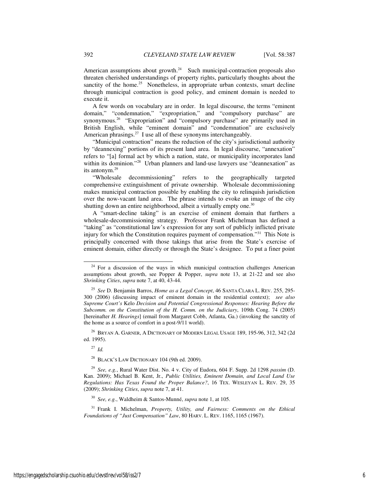American assumptions about growth. $24$  Such municipal-contraction proposals also threaten cherished understandings of property rights, particularly thoughts about the sanctity of the home.<sup>25</sup> Nonetheless, in appropriate urban contexts, smart decline through municipal contraction is good policy, and eminent domain is needed to execute it.

A few words on vocabulary are in order. In legal discourse, the terms "eminent domain," "condemnation," "expropriation," and "compulsory purchase" are synonymous.<sup>26</sup> "Expropriation" and "compulsory purchase" are primarily used in British English, while "eminent domain" and "condemnation" are exclusively American phrasings.<sup>27</sup> I use all of these synonyms interchangeably.

"Municipal contraction" means the reduction of the city's jurisdictional authority by "deannexing" portions of its present land area. In legal discourse, "annexation" refers to "[a] formal act by which a nation, state, or municipality incorporates land within its dominion."<sup>28</sup> Urban planners and land-use lawyers use "deannexation" as its antonym.<sup>29</sup>

"Wholesale decommissioning" refers to the geographically targeted comprehensive extinguishment of private ownership. Wholesale decommissioning makes municipal contraction possible by enabling the city to relinquish jurisdiction over the now-vacant land area. The phrase intends to evoke an image of the city shutting down an entire neighborhood, albeit a virtually empty one.<sup>30</sup>

A "smart-decline taking" is an exercise of eminent domain that furthers a wholesale-decommissioning strategy. Professor Frank Michelman has defined a "taking" as "constitutional law's expression for any sort of publicly inflicted private injury for which the Constitution requires payment of compensation."<sup>31</sup> This Note is principally concerned with those takings that arise from the State's exercise of eminent domain, either directly or through the State's designee. To put a finer point

 $^{26}$  Bryan A. Garner, A Dictionary of Modern Legal Usage 189, 195-96, 312, 342 (2d ed. 1995).

 $27$  *Id.* 

-

<sup>28</sup> BLACK'S LAW DICTIONARY 104 (9th ed. 2009).

<sup>30</sup> *See, e.g.*, Waldheim & Santos-Munné, *supra* note 1, at 105.

<sup>31</sup> Frank I. Michelman, *Property, Utility, and Fairness: Comments on the Ethical Foundations of "Just Compensation" Law*, 80 HARV. L. REV. 1165, 1165 (1967).

 $24$  For a discussion of the ways in which municipal contraction challenges American assumptions about growth, see Popper & Popper, *supra* note 13, at 21-22 and see also *Shrinking Cities*, *supra* note 7, at 40, 43-44.

<sup>25</sup> *See* D. Benjamin Barros, *Home as a Legal Concept*, 46 SANTA CLARA L. REV. 255, 295- 300 (2006) (discussing impact of eminent domain in the residential context); *see also Supreme Court's* Kelo *Decision and Potential Congressional Responses: Hearing Before the Subcomm. on the Constitution of the H. Comm. on the Judiciary*, 109th Cong. 74 (2005) [hereinafter *H. Hearings*] (email from Margaret Cobb, Atlanta, Ga.) (invoking the sanctity of the home as a source of comfort in a post-9/11 world).

<sup>29</sup> *See, e.g.*, Rural Water Dist. No. 4 v. City of Eudora, 604 F. Supp. 2d 1298 *passim* (D. Kan. 2009); Michael B. Kent, Jr., *Public Utilities, Eminent Domain, and Local Land Use Regulations: Has Texas Found the Proper Balance?*, 16 TEX. WESLEYAN L. REV. 29, 35 (2009); *Shrinking Cities*, *supra* note 7, at 41.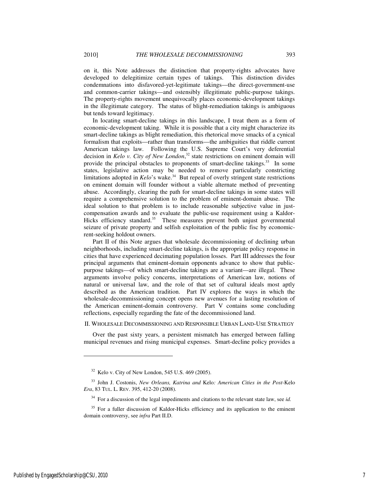on it, this Note addresses the distinction that property-rights advocates have developed to delegitimize certain types of takings. This distinction divides condemnations into disfavored-yet-legitimate takings—the direct-government-use and common-carrier takings—and ostensibly illegitimate public-purpose takings. The property-rights movement unequivocally places economic-development takings in the illegitimate category. The status of blight-remediation takings is ambiguous

In locating smart-decline takings in this landscape, I treat them as a form of economic-development taking. While it is possible that a city might characterize its smart-decline takings as blight remediation, this rhetorical move smacks of a cynical formalism that exploits—rather than transforms—the ambiguities that riddle current American takings law. Following the U.S. Supreme Court's very deferential decision in *Kelo v. City of New London*, <sup>32</sup> state restrictions on eminent domain will provide the principal obstacles to proponents of smart-decline takings.<sup>33</sup> In some states, legislative action may be needed to remove particularly constricting limitations adopted in *Kelo*'s wake.<sup>34</sup> But repeal of overly stringent state restrictions on eminent domain will founder without a viable alternate method of preventing abuse. Accordingly, clearing the path for smart-decline takings in some states will require a comprehensive solution to the problem of eminent-domain abuse. The ideal solution to that problem is to include reasonable subjective value in justcompensation awards and to evaluate the public-use requirement using a Kaldor-Hicks efficiency standard.<sup>35</sup> These measures prevent both unjust governmental seizure of private property and selfish exploitation of the public fisc by economicrent-seeking holdout owners.

Part II of this Note argues that wholesale decommissioning of declining urban neighborhoods, including smart-decline takings, is the appropriate policy response in cities that have experienced decimating population losses. Part III addresses the four principal arguments that eminent-domain opponents advance to show that publicpurpose takings—of which smart-decline takings are a variant—are illegal. These arguments involve policy concerns, interpretations of American law, notions of natural or universal law, and the role of that set of cultural ideals most aptly described as the American tradition. Part IV explores the ways in which the wholesale-decommissioning concept opens new avenues for a lasting resolution of the American eminent-domain controversy. Part V contains some concluding reflections, especially regarding the fate of the decommissioned land.

#### II. WHOLESALE DECOMMISSIONING AND RESPONSIBLE URBAN LAND-USE STRATEGY

Over the past sixty years, a persistent mismatch has emerged between falling municipal revenues and rising municipal expenses. Smart-decline policy provides a

but tends toward legitimacy.

-

 $32$  Kelo v. City of New London, 545 U.S. 469 (2005).

<sup>33</sup> John J. Costonis, *New Orleans, Katrina and* Kelo*: American Cities in the Post-*Kelo *Era*, 83 TUL. L. REV. 395, 412-20 (2008).

<sup>34</sup> For a discussion of the legal impediments and citations to the relevant state law, see *id.*

 $35$  For a fuller discussion of Kaldor-Hicks efficiency and its application to the eminent domain controversy, see *infra* Part II.D.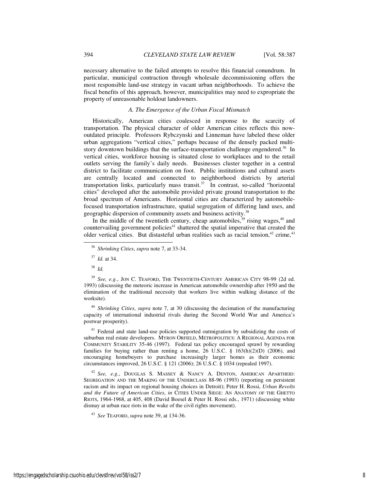necessary alternative to the failed attempts to resolve this financial conundrum. In particular, municipal contraction through wholesale decommissioning offers the most responsible land-use strategy in vacant urban neighborhoods. To achieve the fiscal benefits of this approach, however, municipalities may need to expropriate the property of unreasonable holdout landowners.

#### *A. The Emergence of the Urban Fiscal Mismatch*

Historically, American cities coalesced in response to the scarcity of transportation. The physical character of older American cities reflects this nowoutdated principle. Professors Rybczynski and Linneman have labeled these older urban aggregations "vertical cities," perhaps because of the densely packed multistory downtown buildings that the surface-transportation challenge engendered.<sup>36</sup> In vertical cities, workforce housing is situated close to workplaces and to the retail outlets serving the family's daily needs. Businesses cluster together in a central district to facilitate communication on foot. Public institutions and cultural assets are centrally located and connected to neighborhood districts by arterial transportation links, particularly mass transit. $37$  In contrast, so-called "horizontal" cities" developed after the automobile provided private ground transportation to the broad spectrum of Americans. Horizontal cities are characterized by automobilefocused transportation infrastructure, spatial segregation of differing land uses, and geographic dispersion of community assets and business activity.<sup>38</sup>

In the middle of the twentieth century, cheap automobiles,  $39$  rising wages,  $40$  and countervailing government policies<sup> $41$ </sup> shattered the spatial imperative that created the older vertical cities. But distasteful urban realities such as racial tension,<sup>42</sup> crime,<sup>43</sup>

-

<sup>40</sup> *Shrinking Cities*, *supra* note 7, at 30 (discussing the decimation of the manufacturing capacity of international industrial rivals during the Second World War and America's postwar prosperity).

<sup>41</sup> Federal and state land-use policies supported outmigration by subsidizing the costs of suburban real estate developers. MYRON ORFIELD, METROPOLITICS: A REGIONAL AGENDA FOR COMMUNITY STABILITY 35-46 (1997). Federal tax policy encouraged sprawl by rewarding families for buying rather than renting a home, 26 U.S.C. § 163(h)(2)(D) (2006), and encouraging homebuyers to purchase increasingly larger homes as their economic circumstances improved, 26 U.S.C. § 121 (2006); 26 U.S.C. § 1034 (repealed 1997).

<sup>42</sup> *See, e.g.*, DOUGLAS S. MASSEY & NANCY A. DENTON, AMERICAN APARTHEID: SEGREGATION AND THE MAKING OF THE UNDERCLASS 88-96 (1993) (reporting on persistent racism and its impact on regional housing choices in Detroit); Peter H. Rossi, *Urban Revolts and the Future of American Cities*, *in* CITIES UNDER SIEGE: AN ANATOMY OF THE GHETTO RIOTS, 1964-1968, at 405, 408 (David Boesel & Peter H. Rossi eds., 1971) (discussing white dismay at urban race riots in the wake of the civil rights movement).

<sup>43</sup> *See* TEAFORD, *supra* note 39, at 134-36.

<sup>36</sup> *Shrinking Cities*, *supra* note 7, at 33-34.

<sup>37</sup> *Id.* at 34.

<sup>38</sup> *Id.* 

<sup>39</sup> *See, e.g.*, JON C. TEAFORD, THE TWENTIETH-CENTURY AMERICAN CITY 98-99 (2d ed. 1993) (discussing the meteoric increase in American automobile ownership after 1950 and the elimination of the traditional necessity that workers live within walking distance of the worksite).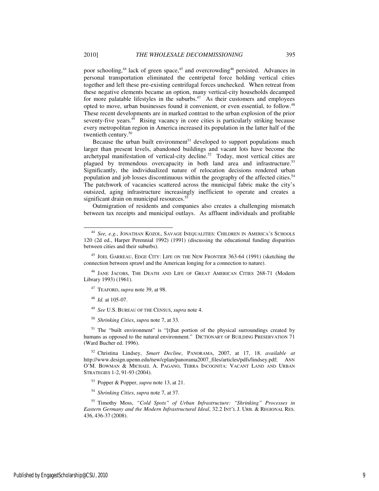poor schooling,<sup>44</sup> lack of green space,<sup>45</sup> and overcrowding<sup>46</sup> persisted. Advances in personal transportation eliminated the centripetal force holding vertical cities together and left these pre-existing centrifugal forces unchecked. When retreat from these negative elements became an option, many vertical-city households decamped for more palatable lifestyles in the suburbs.<sup>47</sup> As their customers and employees opted to move, urban businesses found it convenient, or even essential, to follow.<sup>48</sup> These recent developments are in marked contrast to the urban explosion of the prior seventy-five years.<sup>49</sup> Rising vacancy in core cities is particularly striking because every metropolitan region in America increased its population in the latter half of the twentieth century.<sup>50</sup>

Because the urban built environment<sup>51</sup> developed to support populations much larger than present levels, abandoned buildings and vacant lots have become the archetypal manifestation of vertical-city decline.<sup>52</sup> Today, most vertical cities are plagued by tremendous overcapacity in both land area and infrastructure.<sup>53</sup> Significantly, the individualized nature of relocation decisions rendered urban population and job losses discontinuous within the geography of the affected cities.<sup>54</sup> The patchwork of vacancies scattered across the municipal fabric make the city's outsized, aging infrastructure increasingly inefficient to operate and creates a significant drain on municipal resources.<sup>55</sup>

Outmigration of residents and companies also creates a challenging mismatch between tax receipts and municipal outlays. As affluent individuals and profitable

<sup>48</sup> *Id.* at 105-07.

l

- <sup>49</sup> *See* U.S. BUREAU OF THE CENSUS, *supra* note 4.
- <sup>50</sup> *Shrinking Cities*, *supra* note 7, at 33.

<sup>51</sup> The "built environment" is "[t]hat portion of the physical surroundings created by humans as opposed to the natural environment." DICTIONARY OF BUILDING PRESERVATION 71 (Ward Bucher ed. 1996).

<sup>52</sup> Christina Lindsey, *Smart Decline*, PANORAMA, 2007, at 17, 18. *available at* http://www.design.upenn.edu/new/cplan/panorama2007\_files/articles/pdfs/lindsey.pdf; ANN O'M. BOWMAN & MICHAEL A. PAGANO, TERRA INCOGNITA: VACANT LAND AND URBAN STRATEGIES 1-2, 91-93 (2004).

<sup>53</sup> Popper & Popper, *supra* note 13, at 21.

<sup>54</sup> *Shrinking Cities*, *supra* note 7, at 37.

<sup>55</sup> Timothy Moss, *"Cold Spots" of Urban Infrastructure: "Shrinking" Processes in Eastern Germany and the Modern Infrastructural Ideal*, 32.2 INT'L J. URB. & REGIONAL RES. 436, 436-37 (2008).

See, e.g., JONATHAN KOZOL, SAVAGE INEQUALITIES: CHILDREN IN AMERICA'S SCHOOLS 120 (2d ed., Harper Perennial 1992) (1991) (discussing the educational funding disparities between cities and their suburbs).

<sup>45</sup> JOEL GARREAU, EDGE CITY: LIFE ON THE NEW FRONTIER 363-64 (1991) (sketching the connection between sprawl and the American longing for a connection to nature).

<sup>&</sup>lt;sup>46</sup> JANE JACOBS, THE DEATH AND LIFE OF GREAT AMERICAN CITIES 268-71 (Modern Library 1993) (1961).

<sup>47</sup> TEAFORD, *supra* note 39, at 98.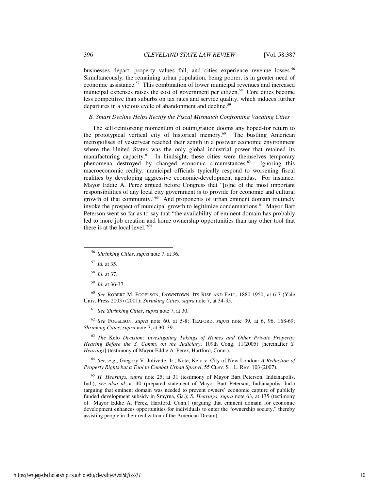businesses depart, property values fall, and cities experience revenue losses.<sup>56</sup> Simultaneously, the remaining urban population, being poorer, is in greater need of economic assistance.<sup>57</sup> This combination of lower municipal revenues and increased municipal expenses raises the cost of government per citizen.<sup>58</sup> Core cities become less competitive than suburbs on tax rates and service quality, which induces further departures in a vicious cycle of abandonment and decline.<sup>59</sup>

# *B. Smart Decline Helps Rectify the Fiscal Mismatch Confronting Vacating Cities*

The self-reinforcing momentum of outmigration dooms any hoped-for return to the prototypical vertical city of historical memory.<sup>60</sup> The bustling American metropolises of yesteryear reached their zenith in a postwar economic environment where the United States was the only global industrial power that retained its manufacturing capacity.<sup>61</sup> In hindsight, these cities were themselves temporary phenomena destroyed by changed economic circumstances.<sup>62</sup> Ignoring this macroeconomic reality, municipal officials typically respond to worsening fiscal realities by developing aggressive economic-development agendas. For instance, Mayor Eddie A. Perez argued before Congress that "[o]ne of the most important responsibilities of any local city government is to provide for economic and cultural growth of that community."<sup>63</sup> And proponents of urban eminent domain routinely invoke the prospect of municipal growth to legitimize condemnations.<sup>64</sup> Mayor Bart Peterson went so far as to say that "the availability of eminent domain has probably led to more job creation and home ownership opportunities than any other tool that there is at the local level."<sup>65</sup>

l

<sup>60</sup> *See* ROBERT M. FOGELSON, DOWNTOWN: ITS RISE AND FALL, 1880-1950, at 6-7 (Yale Univ. Press 2003) (2001); *Shrinking Cities*, *supra* note 7, at 34-35.

<sup>61</sup> *See Shrinking Cities*, *supra* note 7, at 30.

<sup>62</sup> *See* FOGELSON, *supra* note 60, at 5-8; TEAFORD, *supra* note 39, at 6, 96, 168-69; *Shrinking Cities*, *supra* note 7, at 30, 39.

<sup>63</sup> *The* Kelo *Decision: Investigating Takings of Homes and Other Private Property: Hearing Before the S. Comm. on the Judiciary*, 109th Cong. 11(2005) [hereinafter *S. Hearings*] (testimony of Mayor Eddie A. Perez, Hartford, Conn.).

<sup>64</sup> *See, e.g.*, Gregory V. Jolivette, Jr., Note, Kelo v. City of New London*: A Reduction of Property Rights but a Tool to Combat Urban Sprawl*, 55 CLEV. ST. L. REV. 103 (2007).

<sup>65</sup> *H. Hearings*, *supra* note 25, at 31 (testimony of Mayor Bart Peterson, Indianapolis, Ind.); *see also id.* at 40 (prepared statement of Mayor Bart Peterson, Indianapolis, Ind.) (arguing that eminent domain was needed to prevent owners' economic capture of publicly funded development subsidy in Smyrna, Ga.); *S. Hearings*, *supra* note 63, at 135 (testimony of Mayor Eddie A. Perez, Hartford, Conn.) (arguing that eminent domain for economic development enhances opportunities for individuals to enter the "ownership society," thereby assisting people in their realization of the American Dream).

<sup>56</sup> *Shrinking Cities*, *supra* note 7, at 36.

<sup>57</sup> *Id.* at 35.

<sup>58</sup> *Id.* at 37.

<sup>59</sup> *Id.* at 36-37.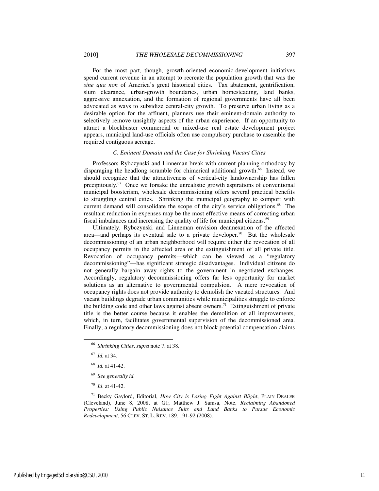For the most part, though, growth-oriented economic-development initiatives spend current revenue in an attempt to recreate the population growth that was the *sine qua non* of America's great historical cities. Tax abatement, gentrification, slum clearance, urban-growth boundaries, urban homesteading, land banks, aggressive annexation, and the formation of regional governments have all been advocated as ways to subsidize central-city growth. To preserve urban living as a desirable option for the affluent, planners use their eminent-domain authority to selectively remove unsightly aspects of the urban experience. If an opportunity to attract a blockbuster commercial or mixed-use real estate development project appears, municipal land-use officials often use compulsory purchase to assemble the

#### *C. Eminent Domain and the Case for Shrinking Vacant Cities*

Professors Rybczynski and Linneman break with current planning orthodoxy by disparaging the headlong scramble for chimerical additional growth.<sup>66</sup> Instead, we should recognize that the attractiveness of vertical-city landownership has fallen precipitously.<sup>67</sup> Once we forsake the unrealistic growth aspirations of conventional municipal boosterism, wholesale decommissioning offers several practical benefits to struggling central cities. Shrinking the municipal geography to comport with current demand will consolidate the scope of the city's service obligations.<sup>68</sup> The resultant reduction in expenses may be the most effective means of correcting urban fiscal imbalances and increasing the quality of life for municipal citizens.<sup>69</sup>

Ultimately, Rybczynski and Linneman envision deannexation of the affected area—and perhaps its eventual sale to a private developer.<sup>70</sup> But the wholesale decommissioning of an urban neighborhood will require either the revocation of all occupancy permits in the affected area or the extinguishment of all private title. Revocation of occupancy permits—which can be viewed as a "regulatory decommissioning"—has significant strategic disadvantages. Individual citizens do not generally bargain away rights to the government in negotiated exchanges. Accordingly, regulatory decommissioning offers far less opportunity for market solutions as an alternative to governmental compulsion. A mere revocation of occupancy rights does not provide authority to demolish the vacated structures. And vacant buildings degrade urban communities while municipalities struggle to enforce the building code and other laws against absent owners.<sup>71</sup> Extinguishment of private title is the better course because it enables the demolition of all improvements, which, in turn, facilitates governmental supervision of the decommissioned area. Finally, a regulatory decommissioning does not block potential compensation claims

<sup>67</sup> *Id.* at 34.

l

- <sup>68</sup> *Id.* at 41-42.
- <sup>69</sup> *See generally id.*
- <sup>70</sup> *Id*. at 41-42.

<sup>71</sup> Becky Gaylord, Editorial, *How City is Losing Fight Against Blight*, PLAIN DEALER (Cleveland), June 8, 2008, at G1; Matthew J. Samsa, Note, *Reclaiming Abandoned Properties: Using Public Nuisance Suits and Land Banks to Pursue Economic Redevelopment*, 56 CLEV. ST. L. REV. 189, 191-92 (2008).

required contiguous acreage.

<sup>66</sup> *Shrinking Cities*, *supra* note 7, at 38.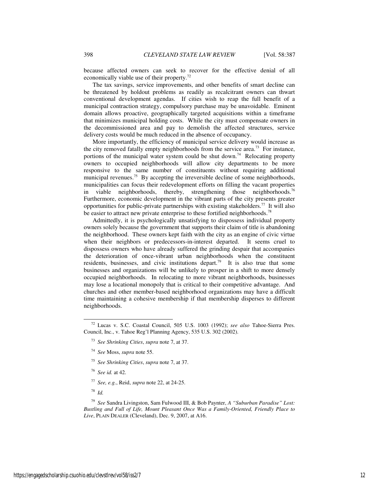because affected owners can seek to recover for the effective denial of all economically viable use of their property. $72$ 

The tax savings, service improvements, and other benefits of smart decline can be threatened by holdout problems as readily as recalcitrant owners can thwart conventional development agendas. If cities wish to reap the full benefit of a municipal contraction strategy, compulsory purchase may be unavoidable. Eminent domain allows proactive, geographically targeted acquisitions within a timeframe that minimizes municipal holding costs. While the city must compensate owners in the decommissioned area and pay to demolish the affected structures, service delivery costs would be much reduced in the absence of occupancy.

More importantly, the efficiency of municipal service delivery would increase as the city removed fatally empty neighborhoods from the service area.<sup>73</sup> For instance, portions of the municipal water system could be shut down.<sup>74</sup> Relocating property owners to occupied neighborhoods will allow city departments to be more responsive to the same number of constituents without requiring additional municipal revenues.<sup>75</sup> By accepting the irreversible decline of some neighborhoods, municipalities can focus their redevelopment efforts on filling the vacant properties in viable neighborhoods, thereby, strengthening those neighborhoods.<sup>76</sup> Furthermore, economic development in the vibrant parts of the city presents greater opportunities for public-private partnerships with existing stakeholders.<sup>77</sup> It will also be easier to attract new private enterprise to these fortified neighborhoods.<sup>78</sup>

Admittedly, it is psychologically unsatisfying to dispossess individual property owners solely because the government that supports their claim of title is abandoning the neighborhood. These owners kept faith with the city as an engine of civic virtue when their neighbors or predecessors-in-interest departed. It seems cruel to dispossess owners who have already suffered the grinding despair that accompanies the deterioration of once-vibrant urban neighborhoods when the constituent residents, businesses, and civic institutions depart.<sup>79</sup> It is also true that some businesses and organizations will be unlikely to prosper in a shift to more densely occupied neighborhoods. In relocating to more vibrant neighborhoods, businesses may lose a locational monopoly that is critical to their competitive advantage. And churches and other member-based neighborhood organizations may have a difficult time maintaining a cohesive membership if that membership disperses to different neighborhoods.

- <sup>75</sup> *See Shrinking Cities*, *supra* note 7, at 37.
- <sup>76</sup> *See id.* at 42.
- <sup>77</sup> *See, e.g.*, Reid, *supra* note 22, at 24-25.
- <sup>78</sup> *Id.*

j

<sup>79</sup> *See* Sandra Livingston, Sam Fulwood III, & Bob Paynter, *A "Suburban Paradise" Lost: Bustling and Full of Life, Mount Pleasant Once Was a Family-Oriented, Friendly Place to Live*, PLAIN DEALER (Cleveland), Dec. 9, 2007, at A16.

<sup>72</sup> Lucas v. S.C. Coastal Council, 505 U.S. 1003 (1992); *see also* Tahoe-Sierra Pres. Council, Inc., v. Tahoe Reg'l Planning Agency, 535 U.S. 302 (2002).

<sup>73</sup> *See Shrinking Cities*, *supra* note 7, at 37.

<sup>74</sup> *See* Moss, *supra* note 55.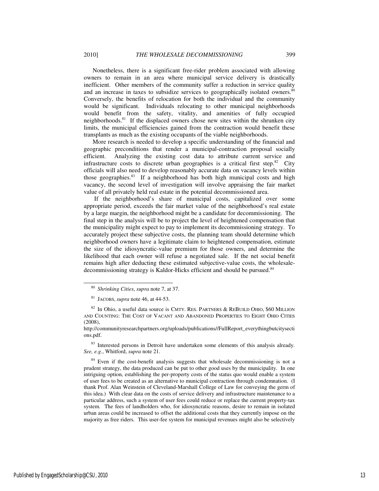Nonetheless, there is a significant free-rider problem associated with allowing owners to remain in an area where municipal service delivery is drastically inefficient. Other members of the community suffer a reduction in service quality and an increase in taxes to subsidize services to geographically isolated owners.<sup>80</sup> Conversely, the benefits of relocation for both the individual and the community would be significant. Individuals relocating to other municipal neighborhoods would benefit from the safety, vitality, and amenities of fully occupied neighborhoods.<sup>81</sup> If the displaced owners chose new sites within the shrunken city limits, the municipal efficiencies gained from the contraction would benefit these transplants as much as the existing occupants of the viable neighborhoods.

More research is needed to develop a specific understanding of the financial and geographic preconditions that render a municipal-contraction proposal socially efficient. Analyzing the existing cost data to attribute current service and infrastructure costs to discrete urban geographies is a critical first step.<sup>82</sup> City officials will also need to develop reasonably accurate data on vacancy levels within those geographies.<sup>83</sup> If a neighborhood has both high municipal costs and high vacancy, the second level of investigation will involve appraising the fair market value of all privately held real estate in the potential decommissioned area.

 If the neighborhood's share of municipal costs, capitalized over some appropriate period, exceeds the fair market value of the neighborhood's real estate by a large margin, the neighborhood might be a candidate for decommissioning. The final step in the analysis will be to project the level of heightened compensation that the municipality might expect to pay to implement its decommissioning strategy. To accurately project these subjective costs, the planning team should determine which neighborhood owners have a legitimate claim to heightened compensation, estimate the size of the idiosyncratic-value premium for those owners, and determine the likelihood that each owner will refuse a negotiated sale. If the net social benefit remains high after deducting these estimated subjective-value costs, the wholesaledecommissioning strategy is Kaldor-Hicks efficient and should be pursued.<sup>84</sup>

l

<sup>83</sup> Interested persons in Detroit have undertaken some elements of this analysis already. *See, e.g.*, Whitford, *supra* note 21.

<sup>84</sup> Even if the cost-benefit analysis suggests that wholesale decommissioning is not a prudent strategy, the data produced can be put to other good uses by the municipality. In one intriguing option, establishing the per-property costs of the status quo would enable a system of user fees to be created as an alternative to municipal contraction through condemnation. (I thank Prof. Alan Weinstein of Cleveland-Marshall College of Law for conveying the germ of this idea.) With clear data on the costs of service delivery and infrastructure maintenance to a particular address, such a system of user fees could reduce or replace the current property-tax system. The fees of landholders who, for idiosyncratic reasons, desire to remain in isolated urban areas could be increased to offset the additional costs that they currently impose on the majority as free riders. This user-fee system for municipal revenues might also be selectively

<sup>80</sup> *Shrinking Cities*, *supra* note 7, at 37.

<sup>81</sup> JACOBS, *supra* note 46, at 44-53.

 $82$  In Ohio, a useful data source is CMTY. RES. PARTNERS & REBUILD OHIO, \$60 MILLION AND COUNTING: THE COST OF VACANT AND ABANDONED PROPERTIES TO EIGHT OHIO CITIES  $(2008)$ 

http://communityresearchpartners.org/uploads/publications//FullReport\_everythingbutcitysecti ons.pdf.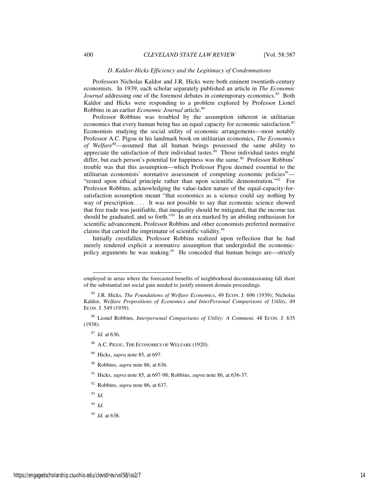#### *D. Kaldor-Hicks Efficiency and the Legitimacy of Condemnations*

Professors Nicholas Kaldor and J.R. Hicks were both eminent twentieth-century economists. In 1939, each scholar separately published an article in *The Economic Journal* addressing one of the foremost debates in contemporary economics.<sup>85</sup> Both Kaldor and Hicks were responding to a problem explored by Professor Lionel Robbins in an earlier *Economic Journal* article.<sup>86</sup>

Professor Robbins was troubled by the assumption inherent in utilitarian economics that every human being has an equal capacity for economic satisfaction.<sup>87</sup> Economists studying the social utility of economic arrangements—most notably Professor A.C. Pigou in his landmark book on utilitarian economics, *The Economics of Welfare*<sup>88</sup>—assumed that all human beings possessed the same ability to appreciate the satisfaction of their individual tastes.<sup>89</sup> Those individual tastes might differ, but each person's potential for happiness was the same.<sup>90</sup> Professor Robbins' trouble was that this assumption—which Professor Pigou deemed essential to the utilitarian economists' normative assessment of competing economic policies<sup>91</sup>— "rested upon ethical principle rather than upon scientific demonstration."<sup>92</sup> For Professor Robbins, acknowledging the value-laden nature of the equal-capacity-forsatisfaction assumption meant "that economics as a science could say nothing by way of prescription. . . . It was not possible to say that economic science showed that free trade was justifiable, that inequality should be mitigated, that the income tax should be graduated, and so forth."<sup>93</sup> In an era marked by an abiding enthusiasm for scientific advancement, Professor Robbins and other economists preferred normative claims that carried the imprimatur of scientific validity.<sup>94</sup>

Initially crestfallen, Professor Robbins realized upon reflection that he had merely rendered explicit a normative assumption that undergirded the economicpolicy arguments he was making.<sup>95</sup> He conceded that human beings are—strictly

l

<sup>95</sup> *Id.* at 638.

employed in areas where the forecasted benefits of neighborhood decommissioning fall short of the substantial net social gain needed to justify eminent domain proceedings.

<sup>85</sup> J.R. Hicks, *The Foundations of Welfare Economics*, 49 ECON. J. 696 (1939); Nicholas Kaldor, *Welfare Propositions of Economics and InterPersonal Comparisons of Utility*, 49 ECON. J. 549 (1939).

<sup>86</sup> Lionel Robbins, *Interpersonal Comparisons of Utility: A Comment*, 48 ECON. J. 635 (1938).

<sup>87</sup> *Id.* at 636.

<sup>88</sup> A.C. PIGOU, THE ECONOMICS OF WELFARE (1920).

<sup>89</sup> Hicks, *supra* note 85, at 697.

<sup>90</sup> Robbins, *supra* note 86, at 636.

<sup>91</sup> Hicks, *supra* note 85, at 697-98; Robbins, *supra* note 86, at 636-37.

<sup>92</sup> Robbins, *supra* note 86, at 637.

<sup>93</sup> *Id.*

<sup>94</sup> *Id.*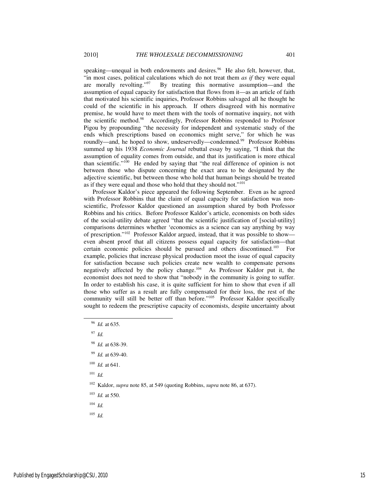speaking—unequal in both endowments and desires.<sup>96</sup> He also felt, however, that, "in most cases, political calculations which do not treat them *as if* they were equal are morally revolting." $97$  By treating this normative assumption—and the assumption of equal capacity for satisfaction that flows from it—as an article of faith that motivated his scientific inquiries, Professor Robbins salvaged all he thought he could of the scientific in his approach. If others disagreed with his normative premise, he would have to meet them with the tools of normative inquiry, not with the scientific method.<sup>98</sup> Accordingly, Professor Robbins responded to Professor Pigou by propounding "the necessity for independent and systematic study of the ends which prescriptions based on economics might serve," for which he was roundly—and, he hoped to show, undeservedly—condemned.<sup>99</sup> Professor Robbins summed up his 1938 *Economic Journal* rebuttal essay by saying, "I think that the assumption of equality comes from outside, and that its justification is more ethical than scientific."<sup>100</sup> He ended by saying that "the real difference of opinion is not between those who dispute concerning the exact area to be designated by the adjective scientific, but between those who hold that human beings should be treated as if they were equal and those who hold that they should not."<sup>101</sup>

Professor Kaldor's piece appeared the following September. Even as he agreed with Professor Robbins that the claim of equal capacity for satisfaction was nonscientific, Professor Kaldor questioned an assumption shared by both Professor Robbins and his critics. Before Professor Kaldor's article, economists on both sides of the social-utility debate agreed "that the scientific justification of [social-utility] comparisons determines whether 'economics as a science can say anything by way of prescription."<sup>102</sup> Professor Kaldor argued, instead, that it was possible to show even absent proof that all citizens possess equal capacity for satisfaction—that certain economic policies should be pursued and others discontinued.<sup>103</sup> For example, policies that increase physical production moot the issue of equal capacity for satisfaction because such policies create new wealth to compensate persons negatively affected by the policy change.<sup>104</sup> As Professor Kaldor put it, the economist does not need to show that "nobody in the community is going to suffer. In order to establish his case, it is quite sufficient for him to show that even if all those who suffer as a result are fully compensated for their loss, the rest of the community will still be better off than before."<sup>105</sup> Professor Kaldor specifically sought to redeem the prescriptive capacity of economists, despite uncertainty about

<sup>97</sup> *Id.*

-

- <sup>99</sup> *Id.* at 639-40.
- <sup>100</sup> *Id.* at 641.

<sup>101</sup> *Id.*

<sup>102</sup> Kaldor, *supra* note 85, at 549 (quoting Robbins, *supra* note 86, at 637).

- <sup>103</sup> *Id.* at 550.
- $104$  *Id.*

 $105$  *Id.* 

<sup>96</sup> *Id.* at 635.

<sup>98</sup> *Id.* at 638-39.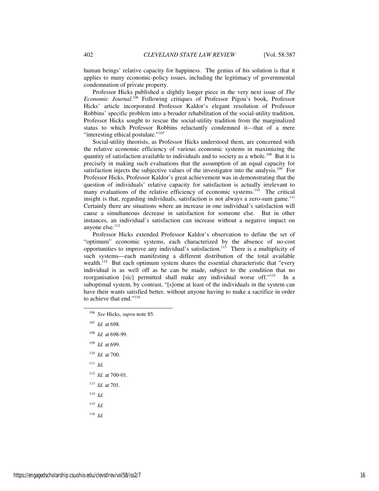human beings' relative capacity for happiness. The genius of his solution is that it applies to many economic-policy issues, including the legitimacy of governmental condemnation of private property.

Professor Hicks published a slightly longer piece in the very next issue of *The Economic Journal*. <sup>106</sup> Following critiques of Professor Pigou's book, Professor Hicks' article incorporated Professor Kaldor's elegant resolution of Professor Robbins' specific problem into a broader rehabilitation of the social-utility tradition. Professor Hicks sought to rescue the social-utility tradition from the marginalized status to which Professor Robbins reluctantly condemned it—that of a mere "interesting ethical postulate."<sup>107</sup>

Social-utility theorists, as Professor Hicks understood them, are concerned with the relative economic efficiency of various economic systems in maximizing the quantity of satisfaction available to individuals and to society as a whole.<sup>108</sup> But it is precisely in making such evaluations that the assumption of an equal capacity for satisfaction injects the subjective values of the investigator into the analysis.<sup>109</sup> For Professor Hicks, Professor Kaldor's great achievement was in demonstrating that the question of individuals' relative capacity for satisfaction is actually irrelevant to many evaluations of the relative efficiency of economic systems.<sup>110</sup> The critical insight is that, regarding individuals, satisfaction is not always a zero-sum game.<sup>111</sup> Certainly there are situations where an increase in one individual's satisfaction will cause a simultaneous decrease in satisfaction for someone else. But in other instances, an individual's satisfaction can increase without a negative impact on anyone else.<sup>112</sup>

Professor Hicks extended Professor Kaldor's observation to define the set of "optimum" economic systems, each characterized by the absence of no-cost opportunities to improve any individual's satisfaction.<sup>113</sup> There is a multiplicity of such systems—each manifesting a different distribution of the total available wealth.<sup>114</sup> But each optimum system shares the essential characteristic that "every individual is as well off as he can be made, subject to the condition that no reorganisation [sic] permitted shall make any individual worse off."<sup>115</sup> In a suboptimal system, by contrast, "[s]ome at least of the individuals in the system can have their wants satisfied better, without anyone having to make a sacrifice in order to achieve that end."<sup>116</sup>

<sup>111</sup> *Id.* 

j

- <sup>112</sup> *Id.* at 700-01.
- <sup>113</sup> *Id.* at 701.
- <sup>114</sup> *Id.*
- <sup>115</sup> *Id.*
- <sup>116</sup> *Id.*

<sup>106</sup> *See* Hicks, *supra* note 85.

<sup>107</sup> *Id.* at 698.

<sup>108</sup> *Id.* at 698-99.

<sup>109</sup> *Id.* at 699.

<sup>110</sup> *Id.* at 700.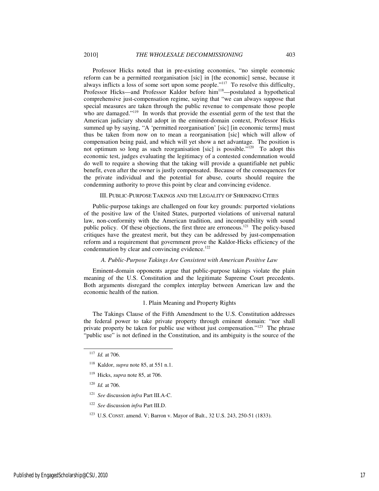Professor Hicks noted that in pre-existing economies, "no simple economic reform can be a permitted reorganisation [sic] in [the economic] sense, because it always inflicts a loss of some sort upon some people."<sup>117</sup> To resolve this difficulty, Professor Hicks—and Professor Kaldor before him<sup>118</sup>—postulated a hypothetical comprehensive just-compensation regime, saying that "we can always suppose that special measures are taken through the public revenue to compensate those people who are damaged."<sup>119</sup> In words that provide the essential germ of the test that the American judiciary should adopt in the eminent-domain context, Professor Hicks summed up by saying, "A 'permitted reorganisation' [sic] [in economic terms] must thus be taken from now on to mean a reorganisation [sic] which will allow of compensation being paid, and which will yet show a net advantage. The position is not optimum so long as such reorganisation [sic] is possible."<sup>120</sup> To adopt this economic test, judges evaluating the legitimacy of a contested condemnation would do well to require a showing that the taking will provide a quantifiable net public benefit, even after the owner is justly compensated. Because of the consequences for the private individual and the potential for abuse, courts should require the

#### III. PUBLIC-PURPOSE TAKINGS AND THE LEGALITY OF SHRINKING CITIES

condemning authority to prove this point by clear and convincing evidence.

Public-purpose takings are challenged on four key grounds: purported violations of the positive law of the United States, purported violations of universal natural law, non-conformity with the American tradition, and incompatibility with sound public policy. Of these objections, the first three are erroneous.<sup>121</sup> The policy-based critiques have the greatest merit, but they can be addressed by just-compensation reform and a requirement that government prove the Kaldor-Hicks efficiency of the condemnation by clear and convincing evidence.<sup>122</sup>

#### *A. Public-Purpose Takings Are Consistent with American Positive Law*

Eminent-domain opponents argue that public-purpose takings violate the plain meaning of the U.S. Constitution and the legitimate Supreme Court precedents. Both arguments disregard the complex interplay between American law and the economic health of the nation.

#### 1. Plain Meaning and Property Rights

The Takings Clause of the Fifth Amendment to the U.S. Constitution addresses the federal power to take private property through eminent domain: "nor shall private property be taken for public use without just compensation."<sup>123</sup> The phrase "public use" is not defined in the Constitution, and its ambiguity is the source of the

-

<sup>120</sup> *Id.* at 706.

- <sup>121</sup> *See* discussion *infra* Part III.A-C.
- <sup>122</sup> *See* discussion *infra* Part III.D.
- <sup>123</sup> U.S. CONST. amend. V; Barron v. Mayor of Balt., 32 U.S. 243, 250-51 (1833).

<sup>117</sup> *Id.* at 706.

<sup>118</sup> Kaldor, *supra* note 85, at 551 n.1.

<sup>119</sup> Hicks, *supra* note 85, at 706.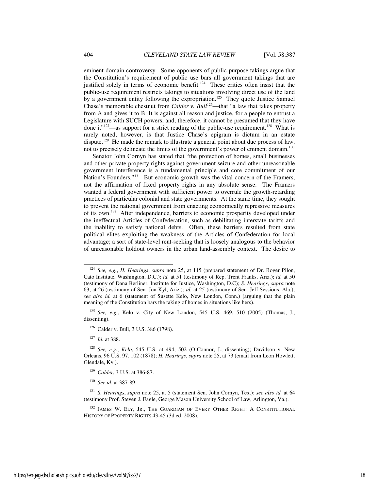eminent-domain controversy. Some opponents of public-purpose takings argue that the Constitution's requirement of public use bars all government takings that are justified solely in terms of economic benefit.<sup>124</sup> These critics often insist that the public-use requirement restricts takings to situations involving direct use of the land by a government entity following the expropriation.<sup>125</sup> They quote Justice Samuel Chase's memorable chestnut from *Calder v. Bull*<sup>126</sup>—that "a law that takes property from A and gives it to B: It is against all reason and justice, for a people to entrust a Legislature with SUCH powers; and, therefore, it cannot be presumed that they have done it" $127$ —as support for a strict reading of the public-use requirement.<sup>128</sup> What is rarely noted, however, is that Justice Chase's epigram is dictum in an estate dispute.<sup>129</sup> He made the remark to illustrate a general point about due process of law, not to precisely delineate the limits of the government's power of eminent domain.<sup>130</sup>

Senator John Cornyn has stated that "the protection of homes, small businesses and other private property rights against government seizure and other unreasonable government interference is a fundamental principle and core commitment of our Nation's Founders."<sup>131</sup> But economic growth was the vital concern of the Framers, not the affirmation of fixed property rights in any absolute sense. The Framers wanted a federal government with sufficient power to overrule the growth-retarding practices of particular colonial and state governments. At the same time, they sought to prevent the national government from enacting economically repressive measures of its own.<sup>132</sup> After independence, barriers to economic prosperity developed under the ineffectual Articles of Confederation, such as debilitating interstate tariffs and the inability to satisfy national debts. Often, these barriers resulted from state political elites exploiting the weakness of the Articles of Confederation for local advantage; a sort of state-level rent-seeking that is loosely analogous to the behavior of unreasonable holdout owners in the urban land-assembly context. The desire to

-

<sup>124</sup> *See, e.g.*, *H. Hearings*, *supra* note 25, at 115 (prepared statement of Dr. Roger Pilon, Cato Institute, Washington, D.C.); *id.* at 51 (testimony of Rep. Trent Franks, Ariz.); *id.* at 50 (testimony of Dana Berliner, Institute for Justice, Washington, D.C); *S. Hearings*, *supra* note 63, at 26 (testimony of Sen. Jon Kyl, Ariz.); *id.* at 25 (testimony of Sen. Jeff Sessions, Ala.); *see also id.* at 6 (statement of Susette Kelo, New London, Conn.) (arguing that the plain meaning of the Constitution bars the taking of homes in situations like hers).

<sup>125</sup> *See, e.g.*, Kelo v. City of New London, 545 U.S. 469, 510 (2005) (Thomas, J., dissenting).

<sup>&</sup>lt;sup>126</sup> Calder v. Bull, 3 U.S. 386 (1798).

<sup>127</sup> *Id.* at 388.

<sup>128</sup> *See, e.g.*, *Kelo*, 545 U.S. at 494, 502 (O'Connor, J., dissenting); Davidson v. New Orleans, 96 U.S. 97, 102 (1878); *H. Hearings*, *supra* note 25, at 73 (email from Leon Howlett, Glendale, Ky.).

<sup>129</sup> *Calder*, 3 U.S. at 386-87.

<sup>130</sup> *See id.* at 387-89.

<sup>131</sup> *S. Hearings*, *supra* note 25, at 5 (statement Sen. John Cornyn, Tex.); *see also id.* at 64 (testimony Prof. Steven J. Eagle, George Mason University School of Law, Arlington, Va.).

<sup>&</sup>lt;sup>132</sup> JAMES W. ELY, JR., THE GUARDIAN OF EVERY OTHER RIGHT: A CONSTITUTIONAL HISTORY OF PROPERTY RIGHTS 43-45 (3d ed. 2008).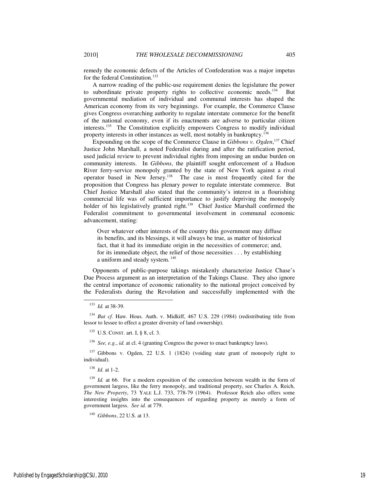remedy the economic defects of the Articles of Confederation was a major impetus for the federal Constitution.<sup>133</sup>

A narrow reading of the public-use requirement denies the legislature the power to subordinate private property rights to collective economic needs.<sup>134</sup> But governmental mediation of individual and communal interests has shaped the American economy from its very beginnings. For example, the Commerce Clause gives Congress overarching authority to regulate interstate commerce for the benefit of the national economy, even if its enactments are adverse to particular citizen interests.<sup>135</sup> The Constitution explicitly empowers Congress to modify individual property interests in other instances as well, most notably in bankruptcy.<sup>136</sup>

Expounding on the scope of the Commerce Clause in *Gibbons v. Ogden*,<sup>137</sup> Chief Justice John Marshall, a noted Federalist during and after the ratification period, used judicial review to prevent individual rights from imposing an undue burden on community interests. In *Gibbons*, the plaintiff sought enforcement of a Hudson River ferry-service monopoly granted by the state of New York against a rival operator based in New Jersey.<sup>138</sup> The case is most frequently cited for the proposition that Congress has plenary power to regulate interstate commerce. But Chief Justice Marshall also stated that the community's interest in a flourishing commercial life was of sufficient importance to justify depriving the monopoly holder of his legislatively granted right.<sup>139</sup> Chief Justice Marshall confirmed the Federalist commitment to governmental involvement in communal economic advancement, stating:

Over whatever other interests of the country this government may diffuse its benefits, and its blessings, it will always be true, as matter of historical fact, that it had its immediate origin in the necessities of commerce; and, for its immediate object, the relief of those necessities . . . by establishing a uniform and steady system.<sup>140</sup>

Opponents of public-purpose takings mistakenly characterize Justice Chase's Due Process argument as an interpretation of the Takings Clause. They also ignore the central importance of economic rationality to the national project conceived by the Federalists during the Revolution and successfully implemented with the

-

<sup>136</sup> *See, e.g.*, *id.* at cl. 4 (granting Congress the power to enact bankruptcy laws).

<sup>137</sup> Gibbons v. Ogden, 22 U.S. 1 (1824) (voiding state grant of monopoly right to individual).

<sup>138</sup> *Id.* at 1-2.

<sup>139</sup> *Id.* at 66. For a modern exposition of the connection between wealth in the form of government largess, like the ferry monopoly, and traditional property, see Charles A. Reich, *The New Property*, 73 YALE L.J. 733, 778-79 (1964). Professor Reich also offers some interesting insights into the consequences of regarding property as merely a form of government largess. *See id.* at 779.

<sup>133</sup> *Id.* at 38-39.

<sup>&</sup>lt;sup>134</sup> *But cf.* Haw. Hous. Auth. v. Midkiff, 467 U.S. 229 (1984) (redistributing title from lessor to lessee to effect a greater diversity of land ownership).

 $135$  U.S. CONST. art. I,  $88$ , cl. 3.

<sup>140</sup> *Gibbons*, 22 U.S. at 13.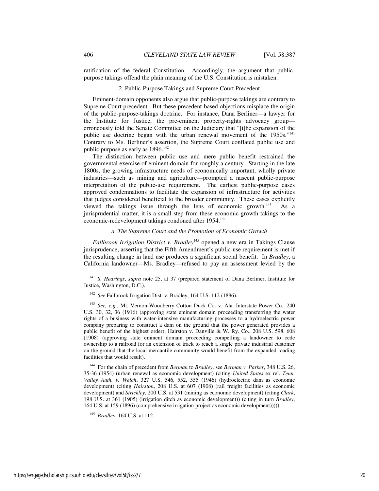ratification of the federal Constitution. Accordingly, the argument that publicpurpose takings offend the plain meaning of the U.S. Constitution is mistaken.

#### 2. Public-Purpose Takings and Supreme Court Precedent

Eminent-domain opponents also argue that public-purpose takings are contrary to Supreme Court precedent. But these precedent-based objections misplace the origin of the public-purpose-takings doctrine. For instance, Dana Berliner—a lawyer for the Institute for Justice, the pre-eminent property-rights advocacy group erroneously told the Senate Committee on the Judiciary that "[t]he expansion of the public use doctrine began with the urban renewal movement of the 1950s."<sup>141</sup> Contrary to Ms. Berliner's assertion, the Supreme Court conflated public use and public purpose as early as  $1896$ <sup>142</sup>

The distinction between public use and mere public benefit restrained the governmental exercise of eminent domain for roughly a century. Starting in the late 1800s, the growing infrastructure needs of economically important, wholly private industries—such as mining and agriculture—prompted a nascent public-purpose interpretation of the public-use requirement. The earliest public-purpose cases approved condemnations to facilitate the expansion of infrastructure for activities that judges considered beneficial to the broader community. These cases explicitly viewed the takings issue through the lens of economic growth. $^{143}$  As a jurisprudential matter, it is a small step from these economic-growth takings to the economic-redevelopment takings condoned after 1954.<sup>144</sup>

# *a. The Supreme Court and the Promotion of Economic Growth*

*Fallbrook Irrigation District v. Bradley*<sup>145</sup> opened a new era in Takings Clause jurisprudence, asserting that the Fifth Amendment's public-use requirement is met if the resulting change in land use produces a significant social benefit. In *Bradley*, a California landowner—Ms. Bradley—refused to pay an assessment levied by the

<sup>144</sup> For the chain of precedent from *Berman* to *Bradley*, see *Berman v. Parker*, 348 U.S. 26, 35-36 (1954) (urban renewal as economic development) (citing *United States* ex rel. *Tenn. Valley Auth. v. Welch*, 327 U.S. 546, 552, 555 (1946) (hydroelectric dam as economic development) (citing *Hairston*, 208 U.S. at 607 (1908) (rail freight facilities as economic development) and *Strickley*, 200 U.S. at 531 (mining as economic development) (citing *Clark*, 198 U.S. at 361 (1905) (irrigation ditch as economic development)) (citing in turn *Bradley*, 164 U.S. at 159 (1896) (comprehensive irrigation project as economic development))))).

<sup>145</sup> *Bradley*, 164 U.S. at 112.

j

<sup>141</sup> *S. Hearings*, *supra* note 25, at 37 (prepared statement of Dana Berliner, Institute for Justice, Washington, D.C.).

<sup>142</sup> *See* Fallbrook Irrigation Dist. v. Bradley, 164 U.S. 112 (1896).

<sup>143</sup> *See, e.g.*, Mt. Vernon-Woodberry Cotton Duck Co. v. Ala. Interstate Power Co., 240 U.S. 30, 32, 36 (1916) (approving state eminent domain proceeding transferring the water rights of a business with water-intensive manufacturing processes to a hydroelectric power company preparing to construct a dam on the ground that the power generated provides a public benefit of the highest order); Hairston v. Danville & W. Ry. Co., 208 U.S. 598, 608 (1908) (approving state eminent domain proceeding compelling a landowner to cede ownership to a railroad for an extension of track to reach a single private industrial customer on the ground that the local mercantile community would benefit from the expanded loading facilities that would result).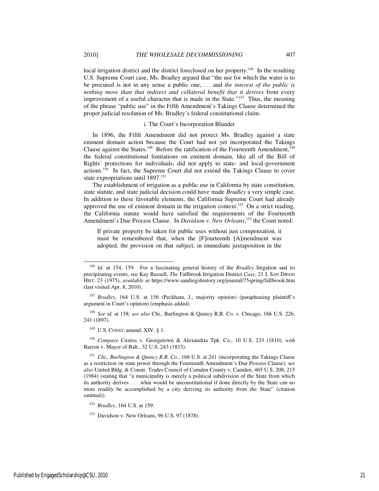local irrigation district and the district foreclosed on her property.<sup>146</sup> In the resulting U.S. Supreme Court case, Ms. Bradley argued that "the use for which the water is to be procured is not in any sense a public one, . . . and *the interest of the public is nothing more than that indirect and collateral benefit that it derives* from every improvement of a useful character that is made in the State."<sup>147</sup> Thus, the meaning of the phrase "public use" in the Fifth Amendment's Takings Clause determined the

#### i. The Court's Incorporation Blunder

proper judicial resolution of Ms. Bradley's federal constitutional claim.

In 1896, the Fifth Amendment did not protect Ms. Bradley against a state eminent domain action because the Court had not yet incorporated the Takings Clause against the States.<sup>148</sup> Before the ratification of the Fourteenth Amendment,<sup>149</sup> the federal constitutional limitations on eminent domain, like all of the Bill of Rights' protections for individuals, did not apply to state- and local-government actions.<sup>150</sup> In fact, the Supreme Court did not extend the Takings Clause to cover state expropriations until 1897.<sup>151</sup>

The establishment of irrigation as a public use in California by state constitution, state statute, and state judicial decision could have made *Bradley* a very simple case. In addition to these favorable elements, the California Supreme Court had already approved the use of eminent domain in the irrigation context.<sup>152</sup> On a strict reading, the California statute would have satisfied the requirements of the Fourteenth Amendment's Due Process Clause. In *Davidson v. New Orleans*, <sup>153</sup> the Court noted:

If private property be taken for public uses without just compensation, it must be remembered that, when the [F]ourteenth [A]mendment was adopted, the provision on that subject, in immediate juxtaposition in the

<sup>148</sup> *See id.* at 158; *see also* Chi., Burlington & Quincy R.R. Co. v. Chicago, 166 U.S. 226, 241 (1897).

<sup>149</sup> U.S. CONST. amend. XIV, § 1.

<sup>150</sup> *Compare* Custiss v. Georgetown & Alexandria Tpk. Co., 10 U.S. 233 (1810), *with* Barron v. Mayor of Balt., 32 U.S. 243 (1833).

j

<sup>146</sup> *Id.* at 154, 159. For a fascinating general history of the *Bradley* litigation and its precipitating events, see Kay Russell, *The* Fallbrook Irrigation District *Case*, 21 J. SAN DIEGO HIST. 23 (1975), *available at* https://www.sandiegohistory.org/journal/75spring/fallbrook.htm (last visited Apr. 8, 2010).

<sup>&</sup>lt;sup>147</sup> *Bradley*, 164 U.S. at 156 (Peckham, J., majority opinion) (paraphrasing plaintiff's argument in Court's opinion) (emphasis added).

<sup>151</sup> *Chi., Burlington & Quincy R.R. Co.*, 166 U.S. at 241 (incorporating the Takings Clause as a restriction on state power through the Fourteenth Amendment's Due Process Clause); *see also* United Bldg. & Constr. Trades Council of Camden County v. Camden, 465 U.S. 208, 215 (1984) (stating that "a municipality is merely a political subdivision of the State from which its authority derives . . . what would be unconstitutional if done directly by the State can no more readily be accomplished by a city deriving its authority from the State" (citation omitted)).

<sup>152</sup> *Bradley*, 164 U.S. at 159.

<sup>153</sup> Davidson v. New Orleans, 96 U.S. 97 (1878).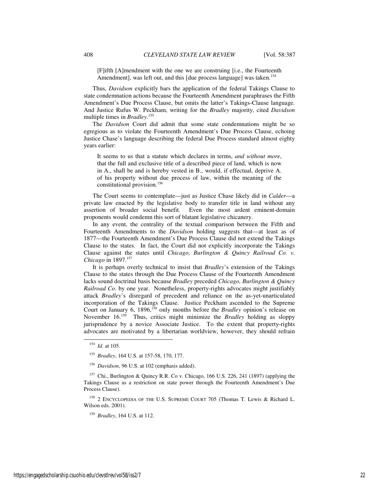[F]ifth [A]mendment with the one we are construing [i.e., the Fourteenth Amendment], was left out, and this [due process language] was taken.<sup>154</sup>

Thus, *Davidson* explicitly bars the application of the federal Takings Clause to state condemnation actions because the Fourteenth Amendment paraphrases the Fifth Amendment's Due Process Clause, but omits the latter's Takings-Clause language. And Justice Rufus W. Peckham, writing for the *Bradley* majority, cited *Davidson* multiple times in *Bradley*. 155

The *Davidson* Court did admit that some state condemnations might be so egregious as to violate the Fourteenth Amendment's Due Process Clause, echoing Justice Chase's language describing the federal Due Process standard almost eighty years earlier:

It seems to us that a statute which declares in terms, *and without more*, that the full and exclusive title of a described piece of land, which is now in A., shall be and is hereby vested in B., would, if effectual, deprive A. of his property without due process of law, within the meaning of the constitutional provision.<sup>156</sup>

The Court seems to contemplate—just as Justice Chase likely did in *Calder*—a private law enacted by the legislative body to transfer title in land without any assertion of broader social benefit. Even the most ardent eminent-domain proponents would condemn this sort of blatant legislative chicanery.

In any event, the centrality of the textual comparison between the Fifth and Fourteenth Amendments to the *Davidson* holding suggests that—at least as of 1877—the Fourteenth Amendment's Due Process Clause did not extend the Takings Clause to the states. In fact, the Court did not explicitly incorporate the Takings Clause against the states until *Chicago, Burlington & Quincy Railroad Co. v. Chicago* in 1897.<sup>157</sup>

It is perhaps overly technical to insist that *Bradley*'s extension of the Takings Clause to the states through the Due Process Clause of the Fourteenth Amendment lacks sound doctrinal basis because *Bradley* preceded *Chicago, Burlington & Quincy Railroad Co.* by one year. Nonetheless, property-rights advocates might justifiably attack *Bradley*'s disregard of precedent and reliance on the as-yet-unarticulated incorporation of the Takings Clause. Justice Peckham ascended to the Supreme Court on January 6, 1896,<sup>158</sup> only months before the *Bradley* opinion's release on November 16.<sup>159</sup> Thus, critics might minimize the *Bradley* holding as sloppy jurisprudence by a novice Associate Justice. To the extent that property-rights advocates are motivated by a libertarian worldview, however, they should refrain

l

<sup>158</sup> 2 ENCYCLOPEDIA OF THE U.S. SUPREME COURT 705 (Thomas T. Lewis & Richard L. Wilson eds. 2001).

<sup>159</sup> *Bradley*, 164 U.S. at 112.

<sup>154</sup> *Id.* at 105.

<sup>155</sup> *Bradley*, 164 U.S. at 157-58, 170, 177.

<sup>156</sup> *Davidson*, 96 U.S. at 102 (emphasis added).

<sup>157</sup> Chi., Burlington & Quincy R.R. Co v. Chicago, 166 U.S. 226, 241 (1897) (applying the Takings Clause as a restriction on state power through the Fourteenth Amendment's Due Process Clause).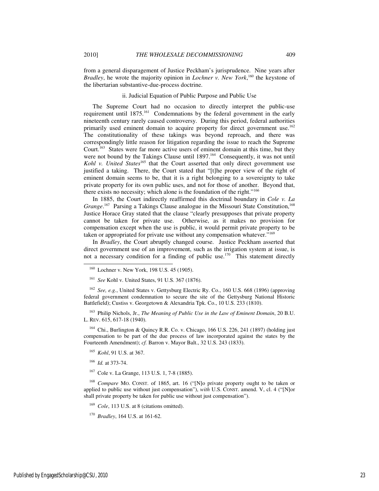from a general disparagement of Justice Peckham's jurisprudence. Nine years after *Bradley*, he wrote the majority opinion in *Lochner v. New York*, <sup>160</sup> the keystone of the libertarian substantive-due-process doctrine.

# ii. Judicial Equation of Public Purpose and Public Use

The Supreme Court had no occasion to directly interpret the public-use requirement until 1875.<sup>161</sup> Condemnations by the federal government in the early nineteenth century rarely caused controversy. During this period, federal authorities primarily used eminent domain to acquire property for direct government use.<sup>162</sup> The constitutionality of these takings was beyond reproach, and there was correspondingly little reason for litigation regarding the issue to reach the Supreme Court.<sup>163</sup> States were far more active users of eminent domain at this time, but they were not bound by the Takings Clause until 1897.<sup>164</sup> Consequently, it was not until Kohl v. United States<sup>165</sup> that the Court asserted that only direct government use justified a taking. There, the Court stated that "[t]he proper view of the right of eminent domain seems to be, that it is a right belonging to a sovereignty to take private property for its own public uses, and not for those of another. Beyond that, there exists no necessity; which alone is the foundation of the right."<sup>166</sup>

In 1885, the Court indirectly reaffirmed this doctrinal boundary in *Cole v. La*  Grange.<sup>167</sup> Parsing a Takings Clause analogue in the Missouri State Constitution,<sup>168</sup> Justice Horace Gray stated that the clause "clearly presupposes that private property cannot be taken for private use. Otherwise, as it makes no provision for compensation except when the use is public, it would permit private property to be taken or appropriated for private use without any compensation whatever."<sup>169</sup>

In *Bradley*, the Court abruptly changed course. Justice Peckham asserted that direct government use of an improvement, such as the irrigation system at issue, is not a necessary condition for a finding of public use.<sup>170</sup> This statement directly

<sup>162</sup> *See, e.g.*, United States v. Gettysburg Electric Ry. Co., 160 U.S. 668 (1896) (approving federal government condemnation to secure the site of the Gettysburg National Historic Battlefield); Custiss v. Georgetown & Alexandria Tpk. Co., 10 U.S. 233 (1810).

<sup>163</sup> Philip Nichols, Jr., *The Meaning of Public Use in the Law of Eminent Domain*, 20 B.U. L. REV. 615, 617-18 (1940).

 $164$  Chi., Burlington & Quincy R.R. Co. v. Chicago, 166 U.S. 226, 241 (1897) (holding just compensation to be part of the due process of law incorporated against the states by the Fourteenth Amendment); *cf.* Barron v. Mayor Balt., 32 U.S. 243 (1833).

<sup>165</sup> *Kohl*, 91 U.S. at 367.

<sup>166</sup> *Id.* at 373-74.

j

<sup>167</sup> Cole v. La Grange, 113 U.S. 1, 7-8 (1885).

<sup>168</sup> *Compare* MO. CONST. of 1865, art. 16 ("[N]o private property ought to be taken or applied to public use without just compensation"), *with* U.S. CONST. amend. V, cl. 4 ("[N]or shall private property be taken for public use without just compensation").

<sup>169</sup> *Cole*, 113 U.S. at 8 (citations omitted).

<sup>&</sup>lt;sup>160</sup> Lochner v. New York, 198 U.S. 45 (1905).

<sup>161</sup> *See* Kohl v. United States, 91 U.S. 367 (1876).

<sup>170</sup> *Bradley*, 164 U.S. at 161-62.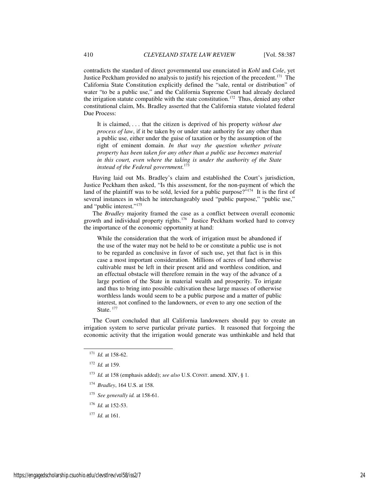contradicts the standard of direct governmental use enunciated in *Kohl* and *Cole*, yet Justice Peckham provided no analysis to justify his rejection of the precedent.<sup>171</sup> The California State Constitution explicitly defined the "sale, rental or distribution" of water "to be a public use," and the California Supreme Court had already declared the irrigation statute compatible with the state constitution.<sup>172</sup> Thus, denied any other constitutional claim, Ms. Bradley asserted that the California statute violated federal Due Process:

It is claimed, . . . that the citizen is deprived of his property *without due process of law*, if it be taken by or under state authority for any other than a public use, either under the guise of taxation or by the assumption of the right of eminent domain. *In that way the question whether private property has been taken for any other than a public use becomes material in this court, even where the taking is under the authority of the State instead of the Federal government.*<sup>173</sup>

Having laid out Ms. Bradley's claim and established the Court's jurisdiction, Justice Peckham then asked, "Is this assessment, for the non-payment of which the land of the plaintiff was to be sold, levied for a public purpose?"<sup>174</sup> It is the first of several instances in which he interchangeably used "public purpose," "public use," and "public interest."<sup>175</sup>

The *Bradley* majority framed the case as a conflict between overall economic growth and individual property rights.<sup>176</sup> Justice Peckham worked hard to convey the importance of the economic opportunity at hand:

While the consideration that the work of irrigation must be abandoned if the use of the water may not be held to be or constitute a public use is not to be regarded as conclusive in favor of such use, yet that fact is in this case a most important consideration. Millions of acres of land otherwise cultivable must be left in their present arid and worthless condition, and an effectual obstacle will therefore remain in the way of the advance of a large portion of the State in material wealth and prosperity. To irrigate and thus to bring into possible cultivation these large masses of otherwise worthless lands would seem to be a public purpose and a matter of public interest, not confined to the landowners, or even to any one section of the State.<sup>177</sup>

The Court concluded that all California landowners should pay to create an irrigation system to serve particular private parties. It reasoned that forgoing the economic activity that the irrigation would generate was unthinkable and held that

-

- <sup>174</sup> *Bradley*, 164 U.S. at 158.
- <sup>175</sup> *See generally id.* at 158-61.
- <sup>176</sup> *Id.* at 152-53.
- <sup>177</sup> *Id.* at 161.

<sup>171</sup> *Id.* at 158-62.

<sup>172</sup> *Id.* at 159.

<sup>173</sup> *Id.* at 158 (emphasis added); *see also* U.S. CONST. amend. XIV, § 1.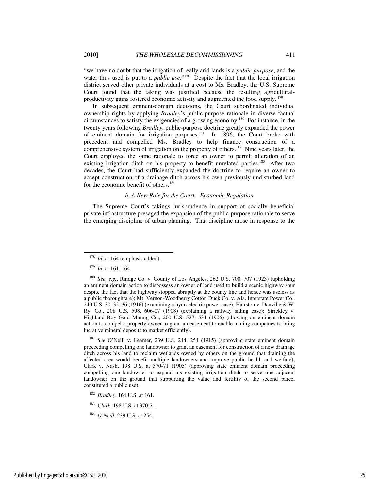"we have no doubt that the irrigation of really arid lands is a *public purpose*, and the water thus used is put to a *public use*."<sup>178</sup> Despite the fact that the local irrigation district served other private individuals at a cost to Ms. Bradley, the U.S. Supreme Court found that the taking was justified because the resulting agriculturalproductivity gains fostered economic activity and augmented the food supply.<sup>179</sup>

In subsequent eminent-domain decisions, the Court subordinated individual ownership rights by applying *Bradley*'s public-purpose rationale in diverse factual circumstances to satisfy the exigencies of a growing economy.<sup>180</sup> For instance, in the twenty years following *Bradley*, public-purpose doctrine greatly expanded the power of eminent domain for irrigation purposes.<sup>181</sup> In 1896, the Court broke with precedent and compelled Ms. Bradley to help finance construction of a comprehensive system of irrigation on the property of others.<sup>182</sup> Nine years later, the Court employed the same rationale to force an owner to permit alteration of an existing irrigation ditch on his property to benefit unrelated parties.<sup>183</sup> After two decades, the Court had sufficiently expanded the doctrine to require an owner to accept construction of a drainage ditch across his own previously undisturbed land for the economic benefit of others.<sup>184</sup>

#### *b. A New Role for the Court—Economic Regulation*

The Supreme Court's takings jurisprudence in support of socially beneficial private infrastructure presaged the expansion of the public-purpose rationale to serve the emerging discipline of urban planning. That discipline arose in response to the

-

<sup>181</sup> *See* O'Neill v. Leamer, 239 U.S. 244, 254 (1915) (approving state eminent domain proceeding compelling one landowner to grant an easement for construction of a new drainage ditch across his land to reclaim wetlands owned by others on the ground that draining the affected area would benefit multiple landowners and improve public health and welfare); Clark v. Nash, 198 U.S. at 370-71 (1905) (approving state eminent domain proceeding compelling one landowner to expand his existing irrigation ditch to serve one adjacent landowner on the ground that supporting the value and fertility of the second parcel constituted a public use).

<sup>183</sup> *Clark*, 198 U.S. at 370-71.

<sup>&</sup>lt;sup>178</sup> *Id.* at 164 (emphasis added).

<sup>179</sup> *Id.* at 161, 164.

<sup>180</sup> *See, e.g.*, Rindge Co. v. County of Los Angeles, 262 U.S. 700, 707 (1923) (upholding an eminent domain action to dispossess an owner of land used to build a scenic highway spur despite the fact that the highway stopped abruptly at the county line and hence was useless as a public thoroughfare); Mt. Vernon-Woodberry Cotton Duck Co. v. Ala. Interstate Power Co., 240 U.S. 30, 32, 36 (1916) (examining a hydroelectric power case); Hairston v. Danville & W. Ry. Co., 208 U.S. 598, 606-07 (1908) (explaining a railway siding case); Strickley v. Highland Boy Gold Mining Co., 200 U.S. 527, 531 (1906) (allowing an eminent domain action to compel a property owner to grant an easement to enable mining companies to bring lucrative mineral deposits to market efficiently).

<sup>182</sup> *Bradley*, 164 U.S. at 161.

<sup>184</sup> *O'Neill*, 239 U.S. at 254.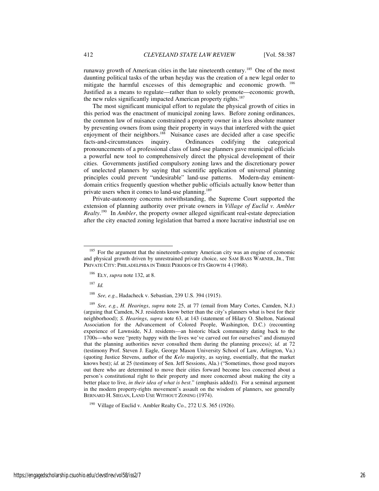runaway growth of American cities in the late nineteenth century.<sup>185</sup> One of the most daunting political tasks of the urban heyday was the creation of a new legal order to mitigate the harmful excesses of this demographic and economic growth.<sup>186</sup> Justified as a means to regulate—rather than to solely promote—economic growth, the new rules significantly impacted American property rights.<sup>187</sup>

The most significant municipal effort to regulate the physical growth of cities in this period was the enactment of municipal zoning laws. Before zoning ordinances, the common law of nuisance constrained a property owner in a less absolute manner by preventing owners from using their property in ways that interfered with the quiet enjoyment of their neighbors.<sup>188</sup> Nuisance cases are decided after a case specific facts-and-circumstances inquiry. Ordinances codifying the categorical Ordinances codifying the categorical pronouncements of a professional class of land-use planners gave municipal officials a powerful new tool to comprehensively direct the physical development of their cities. Governments justified compulsory zoning laws and the discretionary power of unelected planners by saying that scientific application of universal planning principles could prevent "undesirable" land-use patterns. Modern-day eminentdomain critics frequently question whether public officials actually know better than private users when it comes to land-use planning.<sup>189</sup>

Private-autonomy concerns notwithstanding, the Supreme Court supported the extension of planning authority over private owners in *Village of Euclid v. Ambler Realty*. <sup>190</sup> In *Ambler*, the property owner alleged significant real-estate depreciation after the city enacted zoning legislation that barred a more lucrative industrial use on

<sup>186</sup> ELY, *supra* note 132, at 8.

<sup>187</sup> *Id.*

l

<sup>188</sup> *See, e.g.*, Hadacheck v. Sebastian, 239 U.S. 394 (1915).

<sup>189</sup> *See, e.g.*, *H. Hearings*, *supra* note 25, at 77 (email from Mary Cortes, Camden, N.J.) (arguing that Camden, N.J. residents know better than the city's planners what is best for their neighborhood); *S. Hearings*, *supra* note 63, at 143 (statement of Hilary O. Shelton, National Association for the Advancement of Colored People, Washington, D.C.) (recounting experience of Lawnside, N.J. residents—an historic black community dating back to the 1700s—who were "pretty happy with the lives we've carved out for ourselves" and dismayed that the planning authorities never consulted them during the planning process); *id.* at 72 (testimony Prof. Steven J. Eagle, George Mason University School of Law, Arlington, Va.) (quoting Justice Stevens, author of the *Kelo* majority, as saying, essentially, that the market knows best); *id.* at 25 (testimony of Sen. Jeff Sessions, Ala.) ("Sometimes, those good mayors out there who are determined to move their cities forward become less concerned about a person's constitutional right to their property and more concerned about making the city a better place to live, *in their idea of what is best*." (emphasis added)). For a seminal argument in the modern property-rights movement's assault on the wisdom of planners, see generally BERNARD H. SIEGAN, LAND USE WITHOUT ZONING (1974).

Village of Euclid v. Ambler Realty Co., 272 U.S. 365 (1926).

<sup>&</sup>lt;sup>185</sup> For the argument that the nineteenth-century American city was an engine of economic and physical growth driven by unrestrained private choice, see SAM BASS WARNER, JR., THE PRIVATE CITY: PHILADELPHIA IN THREE PERIODS OF ITS GROWTH 4 (1968).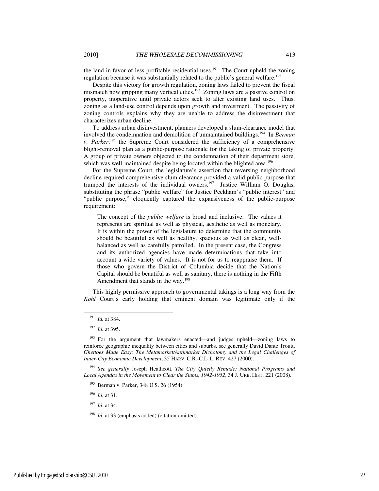the land in favor of less profitable residential uses.<sup>191</sup> The Court upheld the zoning

regulation because it was substantially related to the public's general welfare.<sup>192</sup> Despite this victory for growth regulation, zoning laws failed to prevent the fiscal

mismatch now gripping many vertical cities.<sup>193</sup> Zoning laws are a passive control on property, inoperative until private actors seek to alter existing land uses. Thus, zoning as a land-use control depends upon growth and investment. The passivity of zoning controls explains why they are unable to address the disinvestment that characterizes urban decline.

To address urban disinvestment, planners developed a slum-clearance model that involved the condemnation and demolition of unmaintained buildings.<sup>194</sup> In *Berman v. Parker*, <sup>195</sup> the Supreme Court considered the sufficiency of a comprehensive blight-removal plan as a public-purpose rationale for the taking of private property. A group of private owners objected to the condemnation of their department store, which was well-maintained despite being located within the blighted area.<sup>196</sup>

For the Supreme Court, the legislature's assertion that reversing neighborhood decline required comprehensive slum clearance provided a valid public purpose that trumped the interests of the individual owners.<sup>197</sup> Justice William O. Douglas, substituting the phrase "public welfare" for Justice Peckham's "public interest" and "public purpose," eloquently captured the expansiveness of the public-purpose requirement:

The concept of the *public welfare* is broad and inclusive. The values it represents are spiritual as well as physical, aesthetic as well as monetary. It is within the power of the legislature to determine that the community should be beautiful as well as healthy, spacious as well as clean, wellbalanced as well as carefully patrolled. In the present case, the Congress and its authorized agencies have made determinations that take into account a wide variety of values. It is not for us to reappraise them. If those who govern the District of Columbia decide that the Nation's Capital should be beautiful as well as sanitary, there is nothing in the Fifth Amendment that stands in the way.<sup>198</sup>

This highly permissive approach to governmental takings is a long way from the *Kohl* Court's early holding that eminent domain was legitimate only if the

-

<sup>194</sup> *See generally* Joseph Heathcott, *The City Quietly Remade: National Programs and Local Agendas in the Movement to Clear the Slums, 1942-1952*, 34 J. URB. HIST. 221 (2008).

<sup>196</sup> *Id.* at 31.

<sup>197</sup> *Id.* at 34.

<sup>198</sup> *Id.* at 33 (emphasis added) (citation omitted).

<sup>191</sup> *Id.* at 384.

<sup>192</sup> *Id.* at 395.

 $193$  For the argument that lawmakers enacted—and judges upheld—zoning laws to reinforce geographic inequality between cities and suburbs, see generally David Dante Troutt, *Ghettoes Made Easy: The Metamarket/Antimarket Dichotomy and the Legal Challenges of Inner-City Economic Development*, 35 HARV. C.R.-C.L. L. REV. 427 (2000).

<sup>195</sup> Berman v. Parker, 348 U.S. 26 (1954).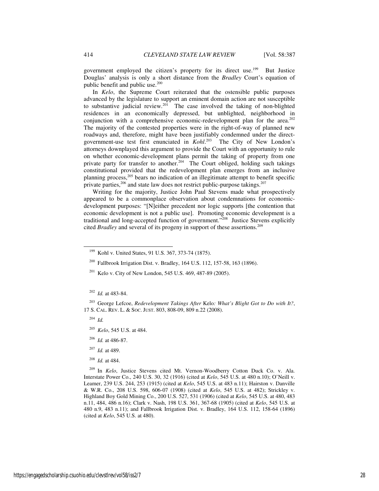government employed the citizen's property for its direct use.<sup>199</sup> But Justice Douglas' analysis is only a short distance from the *Bradley* Court's equation of public benefit and public use. $200$ 

In *Kelo*, the Supreme Court reiterated that the ostensible public purposes advanced by the legislature to support an eminent domain action are not susceptible to substantive judicial review. $201$  The case involved the taking of non-blighted residences in an economically depressed, but unblighted, neighborhood in conjunction with a comprehensive economic-redevelopment plan for the area.<sup>202</sup> The majority of the contested properties were in the right-of-way of planned new roadways and, therefore, might have been justifiably condemned under the directgovernment-use test first enunciated in *Kohl*. The City of New London's attorneys downplayed this argument to provide the Court with an opportunity to rule on whether economic-development plans permit the taking of property from one private party for transfer to another.<sup>204</sup> The Court obliged, holding such takings constitutional provided that the redevelopment plan emerges from an inclusive planning process,<sup>205</sup> bears no indication of an illegitimate attempt to benefit specific private parties, $206$  and state law does not restrict public-purpose takings. $207$ 

Writing for the majority, Justice John Paul Stevens made what prospectively appeared to be a commonplace observation about condemnations for economicdevelopment purposes: "[N]either precedent nor logic supports [the contention that economic development is not a public use]. Promoting economic development is a traditional and long-accepted function of government."<sup>208</sup> Justice Stevens explicitly cited *Bradley* and several of its progeny in support of these assertions.<sup>209</sup>

<sup>203</sup> George Lefcoe, *Redevelopment Takings After* Kelo*: What's Blight Got to Do with It?*, 17 S. CAL. REV. L. & SOC. JUST. 803, 808-09, 809 n.22 (2008).

<sup>204</sup> *Id.*

-

- <sup>205</sup> *Kelo*, 545 U.S. at 484.
- <sup>206</sup> *Id.* at 486-87.
- <sup>207</sup> *Id.* at 489.
- <sup>208</sup> *Id.* at 484.

In *Kelo*, Justice Stevens cited Mt. Vernon-Woodberry Cotton Duck Co. v. Ala. Interstate Power Co., 240 U.S. 30, 32 (1916) (cited at *Kelo*, 545 U.S. at 480 n.10); O'Neill v. Leamer, 239 U.S. 244, 253 (1915) (cited at *Kelo*, 545 U.S. at 483 n.11); Hairston v. Danville & W.R. Co., 208 U.S. 598, 606-07 (1908) (cited at *Kelo*, 545 U.S. at 482); Strickley v. Highland Boy Gold Mining Co., 200 U.S. 527, 531 (1906) (cited at *Kelo*, 545 U.S. at 480, 483 n.11, 484, 486 n.16); Clark v. Nash, 198 U.S. 361, 367-68 (1905) (cited at *Kelo*, 545 U.S. at 480 n.9, 483 n.11); and Fallbrook Irrigation Dist. v. Bradley, 164 U.S. 112, 158-64 (1896) (cited at *Kelo*, 545 U.S. at 480).

<sup>199</sup> Kohl v. United States, 91 U.S. 367, 373-74 (1875).

<sup>200</sup> Fallbrook Irrigation Dist. v. Bradley, 164 U.S. 112, 157-58, 163 (1896).

<sup>&</sup>lt;sup>201</sup> Kelo v. City of New London, 545 U.S. 469, 487-89 (2005).

<sup>202</sup> *Id.* at 483-84.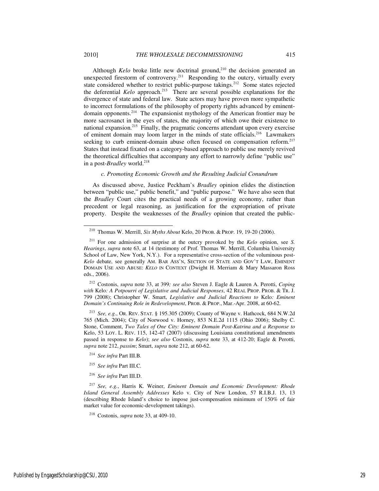Although *Kelo* broke little new doctrinal ground,<sup>210</sup> the decision generated an unexpected firestorm of controversy.<sup>211</sup> Responding to the outcry, virtually every state considered whether to restrict public-purpose takings.<sup>212</sup> Some states rejected the deferential *Kelo* approach.<sup>213</sup> There are several possible explanations for the divergence of state and federal law. State actors may have proven more sympathetic to incorrect formulations of the philosophy of property rights advanced by eminentdomain opponents.<sup>214</sup> The expansionist mythology of the American frontier may be more sacrosanct in the eyes of states, the majority of which owe their existence to national expansion.<sup>215</sup> Finally, the pragmatic concerns attendant upon every exercise of eminent domain may loom larger in the minds of state officials.<sup>216</sup> Lawmakers seeking to curb eminent-domain abuse often focused on compensation reform.<sup>217</sup> States that instead fixated on a category-based approach to public use merely revived the theoretical difficulties that accompany any effort to narrowly define "public use" in a post-*Bradley* world.<sup>218</sup>

#### *c. Promoting Economic Growth and the Resulting Judicial Conundrum*

As discussed above, Justice Peckham's *Bradley* opinion elides the distinction between "public use," public benefit," and "public purpose." We have also seen that the *Bradley* Court cites the practical needs of a growing economy, rather than precedent or legal reasoning, as justification for the expropriation of private property. Despite the weaknesses of the *Bradley* opinion that created the public-

<sup>212</sup> Costonis, *supra* note 33, at 399*; see also* Steven J. Eagle & Lauren A. Perotti, *Coping with* Kelo*: A Potpourri of Legislative and Judicial Responses*, 42 REAL PROP. PROB. & TR. J. 799 (2008); Christopher W. Smart, *Legislative and Judicial Reactions to* Kelo*: Eminent Domain's Continuing Role in Redevelopment*, PROB. & PROP., Mar.-Apr. 2008, at 60-62.

<sup>213</sup> *See, e.g.*, OR. REV. STAT. § 195.305 (2009); County of Wayne v. Hathcock, 684 N.W.2d 765 (Mich. 2004); City of Norwood v. Horney, 853 N.E.2d 1115 (Ohio 2006); Shelby C. Stone, Comment, *Two Tales of One City: Eminent Domain Post-Katrina and a Response to*  Kelo, 53 LOY. L. REV. 115, 142-47 (2007) (discussing Louisiana constitutional amendments passed in response to *Kelo*); *see also* Costonis, *supra* note 33, at 412-20; Eagle & Perotti, *supra* note 212, *passim*; Smart, *supra* note 212, at 60-62.

<sup>214</sup> *See infra* Part III.B.

-

<sup>215</sup> *See infra* Part III.C.

<sup>216</sup> *See infra* Part III.D.

<sup>217</sup> *See, e.g.*, Harris K. Weiner, *Eminent Domain and Economic Development: Rhode Island General Assembly Addresses* Kelo v. City of New London, 57 R.I.B.J. 13, 13 (describing Rhode Island's choice to impose just-compensation minimum of 150% of fair market value for economic-development takings).

<sup>210</sup> Thomas W. Merrill, *Six Myths About* Kelo, 20 PROB. & PROP. 19, 19-20 (2006).

<sup>211</sup> For one admission of surprise at the outcry provoked by the *Kelo* opinion, see *S. Hearings*, *supra* note 63, at 14 (testimony of Prof. Thomas W. Merrill, Columbia University School of Law, New York, N.Y.). For a representative cross-section of the voluminous post-*Kelo* debate, see generally AM. BAR ASS'N, SECTION OF STATE AND GOV'T LAW, EMINENT DOMAIN USE AND ABUSE: *KELO* IN CONTEXT (Dwight H. Merriam & Mary Massaron Ross eds., 2006).

<sup>218</sup> Costonis, *supra* note 33, at 409-10.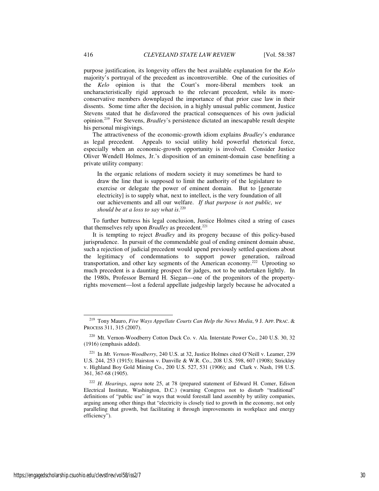purpose justification, its longevity offers the best available explanation for the *Kelo*  majority's portrayal of the precedent as incontrovertible. One of the curiosities of the *Kelo* opinion is that the Court's more-liberal members took an uncharacteristically rigid approach to the relevant precedent, while its moreconservative members downplayed the importance of that prior case law in their dissents. Some time after the decision, in a highly unusual public comment, Justice Stevens stated that he disfavored the practical consequences of his own judicial opinion.<sup>219</sup> For Stevens, *Bradley*'s persistence dictated an inescapable result despite his personal misgivings.

The attractiveness of the economic-growth idiom explains *Bradley*'s endurance as legal precedent. Appeals to social utility hold powerful rhetorical force, especially when an economic-growth opportunity is involved. Consider Justice Oliver Wendell Holmes, Jr.'s disposition of an eminent-domain case benefiting a private utility company:

In the organic relations of modern society it may sometimes be hard to draw the line that is supposed to limit the authority of the legislature to exercise or delegate the power of eminent domain. But to [generate electricity] is to supply what, next to intellect, is the very foundation of all our achievements and all our welfare. *If that purpose is not public, we should be at a loss to say what is*. 220

To further buttress his legal conclusion, Justice Holmes cited a string of cases that themselves rely upon *Bradley* as precedent.<sup>221</sup>

It is tempting to reject *Bradley* and its progeny because of this policy-based jurisprudence. In pursuit of the commendable goal of ending eminent domain abuse, such a rejection of judicial precedent would upend previously settled questions about the legitimacy of condemnations to support power generation, railroad transportation, and other key segments of the American economy.<sup>222</sup> Uprooting so much precedent is a daunting prospect for judges, not to be undertaken lightly. In the 1980s, Professor Bernard H. Siegan—one of the progenitors of the propertyrights movement—lost a federal appellate judgeship largely because he advocated a

-

<sup>219</sup> Tony Mauro, *Five Ways Appellate Courts Can Help the News Media*, 9 J. APP. PRAC. & PROCESS 311, 315 (2007).

<sup>220</sup> Mt. Vernon-Woodberry Cotton Duck Co. v. Ala. Interstate Power Co., 240 U.S. 30, 32 (1916) (emphasis added).

<sup>221</sup> In *Mt. Vernon-Woodberry*, 240 U.S. at 32, Justice Holmes cited O'Neill v. Leamer, 239 U.S. 244, 253 (1915); Hairston v. Danville & W.R. Co., 208 U.S. 598, 607 (1908); Strickley v. Highland Boy Gold Mining Co., 200 U.S. 527, 531 (1906); and Clark v. Nash, 198 U.S. 361, 367-68 (1905).

<sup>222</sup> *H. Hearings*, *supra* note 25, at 78 (prepared statement of Edward H. Comer, Edison Electrical Institute, Washington, D.C.) (warning Congress not to disturb "traditional" definitions of "public use" in ways that would forestall land assembly by utility companies, arguing among other things that "electricity is closely tied to growth in the economy, not only paralleling that growth, but facilitating it through improvements in workplace and energy efficiency").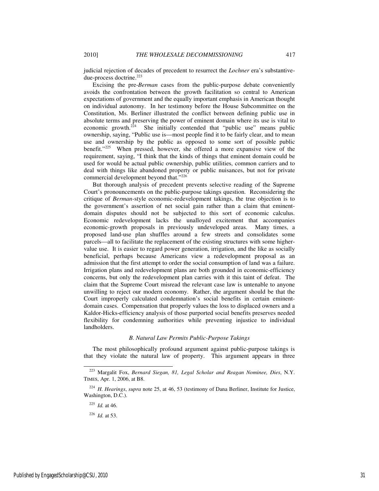judicial rejection of decades of precedent to resurrect the *Lochner* era's substantivedue-process doctrine.<sup>223</sup>

Excising the pre-*Berman* cases from the public-purpose debate conveniently avoids the confrontation between the growth facilitation so central to American expectations of government and the equally important emphasis in American thought on individual autonomy. In her testimony before the House Subcommittee on the Constitution, Ms. Berliner illustrated the conflict between defining public use in absolute terms and preserving the power of eminent domain where its use is vital to economic growth.<sup>224</sup> She initially contended that "public use" means public ownership, saying, "Public use is—most people find it to be fairly clear, and to mean use and ownership by the public as opposed to some sort of possible public benefit."<sup>225</sup> When pressed, however, she offered a more expansive view of the requirement, saying, "I think that the kinds of things that eminent domain could be used for would be actual public ownership, public utilities, common carriers and to deal with things like abandoned property or public nuisances, but not for private commercial development beyond that."<sup>226</sup>

But thorough analysis of precedent prevents selective reading of the Supreme Court's pronouncements on the public-purpose takings question. Reconsidering the critique of *Berman*-style economic-redevelopment takings, the true objection is to the government's assertion of net social gain rather than a claim that eminentdomain disputes should not be subjected to this sort of economic calculus. Economic redevelopment lacks the unalloyed excitement that accompanies economic-growth proposals in previously undeveloped areas. Many times, a proposed land-use plan shuffles around a few streets and consolidates some parcels—all to facilitate the replacement of the existing structures with some highervalue use. It is easier to regard power generation, irrigation, and the like as socially beneficial, perhaps because Americans view a redevelopment proposal as an admission that the first attempt to order the social consumption of land was a failure. Irrigation plans and redevelopment plans are both grounded in economic-efficiency concerns, but only the redevelopment plan carries with it this taint of defeat. The claim that the Supreme Court misread the relevant case law is untenable to anyone unwilling to reject our modern economy. Rather, the argument should be that the Court improperly calculated condemnation's social benefits in certain eminentdomain cases. Compensation that properly values the loss to displaced owners and a Kaldor-Hicks-efficiency analysis of those purported social benefits preserves needed flexibility for condemning authorities while preventing injustice to individual landholders.

## *B. Natural Law Permits Public-Purpose Takings*

The most philosophically profound argument against public-purpose takings is that they violate the natural law of property. This argument appears in three

l

<sup>223</sup> Margalit Fox, *Bernard Siegan, 81, Legal Scholar and Reagan Nominee, Dies*, N.Y. TIMES, Apr. 1, 2006, at B8.

<sup>224</sup> *H. Hearings*, *supra* note 25, at 46, 53 (testimony of Dana Berliner, Institute for Justice, Washington, D.C.).

<sup>225</sup> *Id.* at 46.

<sup>226</sup> *Id.* at 53.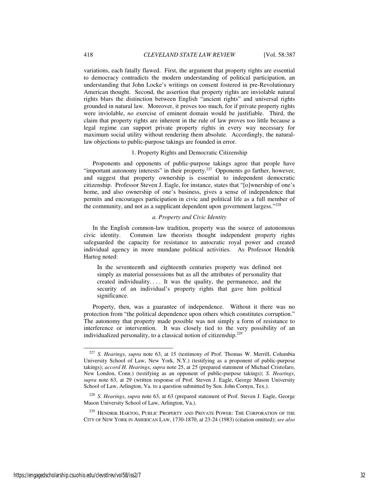variations, each fatally flawed. First, the argument that property rights are essential to democracy contradicts the modern understanding of political participation, an understanding that John Locke's writings on consent fostered in pre-Revolutionary American thought. Second, the assertion that property rights are inviolable natural rights blurs the distinction between English "ancient rights" and universal rights grounded in natural law. Moreover, it proves too much, for if private property rights were inviolable, *no* exercise of eminent domain would be justifiable. Third, the claim that property rights are inherent in the rule of law proves too little because a legal regime can support private property rights in every way necessary for maximum social utility without rendering them absolute. Accordingly, the naturallaw objections to public-purpose takings are founded in error.

## 1. Property Rights and Democratic Citizenship

Proponents and opponents of public-purpose takings agree that people have "important autonomy interests" in their property.<sup>227</sup> Opponents go farther, however, and suggest that property ownership is essential to independent democratic citizenship. Professor Steven J. Eagle, for instance, states that "[o]wnership of one's home, and also ownership of one's business, gives a sense of independence that permits and encourages participation in civic and political life as a full member of the community, and not as a supplicant dependent upon government largess."<sup>228</sup>

# *a. Property and Civic Identity*

In the English common-law tradition, property was the source of autonomous civic identity. Common law theorists thought independent property rights safeguarded the capacity for resistance to autocratic royal power and created individual agency in more mundane political activities. As Professor Hendrik Hartog noted:

In the seventeenth and eighteenth centuries property was defined not simply as material possessions but as all the attributes of personality that created individuality. . . . It was the quality, the permanence, and the security of an individual's property rights that gave him political significance.

Property, then, was a guarantee of independence. Without it there was no protection from "the political dependence upon others which constitutes corruption." The autonomy that property made possible was not simply a form of resistance to interference or intervention. It was closely tied to the very possibility of an individualized personality, to a classical notion of citizenship. $229$ 

-

<sup>227</sup> *S. Hearings*, *supra* note 63, at 15 (testimony of Prof. Thomas W. Merrill, Columbia University School of Law, New York, N.Y.) (testifying as a proponent of public-purpose takings); *accord H. Hearings*, *supra* note 25, at 25 (prepared statement of Michael Cristofaro, New London, Conn.) (testifying as an opponent of public-purpose takings); *S. Hearings*, *supra* note 63, at 29 (written response of Prof. Steven J. Eagle, George Mason University School of Law, Arlington, Va. to a question submitted by Sen. John Cornyn, Tex.).

<sup>228</sup> *S. Hearings*, *supra* note 63, at 63 (prepared statement of Prof. Steven J. Eagle, George Mason University School of Law, Arlington, Va.).

<sup>&</sup>lt;sup>229</sup> HENDRIK HARTOG, PUBLIC PROPERTY AND PRIVATE POWER: THE CORPORATION OF THE CITY OF NEW YORK IN AMERICAN LAW, 1730-1870, at 23-24 (1983) (citation omitted); *see also*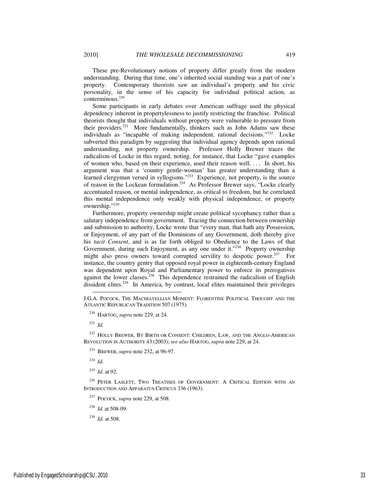These pre-Revolutionary notions of property differ greatly from the modern understanding. During that time, one's inherited social standing was a part of one's property. Contemporary theorists saw an individual's property and his civic personality, in the sense of his capacity for individual political action, as conterminous.<sup>230</sup>

Some participants in early debates over American suffrage used the physical dependency inherent in propertylessness to justify restricting the franchise. Political theorists thought that individuals without property were vulnerable to pressure from their providers.<sup>231</sup> More fundamentally, thinkers such as John Adams saw these individuals as "incapable of making independent, rational decisions."<sup>232</sup> Locke subverted this paradigm by suggesting that individual agency depends upon rational understanding, not property ownership. Professor Holly Brewer traces the radicalism of Locke in this regard, noting, for instance, that Locke "gave examples of women who, based on their experience, used their reason well. . . . In short, his argument was that a 'country gentle-woman' has greater understanding than a learned clergyman versed in syllogisms."<sup>233</sup> Experience, not property, is the source of reason in the Lockean formulation.<sup>234</sup> As Professor Brewer says, "Locke clearly accentuated reason, or mental independence, as critical to freedom, but he correlated this mental independence only weakly with physical independence, or property ownership."235

Furthermore, property ownership might create political sycophancy rather than a salutary independence from government. Tracing the connection between ownership and submission to authority, Locke wrote that "every man, that hath any Possession, or Enjoyment, of any part of the Dominions of any Government, doth thereby give his *tacit Consent*, and is as far forth obliged to Obedience to the Laws of that Government, during such Enjoyment, as any one under it."<sup>236</sup> Property ownership might also press owners toward corrupted servility to despotic power.<sup>237</sup> For instance, the country gentry that opposed royal power in eighteenth-century England was dependent upon Royal and Parliamentary power to enforce its prerogatives against the lower classes.<sup>238</sup> This dependence restrained the radicalism of English dissident elites.<sup>239</sup> In America, by contrast, local elites maintained their privileges

 $^{231}$  *Id.* 

l

<sup>232</sup> HOLLY BREWER, BY BIRTH OR CONSENT: CHILDREN, LAW, AND THE ANGLO-AMERICAN REVOLUTION IN AUTHORITY 43 (2003); *see also* HARTOG, *supra* note 229, at 24.

<sup>233</sup> BREWER, *supra* note 232, at 96-97.

<sup>234</sup> *Id.*

<sup>235</sup> *Id.* at 92.

<sup>236</sup> PETER LASLETT, TWO TREATISES OF GOVERNMENT: A CRITICAL EDITION WITH AN INTRODUCTION AND APPARATUS CRITICUS 336 (1963).

<sup>237</sup> POCOCK, *supra* note 229, at 508.

<sup>238</sup> *Id.* at 508-09.

<sup>239</sup> *Id.* at 508.

J.G.A. POCOCK, THE MACHIAVELLIAN MOMENT: FLORENTINE POLITICAL THOUGHT AND THE ATLANTIC REPUBLICAN TRADITION 507 (1975).

<sup>230</sup> HARTOG, *supra* note 229, at 24.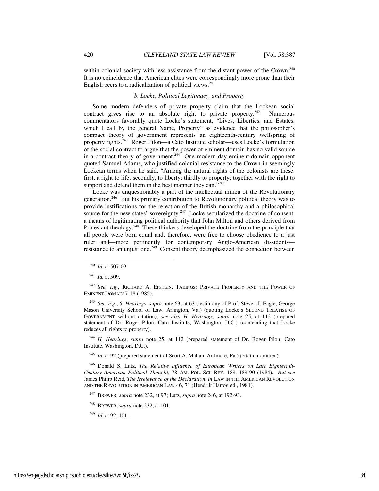within colonial society with less assistance from the distant power of the Crown.<sup>240</sup> It is no coincidence that American elites were correspondingly more prone than their English peers to a radicalization of political views. $241$ 

# *b. Locke, Political Legitimacy, and Property*

Some modern defenders of private property claim that the Lockean social contract gives rise to an absolute right to private property. $242$  Numerous commentators favorably quote Locke's statement, "Lives, Liberties, and Estates, which I call by the general Name, Property" as evidence that the philosopher's compact theory of government represents an eighteenth-century wellspring of property rights.<sup>243</sup> Roger Pilon—a Cato Institute scholar—uses Locke's formulation of the social contract to argue that the power of eminent domain has no valid source in a contract theory of government.<sup>244</sup> One modern day eminent-domain opponent quoted Samuel Adams, who justified colonial resistance to the Crown in seemingly Lockean terms when he said, "Among the natural rights of the colonists are these: first, a right to life; secondly, to liberty; thirdly to property; together with the right to support and defend them in the best manner they can."<sup>245</sup>

Locke was unquestionably a part of the intellectual milieu of the Revolutionary generation.<sup>246</sup> But his primary contribution to Revolutionary political theory was to provide justifications for the rejection of the British monarchy and a philosophical source for the new states' sovereignty. $247$  Locke secularized the doctrine of consent, a means of legitimating political authority that John Milton and others derived from Protestant theology.<sup>248</sup> These thinkers developed the doctrine from the principle that all people were born equal and, therefore, were free to choose obedience to a just ruler and—more pertinently for contemporary Anglo-American dissidents resistance to an unjust one.<sup>249</sup> Consent theory deemphasized the connection between

-

<sup>243</sup> *See, e.g.*, *S. Hearings*, *supra* note 63, at 63 (testimony of Prof. Steven J. Eagle, George Mason University School of Law, Arlington, Va.) (quoting Locke's SECOND TREATISE OF GOVERNMENT without citation); *see also H. Hearings*, *supra* note 25, at 112 (prepared statement of Dr. Roger Pilon, Cato Institute, Washington, D.C.) (contending that Locke reduces all rights to property).

<sup>244</sup> *H. Hearings*, *supra* note 25, at 112 (prepared statement of Dr. Roger Pilon, Cato Institute, Washington, D.C.).

<sup>245</sup> *Id.* at 92 (prepared statement of Scott A. Mahan, Ardmore, Pa.) (citation omitted).

<sup>246</sup> Donald S. Lutz, *The Relative Influence of European Writers on Late Eighteenth-Century American Political Thought*, 78 AM. POL. SCI. REV. 189, 189-90 (1984). *But see*  James Philip Reid, *The Irrelevance of the Declaration*, *in* LAW IN THE AMERICAN REVOLUTION AND THE REVOLUTION IN AMERICAN LAW 46, 71 (Hendrik Hartog ed., 1981).

<sup>247</sup> BREWER, *supra* note 232, at 97; Lutz, *supra* note 246, at 192-93.

<sup>248</sup> BREWER, *supra* note 232, at 101.

<sup>249</sup> *Id.* at 92, 101.

<sup>240</sup> *Id.* at 507-09.

<sup>241</sup> *Id.* at 509.

<sup>&</sup>lt;sup>242</sup> See, e.g., RICHARD A. EPSTEIN, TAKINGS: PRIVATE PROPERTY AND THE POWER OF EMINENT DOMAIN 7-18 (1985).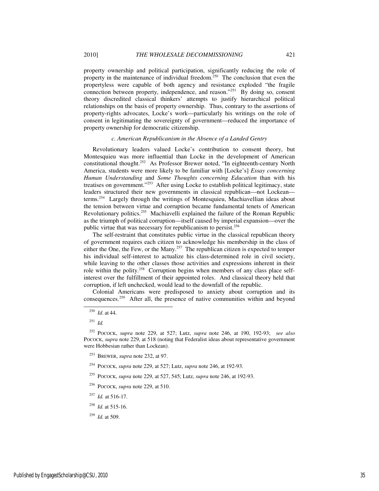property ownership and political participation, significantly reducing the role of property in the maintenance of individual freedom.<sup>250</sup> The conclusion that even the propertyless were capable of both agency and resistance exploded "the fragile connection between property, independence, and reason."<sup>251</sup> By doing so, consent theory discredited classical thinkers' attempts to justify hierarchical political relationships on the basis of property ownership. Thus, contrary to the assertions of property-rights advocates, Locke's work—particularly his writings on the role of consent in legitimating the sovereignty of government—reduced the importance of property ownership for democratic citizenship.

#### *c. American Republicanism in the Absence of a Landed Gentry*

Revolutionary leaders valued Locke's contribution to consent theory, but Montesquieu was more influential than Locke in the development of American constitutional thought.<sup>252</sup> As Professor Brewer noted, "In eighteenth-century North America, students were more likely to be familiar with [Locke's] *Essay concerning Human Understanding* and *Some Thoughts concerning Education* than with his treatises on government."<sup>253</sup> After using Locke to establish political legitimacy, state leaders structured their new governments in classical republican—not Lockean terms.<sup>254</sup> Largely through the writings of Montesquieu, Machiavellian ideas about the tension between virtue and corruption became fundamental tenets of American Revolutionary politics.<sup>255</sup> Machiavelli explained the failure of the Roman Republic as the triumph of political corruption—itself caused by imperial expansion—over the public virtue that was necessary for republicanism to persist.<sup>256</sup>

The self-restraint that constitutes public virtue in the classical republican theory of government requires each citizen to acknowledge his membership in the class of either the One, the Few, or the Many.<sup>257</sup> The republican citizen is expected to temper his individual self-interest to actualize his class-determined role in civil society, while leaving to the other classes those activities and expressions inherent in their role within the polity.258 Corruption begins when members of any class place selfinterest over the fulfillment of their appointed roles. And classical theory held that corruption, if left unchecked, would lead to the downfall of the republic.

Colonial Americans were predisposed to anxiety about corruption and its consequences.<sup>259</sup> After all, the presence of native communities within and beyond

j

<sup>252</sup> POCOCK, *supra* note 229, at 527; Lutz, *supra* note 246, at 190, 192-93; *see also*  POCOCK, *supra* note 229, at 518 (noting that Federalist ideas about representative government were Hobbesian rather than Lockean).

<sup>253</sup> BREWER, *supra* note 232, at 97.

<sup>254</sup> POCOCK, *supra* note 229, at 527; Lutz, *supra* note 246, at 192-93.

- <sup>255</sup> POCOCK, *supra* note 229, at 527, 545; Lutz, *supra* note 246, at 192-93.
- <sup>256</sup> POCOCK, *supra* note 229, at 510.
- <sup>257</sup> *Id.* at 516-17.
- <sup>258</sup> *Id.* at 515-16.
- <sup>259</sup> *Id.* at 509.

<sup>250</sup> *Id*. at 44.

<sup>251</sup> *Id.*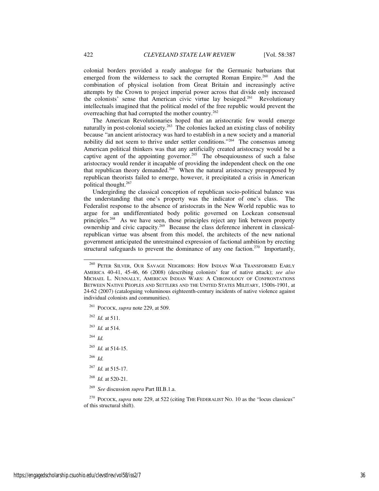colonial borders provided a ready analogue for the Germanic barbarians that emerged from the wilderness to sack the corrupted Roman Empire.<sup>260</sup> And the combination of physical isolation from Great Britain and increasingly active attempts by the Crown to project imperial power across that divide only increased the colonists' sense that American civic virtue lay besieged.<sup>261</sup> Revolutionary intellectuals imagined that the political model of the free republic would prevent the overreaching that had corrupted the mother country.<sup>262</sup>

The American Revolutionaries hoped that an aristocratic few would emerge naturally in post-colonial society.<sup>263</sup> The colonies lacked an existing class of nobility because "an ancient aristocracy was hard to establish in a new society and a manorial nobility did not seem to thrive under settler conditions."<sup>264</sup> The consensus among American political thinkers was that any artificially created aristocracy would be a captive agent of the appointing governor.<sup>265</sup> The obsequiousness of such a false aristocracy would render it incapable of providing the independent check on the one that republican theory demanded.<sup>266</sup> When the natural aristocracy presupposed by republican theorists failed to emerge, however, it precipitated a crisis in American political thought.<sup>267</sup>

Undergirding the classical conception of republican socio-political balance was the understanding that one's property was the indicator of one's class. The Federalist response to the absence of aristocrats in the New World republic was to argue for an undifferentiated body politic governed on Lockean consensual principles.<sup>268</sup> As we have seen, those principles reject any link between property ownership and civic capacity.269 Because the class deference inherent in classicalrepublican virtue was absent from this model, the architects of the new national government anticipated the unrestrained expression of factional ambition by erecting structural safeguards to prevent the dominance of any one faction.<sup>270</sup> Importantly,

- <sup>261</sup> POCOCK, *supra* note 229, at 509.
- <sup>262</sup> *Id.* at 511.
- <sup>263</sup> *Id.* at 514.
- <sup>264</sup> *Id.*

j

- <sup>265</sup> *Id.* at 514-15.
- <sup>266</sup> *Id.*
- <sup>267</sup> *Id.* at 515-17.
- <sup>268</sup> *Id.* at 520-21.
- <sup>269</sup> *See* discussion *supra* Part III.B.1.a.

<sup>270</sup> POCOCK, *supra* note 229, at 522 (citing THE FEDERALIST NO. 10 as the "locus classicus" of this structural shift).

<sup>&</sup>lt;sup>260</sup> PETER SILVER, OUR SAVAGE NEIGHBORS: HOW INDIAN WAR TRANSFORMED EARLY AMERICA 40-41, 45-46, 66 (2008) (describing colonists' fear of native attack); *see also*  MICHAEL L. NUNNALLY, AMERICAN INDIAN WARS: A CHRONOLOGY OF CONFRONTATIONS BETWEEN NATIVE PEOPLES AND SETTLERS AND THE UNITED STATES MILITARY, 1500S-1901, at 24-62 (2007) (cataloguing voluminous eighteenth-century incidents of native violence against individual colonists and communities).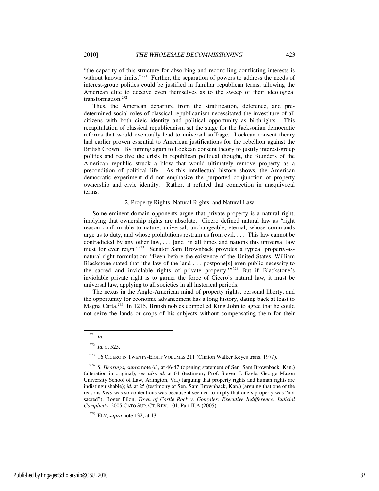"the capacity of this structure for absorbing and reconciling conflicting interests is without known limits."<sup>271</sup> Further, the separation of powers to address the needs of interest-group politics could be justified in familiar republican terms, allowing the American elite to deceive even themselves as to the sweep of their ideological transformation.<sup>272</sup>

Thus, the American departure from the stratification, deference, and predetermined social roles of classical republicanism necessitated the investiture of all citizens with both civic identity and political opportunity as birthrights. This recapitulation of classical republicanism set the stage for the Jacksonian democratic reforms that would eventually lead to universal suffrage. Lockean consent theory had earlier proven essential to American justifications for the rebellion against the British Crown. By turning again to Lockean consent theory to justify interest-group politics and resolve the crisis in republican political thought, the founders of the American republic struck a blow that would ultimately remove property as a precondition of political life. As this intellectual history shows, the American democratic experiment did not emphasize the purported conjunction of property ownership and civic identity. Rather, it refuted that connection in unequivocal terms.

#### 2. Property Rights, Natural Rights, and Natural Law

Some eminent-domain opponents argue that private property is a natural right, implying that ownership rights are absolute. Cicero defined natural law as "right reason conformable to nature, universal, unchangeable, eternal, whose commands urge us to duty, and whose prohibitions restrain us from evil. . . . This law cannot be contradicted by any other law, . . . [and] in all times and nations this universal law must for ever reign."273 Senator Sam Brownback provides a typical property-asnatural-right formulation: "Even before the existence of the United States, William Blackstone stated that 'the law of the land . . . postpone[s] even public necessity to the sacred and inviolable rights of private property.'"<sup>274</sup> But if Blackstone's inviolable private right is to garner the force of Cicero's natural law, it must be universal law, applying to all societies in all historical periods.

The nexus in the Anglo-American mind of property rights, personal liberty, and the opportunity for economic advancement has a long history, dating back at least to Magna Carta.<sup>275</sup> In 1215, British nobles compelled King John to agree that he could not seize the lands or crops of his subjects without compensating them for their

j

<sup>271</sup> *Id.*

<sup>272</sup> *Id.* at 525.

<sup>&</sup>lt;sup>273</sup> 16 CICERO IN TWENTY-EIGHT VOLUMES 211 (Clinton Walker Keyes trans. 1977).

<sup>274</sup> *S. Hearings*, *supra* note 63, at 46-47 (opening statement of Sen. Sam Brownback, Kan.) (alteration in original); *see also id.* at 64 (testimony Prof. Steven J. Eagle, George Mason University School of Law, Arlington, Va.) (arguing that property rights and human rights are indistinguishable); *id.* at 25 (testimony of Sen. Sam Brownback, Kan.) (arguing that one of the reasons *Kelo* was so contentious was because it seemed to imply that one's property was "not sacred"); Roger Pilon, *Town of Castle Rock v. Gonzales: Executive Indifference, Judicial Complicity*, 2005 CATO SUP. CT. REV. 101, Part II.A (2005).

<sup>275</sup> ELY, *supra* note 132, at 13.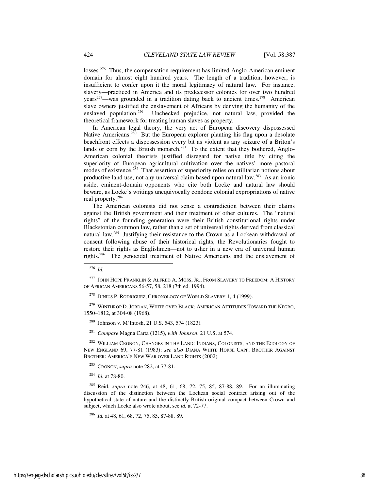losses.<sup>276</sup> Thus, the compensation requirement has limited Anglo-American eminent domain for almost eight hundred years. The length of a tradition, however, is insufficient to confer upon it the moral legitimacy of natural law. For instance, slavery—practiced in America and its predecessor colonies for over two hundred years<sup>277</sup>—was grounded in a tradition dating back to ancient times.<sup>278</sup> American slave owners justified the enslavement of Africans by denying the humanity of the enslaved population.<sup>279</sup> Unchecked prejudice, not natural law, provided the theoretical framework for treating human slaves as property.

In American legal theory, the very act of European discovery dispossessed Native Americans.<sup>280</sup> But the European explorer planting his flag upon a desolate beachfront effects a dispossession every bit as violent as any seizure of a Briton's lands or corn by the British monarch.<sup>281</sup> To the extent that they bothered, Anglo-American colonial theorists justified disregard for native title by citing the superiority of European agricultural cultivation over the natives' more pastoral modes of existence.<sup>282</sup> That assertion of superiority relies on utilitarian notions about productive land use, not any universal claim based upon natural law.<sup>283</sup> As an ironic aside, eminent-domain opponents who cite both Locke and natural law should beware, as Locke's writings unequivocally condone colonial expropriations of native real property.<sup>284</sup>

The American colonists did not sense a contradiction between their claims against the British government and their treatment of other cultures. The "natural rights" of the founding generation were their British constitutional rights under Blackstonian common law, rather than a set of universal rights derived from classical natural law.<sup>285</sup> Justifying their resistance to the Crown as a Lockean withdrawal of consent following abuse of their historical rights, the Revolutionaries fought to restore their rights as Englishmen—not to usher in a new era of universal human rights.<sup>286</sup> The genocidal treatment of Native Americans and the enslavement of

-

 $^{279}$  WINTHROP D. JORDAN, WHITE OVER BLACK: AMERICAN ATTITUDES TOWARD THE NEGRO, 1550–1812, at 304-08 (1968).

<sup>281</sup> *Compare* Magna Carta (1215), *with Johnson*, 21 U.S. at 574.

WILLIAM CRONON, CHANGES IN THE LAND: INDIANS, COLONISTS, AND THE ECOLOGY OF NEW ENGLAND 69, 77-81 (1983); *see also* DIANA WHITE HORSE CAPP, BROTHER AGAINST BROTHER: AMERICA'S NEW WAR OVER LAND RIGHTS (2002).

<sup>283</sup> CRONON, *supra* note 282, at 77-81.

<sup>284</sup> *Id.* at 78-80.

<sup>276</sup> *Id.* 

 $^{277}$  JOHN HOPE FRANKLIN & ALFRED A. MOSS, JR., FROM SLAVERY TO FREEDOM: A HISTORY OF AFRICAN AMERICANS 56-57, 58, 218 (7th ed. 1994).

<sup>278</sup> JUNIUS P. RODRIGUEZ, CHRONOLOGY OF WORLD SLAVERY 1, 4 (1999).

<sup>280</sup> Johnson v. M'Intosh, 21 U.S. 543, 574 (1823).

<sup>285</sup> Reid, *supra* note 246, at 48, 61, 68, 72, 75, 85, 87-88, 89. For an illuminating discussion of the distinction between the Lockean social contract arising out of the hypothetical state of nature and the distinctly British original compact between Crown and subject, which Locke also wrote about, see *id.* at 72-77.

<sup>286</sup> *Id.* at 48, 61, 68, 72, 75, 85, 87-88, 89.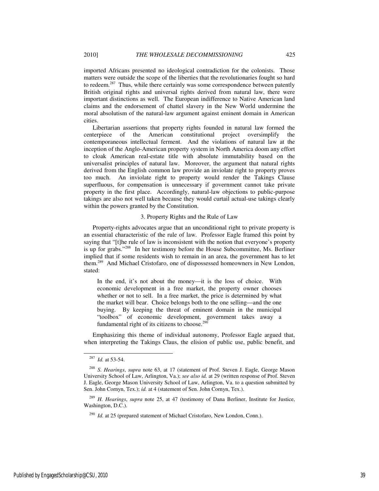imported Africans presented no ideological contradiction for the colonists. Those matters were outside the scope of the liberties that the revolutionaries fought so hard to redeem.<sup>287</sup> Thus, while there certainly was some correspondence between patently British original rights and universal rights derived from natural law, there were important distinctions as well. The European indifference to Native American land claims and the endorsement of chattel slavery in the New World undermine the moral absolutism of the natural-law argument against eminent domain in American

Libertarian assertions that property rights founded in natural law formed the centerpiece of the American constitutional project oversimplify the contemporaneous intellectual ferment. And the violations of natural law at the inception of the Anglo-American property system in North America doom any effort to cloak American real-estate title with absolute immutability based on the universalist principles of natural law. Moreover, the argument that natural rights derived from the English common law provide an inviolate right to property proves too much. An inviolate right to property would render the Takings Clause superfluous, for compensation is unnecessary if government cannot take private property in the first place. Accordingly, natural-law objections to public-purpose takings are also not well taken because they would curtail actual-use takings clearly within the powers granted by the Constitution.

### 3. Property Rights and the Rule of Law

Property-rights advocates argue that an unconditional right to private property is an essential characteristic of the rule of law. Professor Eagle framed this point by saying that "[t]he rule of law is inconsistent with the notion that everyone's property is up for grabs."<sup>288</sup> In her testimony before the House Subcommittee, Ms. Berliner implied that if some residents wish to remain in an area, the government has to let them.<sup>289</sup> And Michael Cristofaro, one of dispossessed homeowners in New London, stated:

In the end, it's not about the money—it is the loss of choice. With economic development in a free market, the property owner chooses whether or not to sell. In a free market, the price is determined by what the market will bear. Choice belongs both to the one selling—and the one buying. By keeping the threat of eminent domain in the municipal "toolbox" of economic development, government takes away a fundamental right of its citizens to choose.<sup>290</sup>

Emphasizing this theme of individual autonomy, Professor Eagle argued that, when interpreting the Takings Claus, the elision of public use, public benefit, and

-

cities.

<sup>287</sup> *Id.* at 53-54.

<sup>288</sup> *S. Hearings*, *supra* note 63, at 17 (statement of Prof. Steven J. Eagle, George Mason University School of Law, Arlington, Va.); *see also id.* at 29 (written response of Prof. Steven J. Eagle, George Mason University School of Law, Arlington, Va. to a question submitted by Sen. John Cornyn, Tex.); *id.* at 4 (statement of Sen. John Cornyn, Tex.).

<sup>289</sup> *H. Hearings*, *supra* note 25, at 47 (testimony of Dana Berliner, Institute for Justice, Washington, D.C.).

<sup>&</sup>lt;sup>290</sup> *Id.* at 25 (prepared statement of Michael Cristofaro, New London, Conn.).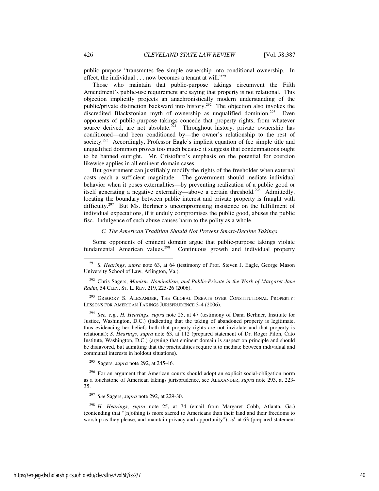public purpose "transmutes fee simple ownership into conditional ownership. In effect, the individual  $\dots$  now becomes a tenant at will."<sup>291</sup>

Those who maintain that public-purpose takings circumvent the Fifth Amendment's public-use requirement are saying that property is not relational. This objection implicitly projects an anachronistically modern understanding of the public/private distinction backward into history.<sup>292</sup> The objection also invokes the discredited Blackstonian myth of ownership as unqualified dominion.<sup>293</sup> Even opponents of public-purpose takings concede that property rights, from whatever source derived, are not absolute.<sup>294</sup> Throughout history, private ownership has conditioned—and been conditioned by—the owner's relationship to the rest of society.<sup>295</sup> Accordingly, Professor Eagle's implicit equation of fee simple title and unqualified dominion proves too much because it suggests that condemnations ought to be banned outright. Mr. Cristofaro's emphasis on the potential for coercion likewise applies in all eminent-domain cases.

But government can justifiably modify the rights of the freeholder when external costs reach a sufficient magnitude. The government should mediate individual behavior when it poses externalities—by preventing realization of a public good or itself generating a negative externality—above a certain threshold.<sup>296</sup> Admittedly, locating the boundary between public interest and private property is fraught with difficulty.<sup>297</sup> But Ms. Berliner's uncompromising insistence on the fulfillment of individual expectations, if it unduly compromises the public good, abuses the public fisc. Indulgence of such abuse causes harm to the polity as a whole.

### *C. The American Tradition Should Not Prevent Smart-Decline Takings*

Some opponents of eminent domain argue that public-purpose takings violate fundamental American values.<sup>298</sup> Continuous growth and individual property

<sup>292</sup> Chris Sagers, *Monism, Nominalism, and Public-Private in the Work of Margaret Jane Radin*, 54 CLEV. ST. L. REV. 219, 225-26 (2006).

<sup>293</sup> GREGORY S. ALEXANDER, THE GLOBAL DEBATE OVER CONSTITUTIONAL PROPERTY: LESSONS FOR AMERICAN TAKINGS JURISPRUDENCE 3-4 (2006).

<sup>294</sup> *See, e.g.*, *H. Hearings*, *supra* note 25, at 47 (testimony of Dana Berliner, Institute for Justice, Washington, D.C.) (indicating that the taking of abandoned property is legitimate, thus evidencing her beliefs both that property rights are not inviolate and that property is relational); *S. Hearings*, *supra* note 63, at 112 (prepared statement of Dr. Roger Pilon, Cato Institute, Washington, D.C.) (arguing that eminent domain is suspect on principle and should be disfavored, but admitting that the practicalities require it to mediate between individual and communal interests in holdout situations).

<sup>295</sup> Sagers, *supra* note 292, at 245-46.

<sup>296</sup> For an argument that American courts should adopt an explicit social-obligation norm as a touchstone of American takings jurisprudence, see ALEXANDER, *supra* note 293, at 223- 35.

<sup>297</sup> *See* Sagers, *supra* note 292, at 229-30.

<sup>298</sup> *H. Hearings*, *supra* note 25, at 74 (email from Margaret Cobb, Atlanta, Ga.) (contending that "[n]othing is more sacred to Americans than their land and their freedoms to worship as they please, and maintain privacy and opportunity"); *id.* at 63 (prepared statement

<sup>291</sup> *S. Hearings*, *supra* note 63, at 64 (testimony of Prof. Steven J. Eagle, George Mason University School of Law, Arlington, Va.).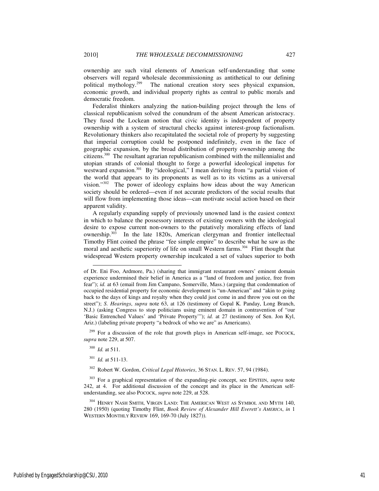ownership are such vital elements of American self-understanding that some observers will regard wholesale decommissioning as antithetical to our defining political mythology.<sup>299</sup> The national creation story sees physical expansion, economic growth, and individual property rights as central to public morals and democratic freedom.

Federalist thinkers analyzing the nation-building project through the lens of classical republicanism solved the conundrum of the absent American aristocracy. They fused the Lockean notion that civic identity is independent of property ownership with a system of structural checks against interest-group factionalism. Revolutionary thinkers also recapitulated the societal role of property by suggesting that imperial corruption could be postponed indefinitely, even in the face of geographic expansion, by the broad distribution of property ownership among the citizens.<sup>300</sup> The resultant agrarian republicanism combined with the millennialist and utopian strands of colonial thought to forge a powerful ideological impetus for westward expansion.<sup>301</sup> By "ideological," I mean deriving from "a partial vision of the world that appears to its proponents as well as to its victims as a universal vision."<sup>302</sup> The power of ideology explains how ideas about the way American society should be ordered—even if not accurate predictors of the social results that will flow from implementing those ideas—can motivate social action based on their apparent validity.

A regularly expanding supply of previously unowned land is the easiest context in which to balance the possessory interests of existing owners with the ideological desire to expose current non-owners to the putatively moralizing effects of land ownership.<sup>303</sup> In the late 1820s, American clergyman and frontier intellectual Timothy Flint coined the phrase "fee simple empire" to describe what he saw as the moral and aesthetic superiority of life on small Western farms.<sup>304</sup> Flint thought that widespread Western property ownership inculcated a set of values superior to both

 $299$  For a discussion of the role that growth plays in American self-image, see POCOCK, *supra* note 229, at 507.

<sup>300</sup> *Id.* at 511.

j

<sup>301</sup> *Id.* at 511-13.

<sup>302</sup> Robert W. Gordon, *Critical Legal Histories*, 36 STAN. L. REV. 57, 94 (1984).

<sup>303</sup> For a graphical representation of the expanding-pie concept, see EPSTEIN, *supra* note 242, at 4. For additional discussion of the concept and its place in the American selfunderstanding, see also POCOCK, *supra* note 229, at 528.

<sup>304</sup> HENRY NASH SMITH, VIRGIN LAND: THE AMERICAN WEST AS SYMBOL AND MYTH 140, 280 (1950) (quoting Timothy Flint, *Book Review of Alexander Hill Everett's AMERICA*, *in* 1 WESTERN MONTHLY REVIEW 169, 169-70 (July 1827)).

of Dr. Eni Foo, Ardmore, Pa.) (sharing that immigrant restaurant owners' eminent domain experience undermined their belief in America as a "land of freedom and justice, free from fear"); *id.* at 63 (email from Jim Campano, Somerville, Mass.) (arguing that condemnation of occupied residential property for economic development is "un-American" and "akin to going back to the days of kings and royalty when they could just come in and throw you out on the street"); *S. Hearings*, *supra* note 63, at 126 (testimony of Gopal K. Panday, Long Branch, N.J.) (asking Congress to stop politicians using eminent domain in contravention of "our 'Basic Entrenched Values' and 'Private Property'"); *id.* at 27 (testimony of Sen. Jon Kyl, Ariz.) (labeling private property "a bedrock of who we are" as Americans).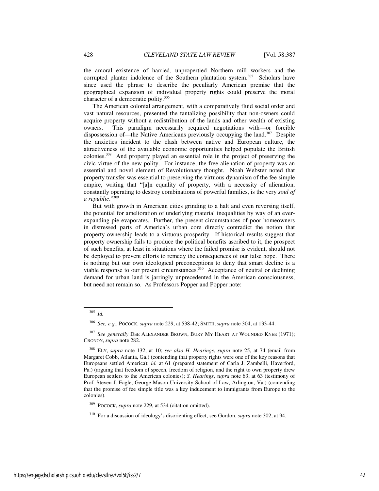the amoral existence of harried, unpropertied Northern mill workers and the corrupted planter indolence of the Southern plantation system.<sup>305</sup> Scholars have since used the phrase to describe the peculiarly American premise that the geographical expansion of individual property rights could preserve the moral character of a democratic polity.<sup>306</sup>

The American colonial arrangement, with a comparatively fluid social order and vast natural resources, presented the tantalizing possibility that non-owners could acquire property without a redistribution of the lands and other wealth of existing owners. This paradigm necessarily required negotiations with—or forcible dispossession of—the Native Americans previously occupying the land.<sup>307</sup> Despite the anxieties incident to the clash between native and European culture, the attractiveness of the available economic opportunities helped populate the British colonies.<sup>308</sup> And property played an essential role in the project of preserving the civic virtue of the new polity. For instance, the free alienation of property was an essential and novel element of Revolutionary thought. Noah Webster noted that property transfer was essential to preserving the virtuous dynamism of the fee simple empire, writing that "[a]n equality of property, with a necessity of alienation, constantly operating to destroy combinations of powerful families, is the very *soul of a republic*."<sup>309</sup>

But with growth in American cities grinding to a halt and even reversing itself, the potential for amelioration of underlying material inequalities by way of an everexpanding pie evaporates. Further, the present circumstances of poor homeowners in distressed parts of America's urban core directly contradict the notion that property ownership leads to a virtuous prosperity. If historical results suggest that property ownership fails to produce the political benefits ascribed to it, the prospect of such benefits, at least in situations where the failed promise is evident, should not be deployed to prevent efforts to remedy the consequences of our false hope. There is nothing but our own ideological preconceptions to deny that smart decline is a viable response to our present circumstances.<sup>310</sup> Acceptance of neutral or declining demand for urban land is jarringly unprecedented in the American consciousness, but need not remain so. As Professors Popper and Popper note:

<sup>305</sup> *Id.*

<sup>306</sup> *See, e.g.*, POCOCK, *supra* note 229, at 538-42; SMITH, *supra* note 304, at 133-44.

<sup>&</sup>lt;sup>307</sup> See generally DEE ALEXANDER BROWN, BURY MY HEART AT WOUNDED KNEE (1971); CRONON, *supra* note 282.

<sup>308</sup> ELY, *supra* note 132, at 10; *see also H. Hearings*, *supra* note 25, at 74 (email from Margaret Cobb, Atlanta, Ga.) (contending that property rights were one of the key reasons that Europeans settled America); *id.* at 61 (prepared statement of Carla J. Zambelli, Haverford, Pa.) (arguing that freedom of speech, freedom of religion, and the right to own property drew European settlers to the American colonies); *S. Hearings*, *supra* note 63, at 63 (testimony of Prof. Steven J. Eagle, George Mason University School of Law, Arlington, Va.) (contending that the promise of fee simple title was a key inducement to immigrants from Europe to the colonies).

POCOCK, *supra* note 229, at 534 (citation omitted).

<sup>310</sup> For a discussion of ideology's disorienting effect, see Gordon, *supra* note 302, at 94.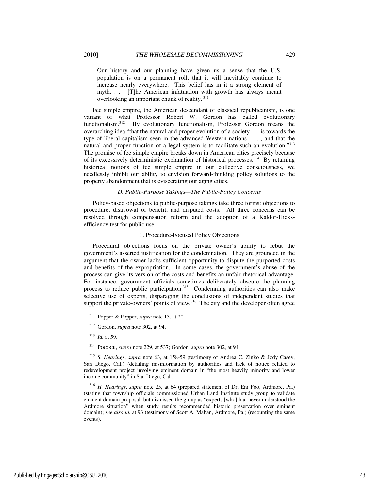Our history and our planning have given us a sense that the U.S. population is on a permanent roll, that it will inevitably continue to increase nearly everywhere. This belief has in it a strong element of myth. . . . [T]he American infatuation with growth has always meant overlooking an important chunk of reality.<sup>311</sup>

Fee simple empire, the American descendant of classical republicanism, is one variant of what Professor Robert W. Gordon has called evolutionary functionalism.<sup>312</sup> By evolutionary functionalism, Professor Gordon means the overarching idea "that the natural and proper evolution of a society . . . is towards the type of liberal capitalism seen in the advanced Western nations . . . , and that the natural and proper function of a legal system is to facilitate such an evolution."<sup>313</sup> The promise of fee simple empire breaks down in American cities precisely because of its excessively deterministic explanation of historical processes.<sup>314</sup> By retaining historical notions of fee simple empire in our collective consciousness, we needlessly inhibit our ability to envision forward-thinking policy solutions to the property abandonment that is eviscerating our aging cities.

# *D. Public-Purpose Takings—The Public-Policy Concerns*

Policy-based objections to public-purpose takings take three forms: objections to procedure, disavowal of benefit, and disputed costs. All three concerns can be resolved through compensation reform and the adoption of a Kaldor-Hicksefficiency test for public use.

### 1. Procedure-Focused Policy Objections

Procedural objections focus on the private owner's ability to rebut the government's asserted justification for the condemnation. They are grounded in the argument that the owner lacks sufficient opportunity to dispute the purported costs and benefits of the expropriation. In some cases, the government's abuse of the process can give its version of the costs and benefits an unfair rhetorical advantage. For instance, government officials sometimes deliberately obscure the planning process to reduce public participation.<sup>315</sup> Condemning authorities can also make selective use of experts, disparaging the conclusions of independent studies that support the private-owners' points of view.<sup>316</sup> The city and the developer often agree

l

<sup>315</sup> *S. Hearings*, *supra* note 63, at 158-59 (testimony of Andrea C. Zinko & Jody Casey, San Diego, Cal.) (detailing misinformation by authorities and lack of notice related to redevelopment project involving eminent domain in "the most heavily minority and lower income community" in San Diego, Cal.).

<sup>316</sup> *H. Hearings*, *supra* note 25, at 64 (prepared statement of Dr. Eni Foo, Ardmore, Pa.) (stating that township officials commissioned Urban Land Institute study group to validate eminent domain proposal, but dismissed the group as "experts [who] had never understood the Ardmore situation" when study results recommended historic preservation over eminent domain); see also id. at 93 (testimony of Scott A. Mahan, Ardmore, Pa.) (recounting the same events).

<sup>311</sup> Popper & Popper, *supra* note 13, at 20.

<sup>312</sup> Gordon, *supra* note 302, at 94.

<sup>313</sup> *Id.* at 59.

<sup>314</sup> POCOCK, *supra* note 229, at 537; Gordon*, supra* note 302, at 94.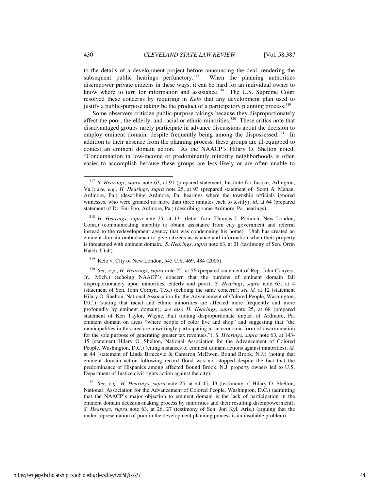to the details of a development project before announcing the deal, rendering the subsequent public hearings perfunctory.<sup>317</sup> When the planning authorities disempower private citizens in these ways, it can be hard for an individual owner to know where to turn for information and assistance.<sup>318</sup> The U.S. Supreme Court resolved these concerns by requiring in *Kelo* that any development plan used to justify a public-purpose taking be the product of a participatory planning process.  $319$ 

Some observers criticize public-purpose takings because they disproportionately affect the poor, the elderly, and racial or ethnic minorities.<sup>320</sup> These critics note that disadvantaged groups rarely participate in advance discussions about the decision to employ eminent domain, despite frequently being among the dispossessed.<sup>321</sup> In addition to their absence from the planning process, these groups are ill-equipped to contest an eminent domain action. As the NAACP's Hilary O. Shelton noted, "Condemnation in low-income or predominantly minority neighborhoods is often easier to accomplish because these groups are less likely or are often unable to

j

<sup>317</sup> *S. Hearings*, *supra* note 63, at 91 (prepared statement, Institute for Justice, Arlington, Va.); *see, e.g.*, *H. Hearings*, *supra* note 25, at 93 (prepared statement of Scott A. Mahan, Ardmore, Pa.) (describing Ardmore, Pa. hearings where the township officials ignored witnesses, who were granted no more than three minutes each to testify); *id.* at 64 (prepared statement of Dr. Eni Foo, Ardmore, Pa.) (describing same Ardmore, Pa. hearings).

<sup>318</sup> *H. Hearings*, *supra* note 25, at 131 (letter from Thomas J. Picinich, New London, Conn.) (communicating inability to obtain assistance from city government and referral instead to the redevelopment agency that was condemning his home). Utah has created an eminent-domain ombudsman to give citizens assistance and information when their property is threatened with eminent domain. *S. Hearings*, *supra* note 63, at 21 (testimony of Sen. Orrin Hatch, Utah).

<sup>319</sup> Kelo v. City of New London, 545 U.S. 469, 484 (2005).

<sup>320</sup> *See, e.g.*, *H. Hearings*, *supra* note 25, at 56 (prepared statement of Rep. John Conyers, Jr., Mich.) (echoing NAACP's concern that the burdens of eminent domain fall disproportionately upon minorities, elderly and poor); *S. Hearings*, *supra* note 63, at 4 (statement of Sen. John Cornyn, Tex.) (echoing the same concern); *see id.* at 12 (statement Hilary O. Shelton, National Association for the Advancement of Colored People, Washington, D.C.) (stating that racial and ethnic minorities are affected more frequently and more profoundly by eminent domain); *see also H. Hearings*, *supra* note 25, at 68 (prepared statement of Ken Taylor, Wayne, Pa.) (noting disproportionate impact of Ardmore, Pa. eminent domain on areas "where people of color live and shop" and suggesting that "the municipalities in this area are unwittingly participating in an economic form of discrimination for the sole purpose of generating greater tax revenues."); *S. Hearings*, *supra* note 63, at 143- 45 (statement Hilary O. Shelton, National Association for the Advancement of Colored People, Washington, D.C.) (citing instances of eminent domain actions against minorities); *id.* at 44 (statement of Linda Brnicevic & Cameron McEwen, Bound Brook, N.J.) (noting that eminent domain action following record flood was not stopped despite the fact that the predominance of Hispanics among affected Bound Brook, N.J. property owners led to U.S. Department of Justice civil rights action against the city).

<sup>321</sup> *See, e.g.*, *H. Hearings*, *supra* note 25, at 44-45, 49 (testimony of Hilary O. Shelton, National Association for the Advancement of Colored People, Washington, D.C.) (admitting that the NAACP's major objection to eminent domain is the lack of participation in the eminent domain decision-making process by minorities and their resulting disempowerment); *S. Hearings*, *supra* note 63, at 26, 27 (testimony of Sen. Jon Kyl, Ariz.) (arguing that the under-representation of poor in the development planning process is an insoluble problem).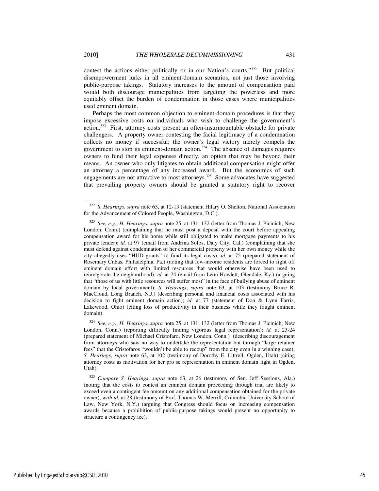j

contest the actions either politically or in our Nation's courts."<sup>322</sup> But political disempowerment lurks in all eminent-domain scenarios, not just those involving public-purpose takings. Statutory increases to the amount of compensation paid would both discourage municipalities from targeting the powerless and more equitably offset the burden of condemnation in those cases where municipalities used eminent domain.

Perhaps the most common objection to eminent-domain procedures is that they impose excessive costs on individuals who wish to challenge the government's action.<sup>323</sup> First, attorney costs present an often-insurmountable obstacle for private challengers. A property owner contesting the facial legitimacy of a condemnation collects no money if successful; the owner's legal victory merely compels the government to stop its eminent-domain action. $324$  The absence of damages requires owners to fund their legal expenses directly, an option that may be beyond their means. An owner who only litigates to obtain additional compensation might offer an attorney a percentage of any increased award. But the economics of such engagements are not attractive to most attorneys.<sup>325</sup> Some advocates have suggested that prevailing property owners should be granted a statutory right to recover

<sup>322</sup> *S. Hearings*, *supra* note 63, at 12-13 (statement Hilary O. Shelton, National Association for the Advancement of Colored People, Washington, D.C.).

<sup>323</sup> *See, e.g.*, *H. Hearings*, *supra* note 25, at 131, 132 (letter from Thomas J. Picinich, New London, Conn.) (complaining that he must post a deposit with the court before appealing compensation award for his home while still obligated to make mortgage payments to his private lender); *id.* at 97 (email from Andrina Sofos, Daly City, Cal.) (complaining that she must defend against condemnation of her commercial property with her own money while the city allegedly uses "HUD grants" to fund its legal costs); *id.* at 75 (prepared statement of Rosemary Cubas, Philadelphia, Pa.) (noting that low-income residents are forced to fight off eminent domain effort with limited resources that would otherwise have been used to reinvigorate the neighborhood); *id.* at 74 (email from Leon Howlett, Glendale, Ky.) (arguing that "those of us with little resources will suffer most" in the face of bullying abuse of eminent domain by local government); *S. Hearings*, *supra* note 63, at 103 (testimony Bruce R. MacCloud, Long Branch, N.J.) (describing personal and financial costs associated with his decision to fight eminent domain action); *id.* at 77 (statement of Don & Lynn Farris, Lakewood, Ohio) (citing loss of productivity in their business while they fought eminent domain).

<sup>324</sup> *See, e.g.*, *H. Hearings*, *supra* note 25, at 131, 132 (letter from Thomas J. Picinich, New London, Conn.) (reporting difficulty finding vigorous legal representation); *id.* at 23-24 (prepared statement of Michael Cristofaro, New London, Conn.) (describing discouragement from attorneys who saw no way to undertake the representation but through "large retainer fees" that the Cristofaros "wouldn't be able to recoup" from the city even in a winning case); *S. Hearings*, *supra* note 63, at 102 (testimony of Dorothy E. Littrell, Ogden, Utah) (citing attorney costs as motivation for her pro se representation in eminent domain fight in Ogden, Utah).

<sup>325</sup> *Compare S. Hearings*, *supra* note 63, at 26 (testimony of Sen. Jeff Sessions, Ala.) (noting that the costs to contest an eminent domain proceeding through trial are likely to exceed even a contingent fee amount on any additional compensation obtained for the private owner), *with id.* at 28 (testimony of Prof. Thomas W. Merrill, Columbia University School of Law, New York, N.Y.) (arguing that Congress should focus on increasing compensation awards because a prohibition of public-purpose takings would present no opportunity to structure a contingency fee).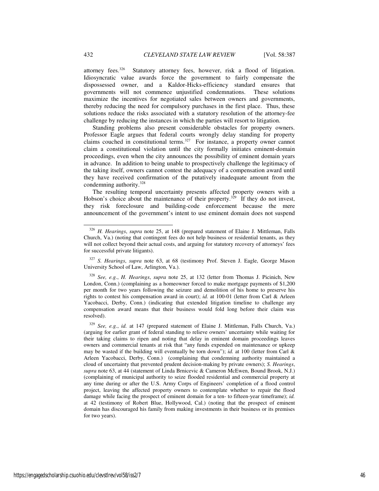attorney fees.<sup>326</sup> Statutory attorney fees, however, risk a flood of litigation. Idiosyncratic value awards force the government to fairly compensate the dispossessed owner, and a Kaldor-Hicks-efficiency standard ensures that governments will not commence unjustified condemnations. These solutions maximize the incentives for negotiated sales between owners and governments, thereby reducing the need for compulsory purchases in the first place. Thus, these solutions reduce the risks associated with a statutory resolution of the attorney-fee challenge by reducing the instances in which the parties will resort to litigation.

Standing problems also present considerable obstacles for property owners. Professor Eagle argues that federal courts wrongly delay standing for property claims couched in constitutional terms. $327$  For instance, a property owner cannot claim a constitutional violation until the city formally initiates eminent-domain proceedings, even when the city announces the possibility of eminent domain years in advance. In addition to being unable to prospectively challenge the legitimacy of the taking itself, owners cannot contest the adequacy of a compensation award until they have received confirmation of the putatively inadequate amount from the condemning authority. $328$ 

The resulting temporal uncertainty presents affected property owners with a Hobson's choice about the maintenance of their property.<sup>329</sup> If they do not invest, they risk foreclosure and building-code enforcement because the mere announcement of the government's intent to use eminent domain does not suspend

<sup>326</sup> *H. Hearings*, *supra* note 25, at 148 (prepared statement of Elaine J. Mittleman, Falls Church, Va.) (noting that contingent fees do not help business or residential tenants, as they will not collect beyond their actual costs, and arguing for statutory recovery of attorneys' fees for successful private litigants).

<sup>327</sup> *S. Hearings*, *supra* note 63, at 68 (testimony Prof. Steven J. Eagle, George Mason University School of Law, Arlington, Va.).

<sup>328</sup> *See, e.g.*, *H. Hearings*, *supra* note 25, at 132 (letter from Thomas J. Picinich, New London, Conn.) (complaining as a homeowner forced to make mortgage payments of \$1,200 per month for two years following the seizure and demolition of his home to preserve his rights to contest his compensation award in court); *id.* at 100-01 (letter from Carl & Arleen Yacobacci, Derby, Conn.) (indicating that extended litigation timeline to challenge any compensation award means that their business would fold long before their claim was resolved).

<sup>329</sup> *See, e.g.*, *id.* at 147 (prepared statement of Elaine J. Mittleman, Falls Church, Va.) (arguing for earlier grant of federal standing to relieve owners' uncertainty while waiting for their taking claims to ripen and noting that delay in eminent domain proceedings leaves owners and commercial tenants at risk that "any funds expended on maintenance or upkeep may be wasted if the building will eventually be torn down"); *id.* at 100 (letter from Carl & Arleen Yacobacci, Derby, Conn.) (complaining that condemning authority maintained a cloud of uncertainty that prevented prudent decision-making by private owners); *S. Hearings*, *supra* note 63, at 44 (statement of Linda Brnicevic & Cameron McEwen, Bound Brook, N.J.) (complaining of municipal authority to seize flooded residential and commercial property at any time during or after the U.S. Army Corps of Engineers' completion of a flood control project, leaving the affected property owners to contemplate whether to repair the flood damage while facing the prospect of eminent domain for a ten- to fifteen-year timeframe); *id.* at 42 (testimony of Robert Blue, Hollywood, Cal.) (noting that the prospect of eminent domain has discouraged his family from making investments in their business or its premises for two years).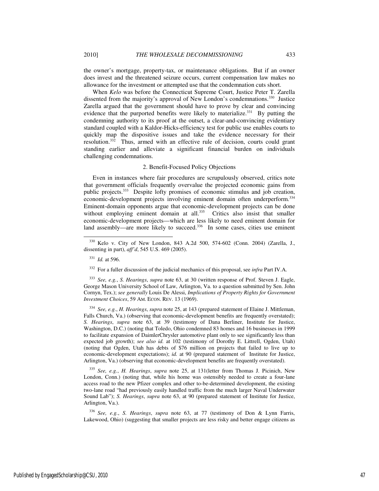the owner's mortgage, property-tax, or maintenance obligations. But if an owner does invest and the threatened seizure occurs, current compensation law makes no allowance for the investment or attempted use that the condemnation cuts short.

When *Kelo* was before the Connecticut Supreme Court, Justice Peter T. Zarella dissented from the majority's approval of New London's condemnations.<sup>330</sup> Justice Zarella argued that the government should have to prove by clear and convincing evidence that the purported benefits were likely to materialize.<sup>331</sup> By putting the condemning authority to its proof at the outset, a clear-and-convincing evidentiary standard coupled with a Kaldor-Hicks-efficiency test for public use enables courts to quickly map the dispositive issues and take the evidence necessary for their resolution.<sup>332</sup> Thus, armed with an effective rule of decision, courts could grant standing earlier and alleviate a significant financial burden on individuals challenging condemnations.

### 2. Benefit-Focused Policy Objections

Even in instances where fair procedures are scrupulously observed, critics note that government officials frequently overvalue the projected economic gains from public projects.<sup>333</sup> Despite lofty promises of economic stimulus and job creation, economic-development projects involving eminent domain often underperform.<sup>334</sup> Eminent-domain opponents argue that economic-development projects can be done without employing eminent domain at all.<sup>335</sup> Critics also insist that smaller economic-development projects—which are less likely to need eminent domain for land assembly—are more likely to succeed.<sup>336</sup> In some cases, cities use eminent

-

<sup>333</sup> *See, e.g.*, *S. Hearings*, *supra* note 63, at 30 (written response of Prof. Steven J. Eagle, George Mason University School of Law, Arlington, Va. to a question submitted by Sen. John Cornyn, Tex.); *see generally* Louis De Alessi, *Implications of Property Rights for Government Investment Choices*, 59 AM. ECON. REV. 13 (1969).

<sup>334</sup> *See, e.g.*, *H. Hearings*, *supra* note 25, at 143 (prepared statement of Elaine J. Mittleman, Falls Church, Va.) (observing that economic-development benefits are frequently overstated); *S. Hearings*, *supra* note 63, at 39 (testimony of Dana Berliner, Institute for Justice, Washington, D.C.) (noting that Toledo, Ohio condemned 83 homes and 16 businesses in 1999 to facilitate expansion of DaimlerChrysler automotive plant only to see significantly less than expected job growth); *see also id.* at 102 (testimony of Dorothy E. Littrell, Ogden, Utah) (noting that Ogden, Utah has debts of \$76 million on projects that failed to live up to economic-development expectations); *id.* at 90 (prepared statement of Institute for Justice, Arlington, Va.) (observing that economic-development benefits are frequently overstated).

<sup>335</sup> *See, e.g.*, *H. Hearings*, *supra* note 25, at 131(letter from Thomas J. Picinich, New London, Conn.) (noting that, while his home was ostensibly needed to create a four-lane access road to the new Pfizer complex and other to-be-determined development, the existing two-lane road "had previously easily handled traffic from the much larger Naval Underwater Sound Lab"); *S. Hearings*, *supra* note 63, at 90 (prepared statement of Institute for Justice, Arlington, Va.).

<sup>336</sup> *See, e.g.*, *S. Hearings*, *supra* note 63, at 77 (testimony of Don & Lynn Farris, Lakewood, Ohio) (suggesting that smaller projects are less risky and better engage citizens as

<sup>330</sup> Kelo v. City of New London, 843 A.2d 500, 574-602 (Conn. 2004) (Zarella, J., dissenting in part), *aff'd*, 545 U.S. 469 (2005).

<sup>331</sup> *Id.* at 596.

<sup>332</sup> For a fuller discussion of the judicial mechanics of this proposal, see *infra* Part IV.A.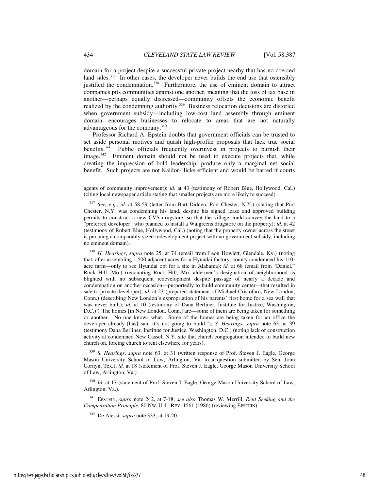domain for a project despite a successful private project nearby that has no coerced land sales.<sup>337</sup> In other cases, the developer never builds the end use that ostensibly justified the condemnation.<sup>338</sup> Furthermore, the use of eminent domain to attract companies pits communities against one another, meaning that the loss of tax base in another—perhaps equally distressed—community offsets the economic benefit realized by the condemning authority.<sup>339</sup> Business relocation decisions are distorted when government subsidy—including low-cost land assembly through eminent domain—encourages businesses to relocate to areas that are not naturally advantageous for the company.<sup>340</sup>

Professor Richard A. Epstein doubts that government officials can be trusted to set aside personal motives and quash high-profile proposals that lack true social benefits.<sup>341</sup> Public officials frequently overinvest in projects to burnish their image.<sup>342</sup> Eminent domain should not be used to execute projects that, while creating the impression of bold leadership, produce only a marginal net social benefit. Such projects are not Kaldor-Hicks efficient and would be barred if courts

j

agents of community improvement); *id.* at 43 (testimony of Robert Blue, Hollywood, Cal.) (citing local newspaper article stating that smaller projects are more likely to succeed).

<sup>337</sup> *See, e.g.*, *id.* at 58-59 (letter from Bart Didden, Port Chester, N.Y.) (stating that Port Chester, N.Y. was condemning his land, despite his signed lease and approved building permits to construct a new CVS drugstore, so that the village could convey the land to a "preferred developer" who planned to install a Walgreens drugstore on the property); *id.* at 42 (testimony of Robert Blue, Hollywood, Cal.) (noting that the property owner across the street is pursuing a comparably-sized redevelopment project with no government subsidy, including no eminent domain).

<sup>338</sup> *H. Hearings*, *supra* note 25, at 74 (email from Leon Howlett, Glendale, Ky.) (noting that, after assembling 1,500 adjacent acres for a Hyundai factory, county condemned his 110 acre farm—only to see Hyundai opt for a site in Alabama); *id.* at 68 (email from "Daniel," Rock Hill, Mo.) (recounting Rock Hill, Mo. aldermen's designation of neighborhood as blighted with no subsequent redevelopment despite passage of nearly a decade and condemnation on another occasion—purportedly to build community center—that resulted in sale to private developer); *id.* at 23 (prepared statement of Michael Cristofaro, New London, Conn.) (describing New London's expropriation of his parents' first home for a sea wall that was never built); *id.* at 10 (testimony of Dana Berliner, Institute for Justice, Washington, D.C.) ("The homes [in New London, Conn.] are—some of them are being taken for something or another. No one knows what. Some of the homes are being taken for an office the developer already [has] said it's not going to build."); *S. Hearings*, *supra* note 63, at 39 (testimony Dana Berliner, Institute for Justice, Washington, D.C.) (noting lack of construction activity at condemned New Cassel, N.Y. site that church congregation intended to build new church on, forcing church to rent elsewhere for years).

<sup>339</sup> *S. Hearings*, *supra* note 63, at 31 (written response of Prof. Steven J. Eagle, George Mason University School of Law, Arlington, Va. to a question submitted by Sen. John Cornyn, Tex.); *id.* at 18 (statement of Prof. Steven J. Eagle, George Mason University School of Law, Arlington, Va.)

<sup>&</sup>lt;sup>340</sup> *Id.* at 17 (statement of Prof. Steven J. Eagle, George Mason University School of Law, Arlington, Va.).

<sup>341</sup> EPSTEIN, *supra* note 242, at 7-18; *see also* Thomas W. Merrill, *Rent Seeking and the Compensation Principle*, 80 NW. U. L. REV. 1561 (1986) (reviewing EPSTEIN).

<sup>342</sup> De Alessi, *supra* note 333, at 19-20.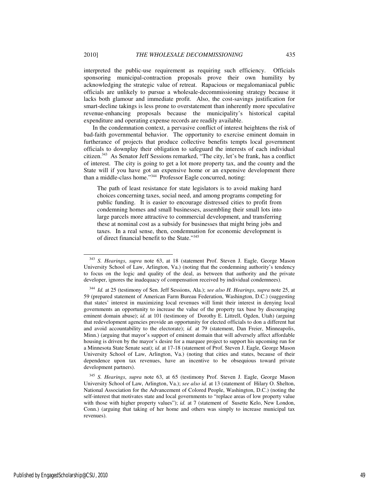interpreted the public-use requirement as requiring such efficiency. Officials sponsoring municipal-contraction proposals prove their own humility by acknowledging the strategic value of retreat. Rapacious or megalomaniacal public officials are unlikely to pursue a wholesale-decommissioning strategy because it lacks both glamour and immediate profit. Also, the cost-savings justification for smart-decline takings is less prone to overstatement than inherently more speculative revenue-enhancing proposals because the municipality's historical capital expenditure and operating expense records are readily available.

In the condemnation context, a pervasive conflict of interest heightens the risk of bad-faith governmental behavior. The opportunity to exercise eminent domain in furtherance of projects that produce collective benefits tempts local government officials to downplay their obligation to safeguard the interests of each individual citizen.<sup>343</sup> As Senator Jeff Sessions remarked, "The city, let's be frank, has a conflict of interest. The city is going to get a lot more property tax, and the county and the State will if you have got an expensive home or an expensive development there than a middle-class home."<sup>344</sup> Professor Eagle concurred, noting:

The path of least resistance for state legislators is to avoid making hard choices concerning taxes, social need, and among programs competing for public funding. It is easier to encourage distressed cities to profit from condemning homes and small businesses, assembling their small lots into large parcels more attractive to commercial development, and transferring these at nominal cost as a subsidy for businesses that might bring jobs and taxes. In a real sense, then, condemnation for economic development is of direct financial benefit to the State."<sup>345</sup>

<sup>343</sup> *S. Hearings*, *supra* note 63, at 18 (statement Prof. Steven J. Eagle, George Mason University School of Law, Arlington, Va.) (noting that the condemning authority's tendency to focus on the logic and quality of the deal, as between that authority and the private developer, ignores the inadequacy of compensation received by individual condemnees).

<sup>344</sup> *Id.* at 25 (testimony of Sen. Jeff Sessions, Ala.); *see also H. Hearings*, *supra* note 25, at 59 (prepared statement of American Farm Bureau Federation, Washington, D.C.) (suggesting that states' interest in maximizing local revenues will limit their interest in denying local governments an opportunity to increase the value of the property tax base by discouraging eminent domain abuse); *id.* at 101 (testimony of Dorothy E. Littrell, Ogden, Utah) (arguing that redevelopment agencies provide an opportunity for elected officials to don a different hat and avoid accountability to the electorate); *id.* at 79 (statement, Dan Freier, Minneapolis, Minn.) (arguing that mayor's support of eminent domain that will adversely affect affordable housing is driven by the mayor's desire for a marquee project to support his upcoming run for a Minnesota State Senate seat); *id.* at 17-18 (statement of Prof. Steven J. Eagle, George Mason University School of Law, Arlington, Va.) (noting that cities and states, because of their dependence upon tax revenues, have an incentive to be obsequious toward private development partners).

<sup>345</sup> *S. Hearings*, *supra* note 63, at 65 (testimony Prof. Steven J. Eagle, George Mason University School of Law, Arlington, Va.); *see also id.* at 13 (statement of Hilary O. Shelton, National Association for the Advancement of Colored People, Washington, D.C.) (noting the self-interest that motivates state and local governments to "replace areas of low property value with those with higher property values"); *id.* at 7 (statement of Susette Kelo, New London, Conn.) (arguing that taking of her home and others was simply to increase municipal tax revenues).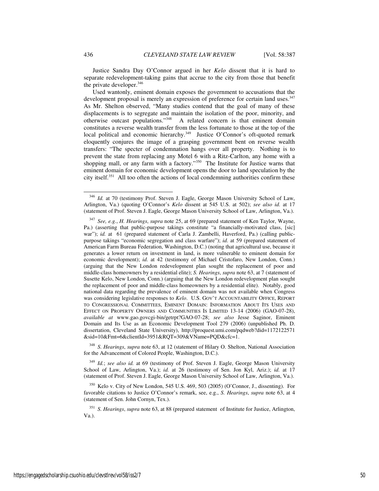Justice Sandra Day O'Connor argued in her *Kelo* dissent that it is hard to separate redevelopment-taking gains that accrue to the city from those that benefit the private developer.<sup>346</sup>

Used wantonly, eminent domain exposes the government to accusations that the development proposal is merely an expression of preference for certain land uses.<sup>347</sup> As Mr. Shelton observed, "Many studies contend that the goal of many of these displacements is to segregate and maintain the isolation of the poor, minority, and otherwise outcast populations."<sup>348</sup> A related concern is that eminent domain constitutes a reverse wealth transfer from the less fortunate to those at the top of the local political and economic hierarchy.<sup>349</sup> Justice O'Connor's oft-quoted remark eloquently conjures the image of a grasping government bent on reverse wealth transfers: "The specter of condemnation hangs over all property. Nothing is to prevent the state from replacing any Motel 6 with a Ritz-Carlton, any home with a shopping mall, or any farm with a factory."<sup>350</sup> The Institute for Justice warns that eminent domain for economic development opens the door to land speculation by the city itself.<sup>351</sup> All too often the actions of local condemning authorities confirm these

<sup>348</sup> *S. Hearings*, *supra* note 63, at 12 (statement of Hilary O. Shelton, National Association for the Advancement of Colored People, Washington, D.C.).

<sup>349</sup> *Id.*; *see also id.* at 69 (testimony of Prof. Steven J. Eagle, George Mason University School of Law, Arlington, Va.); *id.* at 26 (testimony of Sen. Jon Kyl, Ariz.); *id.* at 17 (statement of Prof. Steven J. Eagle, George Mason University School of Law, Arlington, Va.).

 $350$  Kelo v. City of New London, 545 U.S. 469, 503 (2005) (O'Connor, J., dissenting). For favorable citations to Justice O'Connor's remark, see, e.g., *S. Hearings*, *supra* note 63, at 4 (statement of Sen. John Cornyn, Tex.).

<sup>351</sup> *S. Hearings*, *supra* note 63, at 88 (prepared statement of Institute for Justice, Arlington, Va.).

<sup>&</sup>lt;sup>346</sup> *Id.* at 70 (testimony Prof. Steven J. Eagle, George Mason University School of Law, Arlington, Va.) (quoting O'Connor's *Kelo* dissent at 545 U.S. at 502); *see also id.* at 17 (statement of Prof. Steven J. Eagle, George Mason University School of Law, Arlington, Va.).

<sup>347</sup> *See, e.g.*, *H. Hearings*, *supra* note 25, at 69 (prepared statement of Ken Taylor, Wayne, Pa.) (asserting that public-purpose takings constitute "a financially-motivated class, [sic] war"); *id.* at 61 (prepared statement of Carla J. Zambelli, Haverford, Pa.) (calling publicpurpose takings "economic segregation and class warfare"); *id.* at 59 (prepared statement of American Farm Bureau Federation, Washington, D.C.) (noting that agricultural use, because it generates a lower return on investment in land, is more vulnerable to eminent domain for economic development); *id.* at 42 (testimony of Michael Cristofaro, New London, Conn.) (arguing that the New London redevelopment plan sought the replacement of poor and middle-class homeowners by a residential elite); *S. Hearings*, *supra* note 63, at 7 (statement of Susette Kelo, New London, Conn.) (arguing that the New London redevelopment plan sought the replacement of poor and middle-class homeowners by a residential elite). Notably, good national data regarding the prevalence of eminent domain was not available when Congress was considering legislative responses to *Kelo*. U.S. GOV'T ACCOUNTABILITY OFFICE, REPORT TO CONGRESSIONAL COMMITTEES, EMINENT DOMAIN: INFORMATION ABOUT ITS USES AND EFFECT ON PROPERTY OWNERS AND COMMUNITIES IS LIMITED 13-14 (2006) (GAO-07-28), *available at* www.gao.govcgi-bin/getrpt?GAO-07-28; *see also* Jesse Saginor, Eminent Domain and Its Use as an Economic Development Tool 279 (2006) (unpublished Ph. D. dissertation, Cleveland State University), http://proquest.umi.com/pqdweb?did=1172122571 &sid=10&Fmt=6&clientId=3951&RQT=309&VName=PQD&cfc=1.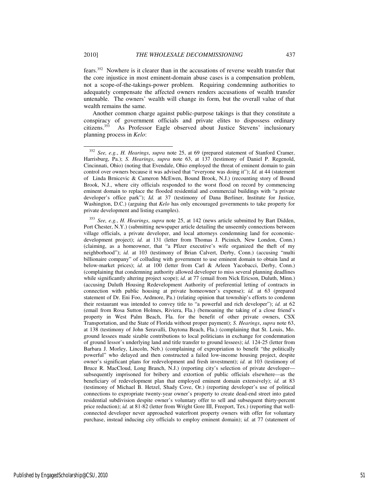the core injustice in most eminent-domain abuse cases is a compensation problem, not a scope-of-the-takings-power problem. Requiring condemning authorities to adequately compensate the affected owners renders accusations of wealth transfer untenable. The owners' wealth will change its form, but the overall value of that wealth remains the same.

Another common charge against public-purpose takings is that they constitute a conspiracy of government officials and private elites to dispossess ordinary citizens.<sup>353</sup> As Professor Eagle observed about Justice Stevens' inclusionary planning process in *Kelo*:

<sup>352</sup> *See, e.g.*, *H. Hearings*, *supra* note 25, at 69 (prepared statement of Stanford Cramer, Harrisburg, Pa.); *S. Hearings*, *supra* note 63, at 137 (testimony of Daniel P. Regenold, Cincinnati, Ohio) (noting that Evendale, Ohio employed the threat of eminent domain to gain control over owners because it was advised that "everyone was doing it"); *Id.* at 44 (statement of Linda Brnicevic & Cameron McEwen, Bound Brook, N.J.) (recounting story of Bound Brook, N.J., where city officials responded to the worst flood on record by commencing eminent domain to replace the flooded residential and commercial buildings with "a private developer's office park"); *Id.* at 37 (testimony of Dana Berliner, Institute for Justice, Washington, D.C.) (arguing that *Kelo* has only encouraged governments to take property for private development and listing examples).

<sup>353</sup> *See, e.g.*, *H. Hearings*, *supra* note 25, at 142 (news article submitted by Bart Didden, Port Chester, N.Y.) (submitting newspaper article detailing the unseemly connections between village officials, a private developer, and local attorneys condemning land for economicdevelopment project); *id.* at 131 (letter from Thomas J. Picinich, New London, Conn.) (claiming, as a homeowner, that "a Pfizer executive's wife organized the theft of my neighborhood"); *id.* at 103 (testimony of Brian Calvert, Derby, Conn.) (accusing "multi billionaire company" of colluding with government to use eminent domain to obtain land at below-market prices); *id.* at 100 (letter from Carl & Arleen Yacobacci, Derby, Conn.) (complaining that condemning authority allowed developer to miss several planning deadlines while significantly altering project scope); *id.* at 77 (email from Nick Ericson, Duluth, Minn.) (accusing Duluth Housing Redevelopment Authority of preferential letting of contracts in connection with public housing at private homeowner's expense); *id.* at 63 (prepared statement of Dr. Eni Foo, Ardmore, Pa.) (relating opinion that township's efforts to condemn their restaurant was intended to convey title to "a powerful and rich developer"); *id.* at 62 (email from Rosa Sutton Holmes, Riviera, Fla.) (bemoaning the taking of a close friend's property in West Palm Beach, Fla. for the benefit of other private owners, CSX Transportation, and the State of Florida without proper payment); *S. Hearings*, *supra* note 63, at 138 (testimony of John Seravalli, Daytona Beach, Fla.) (complaining that St. Louis, Mo. ground lessees made sizable contributions to local politicians in exchange for condemnation of ground lessor's underlying land and title transfer to ground lessees); *id.* 124-25 (letter from Barbara J. Morley, Lincoln, Neb.) (complaining of expropriation to benefit "the politically powerful" who delayed and then constructed a failed low-income housing project, despite owner's significant plans for redevelopment and fresh investment); *id.* at 103 (testimony of Bruce R. MacCloud, Long Branch, N.J.) (reporting city's selection of private developer subsequently imprisoned for bribery and extortion of public officials elsewhere—as the beneficiary of redevelopment plan that employed eminent domain extensively); *id.* at 83 (testimony of Michael B. Hetzel, Shady Cove, Or.) (reporting developer's use of political connections to expropriate twenty-year owner's property to create dead-end street into gated residential subdivision despite owner's voluntary offer to sell and subsequent thirty-percent price reduction); *id.* at 81-82 (letter from Wright Gore III, Freeport, Tex.) (reporting that wellconnected developer never approached waterfront property owners with offer for voluntary purchase, instead inducing city officials to employ eminent domain); *id.* at 77 (statement of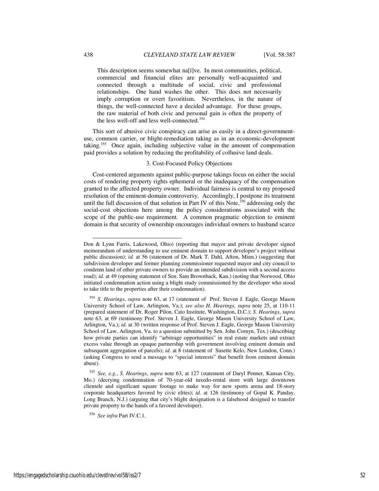This description seems somewhat na[ï]ve. In most communities, political, commercial and financial elites are personally well-acquainted and connected through a multitude of social, civic and professional relationships. One hand washes the other. This does not necessarily imply corruption or overt favoritism. Nevertheless, in the nature of things, the well-connected have a decided advantage. For these groups, the raw material of both civic and personal gain is often the property of the less well-off and less well-connected.<sup>354</sup>

This sort of abusive civic conspiracy can arise as easily in a direct-governmentuse, common carrier, or blight-remediation taking as in an economic-development taking.<sup>355</sup> Once again, including subjective value in the amount of compensation paid provides a solution by reducing the profitability of collusive land deals.

### 3. Cost-Focused Policy Objections

Cost-centered arguments against public-purpose takings focus on either the social costs of rendering property rights ephemeral or the inadequacy of the compensation granted to the affected property owner. Individual fairness is central to my proposed resolution of the eminent-domain controversy. Accordingly, I postpone its treatment until the full discussion of that solution in Part IV of this Note, $356$  addressing only the social-cost objections here among the policy considerations associated with the scope of the public-use requirement. A common pragmatic objection to eminent domain is that security of ownership encourages individual owners to husband scarce

Don & Lynn Farris, Lakewood, Ohio) (reporting that mayor and private developer signed memorandum of understanding to use eminent domain to support developer's project without public discussion); *id.* at 56 (statement of Dr. Mark T. Dahl, Afton, Minn.) (suggesting that subdivision developer and former planning commissioner requested mayor and city council to condemn land of other private owners to provide an intended subdivision with a second access road); *id.* at 49 (opening statement of Sen. Sam Brownback, Kan.) (noting that Norwood, Ohio initiated condemnation action using a blight study commissioned by the developer who stood to take title to the properties after their condemnation).

<sup>354</sup> *S. Hearings*, *supra* note 63, at 17 (statement of Prof. Steven J. Eagle, George Mason University School of Law, Arlington, Va.); *see also H. Hearings*, *supra* note 25, at 110-11 (prepared statement of Dr. Roger Pilon, Cato Institute, Washington, D.C.); *S. Hearings*, *supra*  note 63, at 69 (testimony Prof. Steven J. Eagle, George Mason University School of Law, Arlington, Va.); *id.* at 30 (written response of Prof. Steven J. Eagle, George Mason University School of Law, Arlington, Va. to a question submitted by Sen. John Cornyn, Tex.) (describing how private parties can identify "arbitrage opportunities" in real estate markets and extract excess value through an opaque partnership with government involving eminent domain and subsequent aggregation of parcels); *id.* at 8 (statement of Susette Kelo, New London, Conn.) (asking Congress to send a message to "special interests" that benefit from eminent domain abuse).

<sup>355</sup> *See, e.g.*, *S. Hearings*, *supra* note 63, at 127 (statement of Daryl Penner, Kansas City, Mo.) (decrying condemnation of 70-year-old tuxedo-rental store with large downtown clientele and significant square footage to make way for new sports arena and 18-story corporate headquarters favored by civic elites); *id.* at 126 (testimony of Gopal K. Panday, Long Branch, N.J.) (arguing that city's blight designation is a falsehood designed to transfer private property to the hands of a favored developer).

<sup>356</sup> *See infra* Part IV.C.1.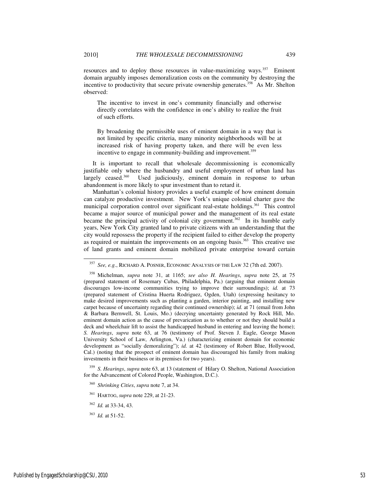resources and to deploy those resources in value-maximizing ways.<sup>357</sup> Eminent domain arguably imposes demoralization costs on the community by destroying the incentive to productivity that secure private ownership generates.<sup>358</sup> As Mr. Shelton observed:

The incentive to invest in one's community financially and otherwise directly correlates with the confidence in one's ability to realize the fruit of such efforts.

By broadening the permissible uses of eminent domain in a way that is not limited by specific criteria, many minority neighborhoods will be at increased risk of having property taken, and there will be even less incentive to engage in community-building and improvement.<sup>359</sup>

It is important to recall that wholesale decommissioning is economically justifiable only where the husbandry and useful employment of urban land has largely ceased.<sup>360</sup> Used judiciously, eminent domain in response to urban abandonment is more likely to spur investment than to retard it.

Manhattan's colonial history provides a useful example of how eminent domain can catalyze productive investment. New York's unique colonial charter gave the municipal corporation control over significant real-estate holdings.<sup>361</sup> This control became a major source of municipal power and the management of its real estate became the principal activity of colonial city government.<sup>362</sup> In its humble early years, New York City granted land to private citizens with an understanding that the city would repossess the property if the recipient failed to either develop the property as required or maintain the improvements on an ongoing basis.<sup>363</sup> This creative use of land grants and eminent domain mobilized private enterprise toward certain

<sup>357</sup> *See, e.g.*, RICHARD A. POSNER, ECONOMIC ANALYSIS OF THE LAW 32 (7th ed. 2007).

<sup>358</sup> Michelman, *supra* note 31, at 1165; *see also H. Hearings*, *supra* note 25, at 75 (prepared statement of Rosemary Cubas, Philadelphia, Pa.) (arguing that eminent domain discourages low-income communities trying to improve their surroundings); *id.* at 73 (prepared statement of Cristina Huerta Rodriguez, Ogden, Utah) (expressing hesitancy to make desired improvements such as planting a garden, interior painting, and installing new carpet because of uncertainty regarding their continued ownership); *id.* at 71 (email from John & Barbara Bernwell, St. Louis, Mo.) (decrying uncertainty generated by Rock Hill, Mo. eminent domain action as the cause of prevarication as to whether or not they should build a deck and wheelchair lift to assist the handicapped husband in entering and leaving the home); *S. Hearings*, *supra* note 63, at 76 (testimony of Prof. Steven J. Eagle, George Mason University School of Law, Arlington, Va.) (characterizing eminent domain for economic development as "socially demoralizing"); *id.* at 42 (testimony of Robert Blue, Hollywood, Cal.) (noting that the prospect of eminent domain has discouraged his family from making investments in their business or its premises for two years).

<sup>359</sup> *S. Hearings*, *supra* note 63, at 13 (statement of Hilary O. Shelton, National Association for the Advancement of Colored People, Washington, D.C.).

<sup>360</sup> *Shrinking Cities*, *supra* note 7, at 34.

<sup>361</sup> HARTOG, *supra* note 229, at 21-23.

<sup>362</sup> *Id.* at 33-34, 43.

<sup>363</sup> *Id.* at 51-52.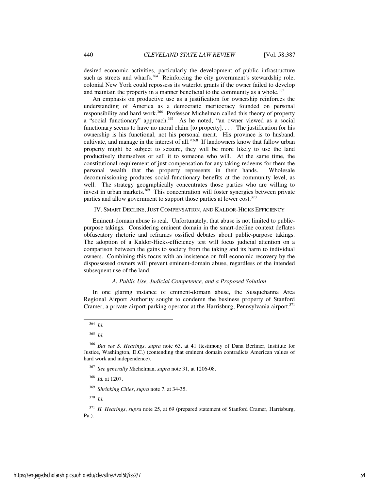desired economic activities, particularly the development of public infrastructure such as streets and wharfs.<sup>364</sup> Reinforcing the city government's stewardship role, colonial New York could repossess its waterlot grants if the owner failed to develop and maintain the property in a manner beneficial to the community as a whole.<sup>365</sup>

An emphasis on productive use as a justification for ownership reinforces the understanding of America as a democratic meritocracy founded on personal responsibility and hard work.<sup>366</sup> Professor Michelman called this theory of property a "social functionary" approach.<sup>367</sup> As he noted, "an owner viewed as a social functionary seems to have no moral claim [to property]. . . . The justification for his ownership is his functional, not his personal merit. His province is to husband, cultivate, and manage in the interest of all."<sup>368</sup> If landowners know that fallow urban property might be subject to seizure, they will be more likely to use the land productively themselves or sell it to someone who will. At the same time, the constitutional requirement of just compensation for any taking redeems for them the personal wealth that the property represents in their hands. Wholesale decommissioning produces social-functionary benefits at the community level, as well. The strategy geographically concentrates those parties who are willing to invest in urban markets.<sup>369</sup> This concentration will foster synergies between private parties and allow government to support those parties at lower cost.<sup>370</sup>

#### IV. SMART DECLINE, JUST COMPENSATION, AND KALDOR-HICKS EFFICIENCY

Eminent-domain abuse is real. Unfortunately, that abuse is not limited to publicpurpose takings. Considering eminent domain in the smart-decline context deflates obfuscatory rhetoric and reframes ossified debates about public-purpose takings. The adoption of a Kaldor-Hicks-efficiency test will focus judicial attention on a comparison between the gains to society from the taking and its harm to individual owners. Combining this focus with an insistence on full economic recovery by the dispossessed owners will prevent eminent-domain abuse, regardless of the intended subsequent use of the land.

## *A. Public Use, Judicial Competence, and a Proposed Solution*

In one glaring instance of eminent-domain abuse, the Susquehanna Area Regional Airport Authority sought to condemn the business property of Stanford Cramer, a private airport-parking operator at the Harrisburg, Pennsylvania airport.<sup>371</sup>

j

<sup>367</sup> *See generally* Michelman, *supra* note 31, at 1206-08.

<sup>368</sup> *Id.* at 1207.

<sup>369</sup> *Shrinking Cities*, *supra* note 7, at 34-35.

<sup>370</sup> *Id.*

<sup>371</sup> *H. Hearings*, *supra* note 25, at 69 (prepared statement of Stanford Cramer, Harrisburg, Pa.).

<sup>364</sup> *Id.* 

<sup>365</sup> *Id.*

<sup>366</sup> *But see S. Hearings*, *supra* note 63, at 41 (testimony of Dana Berliner, Institute for Justice, Washington, D.C.) (contending that eminent domain contradicts American values of hard work and independence).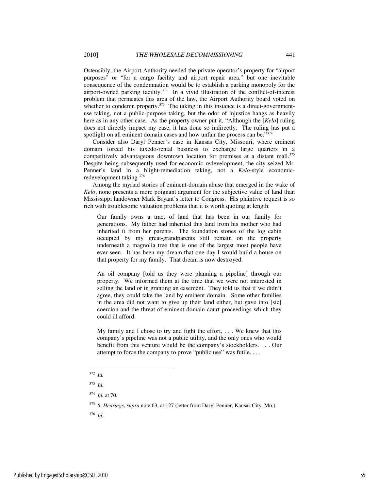Ostensibly, the Airport Authority needed the private operator's property for "airport purposes" or "for a cargo facility and airport repair area," but one inevitable consequence of the condemnation would be to establish a parking monopoly for the airport-owned parking facility.<sup>372</sup> In a vivid illustration of the conflict-of-interest problem that permeates this area of the law, the Airport Authority board voted on whether to condemn property. $373$  The taking in this instance is a direct-governmentuse taking, not a public-purpose taking, but the odor of injustice hangs as heavily here as in any other case. As the property owner put it, "Although the [*Kelo*] ruling does not directly impact my case, it has done so indirectly. The ruling has put a spotlight on all eminent domain cases and how unfair the process can be."374

Consider also Daryl Penner's case in Kansas City, Missouri, where eminent domain forced his tuxedo-rental business to exchange large quarters in a competitively advantageous downtown location for premises at a distant mall.<sup>375</sup> Despite being subsequently used for economic redevelopment, the city seized Mr. Penner's land in a blight-remediation taking, not a *Kelo*-style economicredevelopment taking.<sup>376</sup>

Among the myriad stories of eminent-domain abuse that emerged in the wake of *Kelo*, none presents a more poignant argument for the subjective value of land than Mississippi landowner Mark Bryant's letter to Congress. His plaintive request is so rich with troublesome valuation problems that it is worth quoting at length:

Our family owns a tract of land that has been in our family for generations. My father had inherited this land from his mother who had inherited it from her parents. The foundation stones of the log cabin occupied by my great-grandparents still remain on the property underneath a magnolia tree that is one of the largest most people have ever seen. It has been my dream that one day I would build a house on that property for my family. That dream is now destroyed.

An oil company [told us they were planning a pipeline] through our property. We informed them at the time that we were not interested in selling the land or in granting an easement. They told us that if we didn't agree, they could take the land by eminent domain. Some other families in the area did not want to give up their land either, but gave into [sic] coercion and the threat of eminent domain court proceedings which they could ill afford.

My family and I chose to try and fight the effort, . . . We knew that this company's pipeline was not a public utility, and the only ones who would benefit from this venture would be the company's stockholders. . . . Our attempt to force the company to prove "public use" was futile....

<sup>372</sup> *Id.* 

<sup>373</sup> *Id.* 

<sup>374</sup> *Id.* at 70.

<sup>375</sup> *S. Hearings*, *supra* note 63, at 127 (letter from Daryl Penner, Kansas City, Mo.).

<sup>376</sup> *Id.*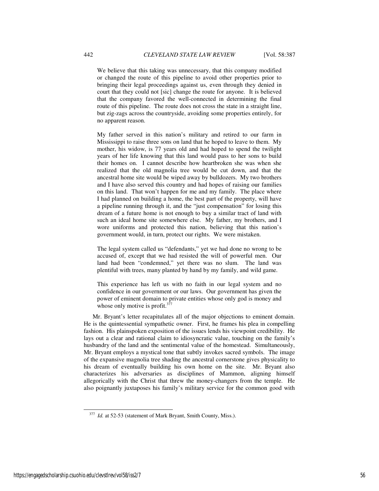We believe that this taking was unnecessary, that this company modified or changed the route of this pipeline to avoid other properties prior to bringing their legal proceedings against us, even through they denied in court that they could not [sic] change the route for anyone. It is believed that the company favored the well-connected in determining the final route of this pipeline. The route does not cross the state in a straight line, but zig-zags across the countryside, avoiding some properties entirely, for no apparent reason.

My father served in this nation's military and retired to our farm in Mississippi to raise three sons on land that he hoped to leave to them. My mother, his widow, is 77 years old and had hoped to spend the twilight years of her life knowing that this land would pass to her sons to build their homes on. I cannot describe how heartbroken she was when she realized that the old magnolia tree would be cut down, and that the ancestral home site would be wiped away by bulldozers. My two brothers and I have also served this country and had hopes of raising our families on this land. That won't happen for me and my family. The place where I had planned on building a home, the best part of the property, will have a pipeline running through it, and the "just compensation" for losing this dream of a future home is not enough to buy a similar tract of land with such an ideal home site somewhere else. My father, my brothers, and I wore uniforms and protected this nation, believing that this nation's government would, in turn, protect our rights. We were mistaken.

The legal system called us "defendants," yet we had done no wrong to be accused of, except that we had resisted the will of powerful men. Our land had been "condemned," yet there was no slum. The land was plentiful with trees, many planted by hand by my family, and wild game.

This experience has left us with no faith in our legal system and no confidence in our government or our laws. Our government has given the power of eminent domain to private entities whose only god is money and whose only motive is profit. $377$ 

Mr. Bryant's letter recapitulates all of the major objections to eminent domain. He is the quintessential sympathetic owner. First, he frames his plea in compelling fashion. His plainspoken exposition of the issues lends his viewpoint credibility. He lays out a clear and rational claim to idiosyncratic value, touching on the family's husbandry of the land and the sentimental value of the homestead. Simultaneously, Mr. Bryant employs a mystical tone that subtly invokes sacred symbols. The image of the expansive magnolia tree shading the ancestral cornerstone gives physicality to his dream of eventually building his own home on the site. Mr. Bryant also characterizes his adversaries as disciplines of Mammon, aligning himself allegorically with the Christ that threw the money-changers from the temple. He also poignantly juxtaposes his family's military service for the common good with

<sup>&</sup>lt;sup>377</sup> *Id.* at 52-53 (statement of Mark Bryant, Smith County, Miss.).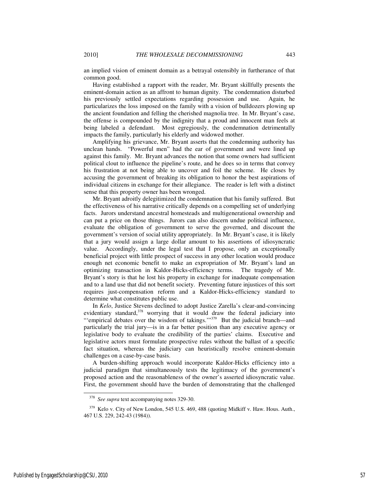an implied vision of eminent domain as a betrayal ostensibly in furtherance of that common good.

Having established a rapport with the reader, Mr. Bryant skillfully presents the eminent-domain action as an affront to human dignity. The condemnation disturbed his previously settled expectations regarding possession and use. Again, he particularizes the loss imposed on the family with a vision of bulldozers plowing up the ancient foundation and felling the cherished magnolia tree. In Mr. Bryant's case, the offense is compounded by the indignity that a proud and innocent man feels at being labeled a defendant. Most egregiously, the condemnation detrimentally impacts the family, particularly his elderly and widowed mother.

Amplifying his grievance, Mr. Bryant asserts that the condemning authority has unclean hands. "Powerful men" had the ear of government and were lined up against this family. Mr. Bryant advances the notion that some owners had sufficient political clout to influence the pipeline's route, and he does so in terms that convey his frustration at not being able to uncover and foil the scheme. He closes by accusing the government of breaking its obligation to honor the best aspirations of individual citizens in exchange for their allegiance. The reader is left with a distinct sense that this property owner has been wronged.

Mr. Bryant adroitly delegitimized the condemnation that his family suffered. But the effectiveness of his narrative critically depends on a compelling set of underlying facts. Jurors understand ancestral homesteads and multigenerational ownership and can put a price on those things. Jurors can also discern undue political influence, evaluate the obligation of government to serve the governed, and discount the government's version of social utility appropriately. In Mr. Bryant's case, it is likely that a jury would assign a large dollar amount to his assertions of idiosyncratic value. Accordingly, under the legal test that I propose, only an exceptionally beneficial project with little prospect of success in any other location would produce enough net economic benefit to make an expropriation of Mr. Bryant's land an optimizing transaction in Kaldor-Hicks-efficiency terms. The tragedy of Mr. Bryant's story is that he lost his property in exchange for inadequate compensation and to a land use that did not benefit society. Preventing future injustices of this sort requires just-compensation reform and a Kaldor-Hicks-efficiency standard to determine what constitutes public use.

In *Kelo*, Justice Stevens declined to adopt Justice Zarella's clear-and-convincing evidentiary standard,  $378$  worrying that it would draw the federal judiciary into "'empirical debates over the wisdom of takings.'"<sup>379</sup> But the judicial branch—and particularly the trial jury—is in a far better position than any executive agency or legislative body to evaluate the credibility of the parties' claims. Executive and legislative actors must formulate prospective rules without the ballast of a specific fact situation, whereas the judiciary can heuristically resolve eminent-domain challenges on a case-by-case basis.

A burden-shifting approach would incorporate Kaldor-Hicks efficiency into a judicial paradigm that simultaneously tests the legitimacy of the government's proposed action and the reasonableness of the owner's asserted idiosyncratic value. First, the government should have the burden of demonstrating that the challenged

<sup>378</sup> *See supra* text accompanying notes 329-30.

<sup>&</sup>lt;sup>379</sup> Kelo v. City of New London, 545 U.S. 469, 488 (quoting Midkiff v. Haw. Hous. Auth., 467 U.S. 229, 242-43 (1984)).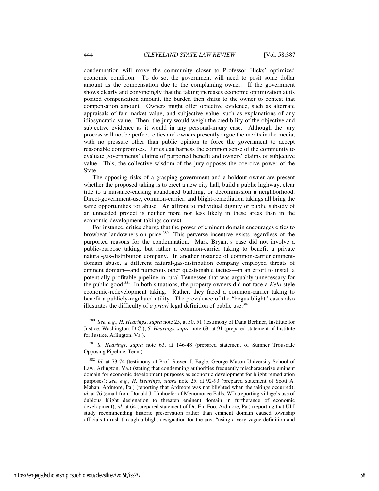condemnation will move the community closer to Professor Hicks' optimized economic condition. To do so, the government will need to posit some dollar amount as the compensation due to the complaining owner. If the government shows clearly and convincingly that the taking increases economic optimization at its posited compensation amount, the burden then shifts to the owner to contest that compensation amount. Owners might offer objective evidence, such as alternate appraisals of fair-market value, and subjective value, such as explanations of any idiosyncratic value. Then, the jury would weigh the credibility of the objective and subjective evidence as it would in any personal-injury case. Although the jury process will not be perfect, cities and owners presently argue the merits in the media, with no pressure other than public opinion to force the government to accept reasonable compromises. Juries can harness the common sense of the community to evaluate governments' claims of purported benefit and owners' claims of subjective value. This, the collective wisdom of the jury opposes the coercive power of the State.

The opposing risks of a grasping government and a holdout owner are present whether the proposed taking is to erect a new city hall, build a public highway, clear title to a nuisance-causing abandoned building, or decommission a neighborhood. Direct-government-use, common-carrier, and blight-remediation takings all bring the same opportunities for abuse. An affront to individual dignity or public subsidy of an unneeded project is neither more nor less likely in these areas than in the economic-development-takings context.

For instance, critics charge that the power of eminent domain encourages cities to browbeat landowners on price.<sup>380</sup> This perverse incentive exists regardless of the purported reasons for the condemnation. Mark Bryant's case did not involve a public-purpose taking, but rather a common-carrier taking to benefit a private natural-gas-distribution company. In another instance of common-carrier eminentdomain abuse, a different natural-gas-distribution company employed threats of eminent domain—and numerous other questionable tactics—in an effort to install a potentially profitable pipeline in rural Tennessee that was arguably unnecessary for the public good.<sup>381</sup> In both situations, the property owners did not face a *Kelo*-style economic-redevelopment taking. Rather, they faced a common-carrier taking to benefit a publicly-regulated utility. The prevalence of the "bogus blight" cases also illustrates the difficulty of *a priori* legal definition of public use.<sup>382</sup>

<sup>380</sup> *See, e.g.*, *H. Hearings*, *supra* note 25, at 50, 51 (testimony of Dana Berliner, Institute for Justice, Washington, D.C.); *S. Hearings*, *supra* note 63, at 91 (prepared statement of Institute for Justice, Arlington, Va.).

<sup>381</sup> *S. Hearings*, *supra* note 63, at 146-48 (prepared statement of Sumner Trousdale Opposing Pipeline, Tenn.).

<sup>382</sup> *Id.* at 73-74 (testimony of Prof. Steven J. Eagle, George Mason University School of Law, Arlington, Va.) (stating that condemning authorities frequently mischaracterize eminent domain for economic development purposes as economic development for blight remediation purposes); *see, e.g.*, *H. Hearings*, *supra* note 25, at 92-93 (prepared statement of Scott A. Mahan, Ardmore, Pa.) (reporting that Ardmore was not blighted when the takings occurred); *id.* at 76 (email from Donald J. Umhoefer of Menomonee Falls, WI) (reporting village's use of dubious blight designation to threaten eminent domain in furtherance of economic development); *id.* at 64 (prepared statement of Dr. Eni Foo, Ardmore, Pa.) (reporting that ULI study recommending historic preservation rather than eminent domain caused township officials to rush through a blight designation for the area "using a very vague definition and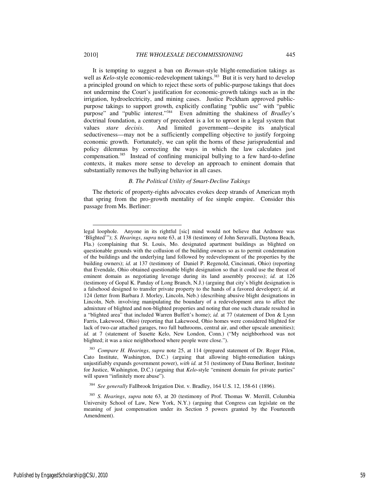It is tempting to suggest a ban on *Berman*-style blight-remediation takings as well as *Kelo*-style economic-redevelopment takings.<sup>383</sup> But it is very hard to develop a principled ground on which to reject these sorts of public-purpose takings that does not undermine the Court's justification for economic-growth takings such as in the irrigation, hydroelectricity, and mining cases. Justice Peckham approved publicpurpose takings to support growth, explicitly conflating "public use" with "public purpose" and "public interest."<sup>384</sup> Even admitting the shakiness of *Bradley*'s doctrinal foundation, a century of precedent is a lot to uproot in a legal system that values *stare decisis*. And limited government—despite its analytical seductiveness—may not be a sufficiently compelling objective to justify forgoing economic growth. Fortunately, we can split the horns of these jurisprudential and policy dilemmas by correcting the ways in which the law calculates just compensation.<sup>385</sup> Instead of confining municipal bullying to a few hard-to-define contexts, it makes more sense to develop an approach to eminent domain that substantially removes the bullying behavior in all cases.

#### *B. The Political Utility of Smart-Decline Takings*

The rhetoric of property-rights advocates evokes deep strands of American myth that spring from the pro-growth mentality of fee simple empire. Consider this passage from Ms. Berliner:

<sup>383</sup> *Compare H. Hearings*, *supra* note 25, at 114 (prepared statement of Dr. Roger Pilon, Cato Institute, Washington, D.C.) (arguing that allowing blight-remediation takings unjustifiably expands government power), *with id.* at 51 (testimony of Dana Berliner, Institute for Justice, Washington, D.C.) (arguing that *Kelo*-style "eminent domain for private parties" will spawn "infinitely more abuse").

<sup>384</sup> *See generally* Fallbrook Irrigation Dist. v. Bradley, 164 U.S. 12, 158-61 (1896).

legal loophole. Anyone in its rightful [sic] mind would not believe that Ardmore was 'Blighted'"); *S. Hearings*, *supra* note 63, at 138 (testimony of John Seravalli, Daytona Beach, Fla.) (complaining that St. Louis, Mo. designated apartment buildings as blighted on questionable grounds with the collusion of the building owners so as to permit condemnation of the buildings and the underlying land followed by redevelopment of the properties by the building owners); *id.* at 137 (testimony of Daniel P. Regenold, Cincinnati, Ohio) (reporting that Evendale, Ohio obtained questionable blight designation so that it could use the threat of eminent domain as negotiating leverage during its land assembly process); *id.* at 126 (testimony of Gopal K. Panday of Long Branch, N.J.) (arguing that city's blight designation is a falsehood designed to transfer private property to the hands of a favored developer); *id.* at 124 (letter from Barbara J. Morley, Lincoln, Neb.) (describing abusive blight designations in Lincoln, Neb. involving manipulating the boundary of a redevelopment area to affect the admixture of blighted and non-blighted properties and noting that one such charade resulted in a "blighted area" that included Warren Buffett's home); *id.* at 77 (statement of Don & Lynn Farris, Lakewood, Ohio) (reporting that Lakewood, Ohio homes were considered blighted for lack of two-car attached garages, two full bathrooms, central air, and other upscale amenities); *id.* at 7 (statement of Susette Kelo, New London, Conn.) ("My neighborhood was not blighted; it was a nice neighborhood where people were close.").

<sup>385</sup> *S. Hearings*, *supra* note 63, at 20 (testimony of Prof. Thomas W. Merrill, Columbia University School of Law, New York, N.Y.) (arguing that Congress can legislate on the meaning of just compensation under its Section 5 powers granted by the Fourteenth Amendment).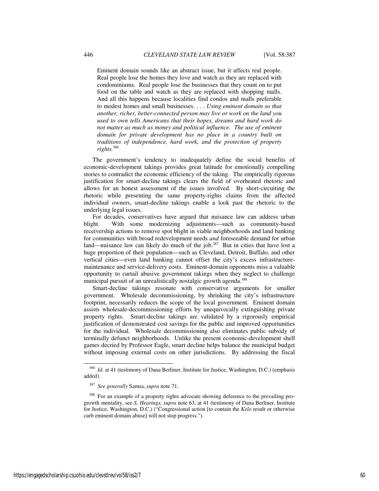Eminent domain sounds like an abstract issue, but it affects real people. Real people lose the homes they love and watch as they are replaced with condominiums. Real people lose the businesses that they count on to put food on the table and watch as they are replaced with shopping malls. And all this happens because localities find condos and malls preferable to modest homes and small businesses. . . . *Using eminent domain so that another, richer, better-connected person may live or work on the land you used to own tells Americans that their hopes, dreams and hard work do not matter as much as money and political influence. The use of eminent domain for private development has no place in a country built on traditions of independence, hard work, and the protection of property rights.*<sup>386</sup>

The government's tendency to inadequately define the social benefits of economic-development takings provides great latitude for emotionally compelling stories to contradict the economic efficiency of the taking. The empirically rigorous justification for smart-decline takings clears the field of overheated rhetoric and allows for an honest assessment of the issues involved. By short-circuiting the rhetoric while presenting the same property-rights claims from the affected individual owners, smart-decline takings enable a look past the rhetoric to the underlying legal issues.

For decades, conservatives have argued that nuisance law can address urban blight. With some modernizing adjustments—such as community-based receivership actions to remove spot blight in viable neighborhoods and land banking for communities with broad redevelopment needs *and* foreseeable demand for urban land—nuisance law can likely do much of the job.<sup>387</sup> But in cities that have lost a huge proportion of their population—such as Cleveland, Detroit, Buffalo, and other vertical cities—even land banking cannot offset the city's excess infrastructuremaintenance and service-delivery costs. Eminent-domain opponents miss a valuable opportunity to curtail abusive government takings when they neglect to challenge municipal pursuit of an unrealistically nostalgic growth agenda.<sup>388</sup>

Smart-decline takings resonate with conservative arguments for smaller government. Wholesale decommissioning, by shrinking the city's infrastructure footprint, necessarily reduces the scope of the local government. Eminent domain assists wholesale-decommissioning efforts by unequivocally extinguishing private property rights. Smart-decline takings are validated by a rigorously empirical justification of demonstrated cost savings for the public and improved opportunities for the individual. Wholesale decommissioning also eliminates public subsidy of terminally defunct neighborhoods. Unlike the present economic-development shell games decried by Professor Eagle, smart decline helps balance the municipal budget without imposing external costs on other jurisdictions. By addressing the fiscal

<sup>&</sup>lt;sup>386</sup> *Id.* at 41 (testimony of Dana Berliner, Institute for Justice, Washington, D.C.) (emphasis added).

<sup>387</sup> *See generally* Samsa, *supra* note 71.

<sup>388</sup> For an example of a property rights advocate showing deference to the prevailing progrowth mentality, see *S. Hearings, supra* note 63, at 41 (testimony of Dana Berliner, Institute for Justice, Washington, D.C.) ("Congressional action [to contain the *Kelo* result or otherwise curb eminent domain abuse] will not stop progress.").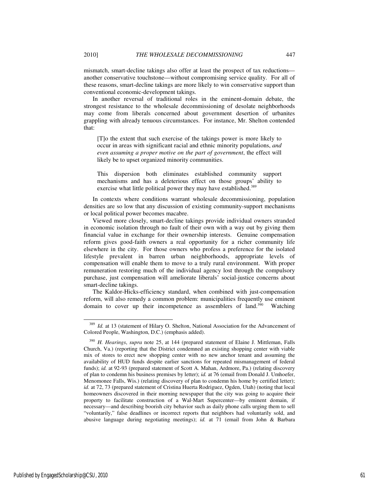mismatch, smart-decline takings also offer at least the prospect of tax reductions another conservative touchstone—without compromising service quality. For all of these reasons, smart-decline takings are more likely to win conservative support than conventional economic-development takings.

In another reversal of traditional roles in the eminent-domain debate, the strongest resistance to the wholesale decommissioning of desolate neighborhoods may come from liberals concerned about government desertion of urbanites grappling with already tenuous circumstances. For instance, Mr. Shelton contended that:

[T]o the extent that such exercise of the takings power is more likely to occur in areas with significant racial and ethnic minority populations, *and even assuming a proper motive on the part of government*, the effect will likely be to upset organized minority communities.

This dispersion both eliminates established community support mechanisms and has a deleterious effect on those groups' ability to exercise what little political power they may have established.<sup>389</sup>

In contexts where conditions warrant wholesale decommissioning, population densities are so low that any discussion of existing community-support mechanisms or local political power becomes macabre.

Viewed more closely, smart-decline takings provide individual owners stranded in economic isolation through no fault of their own with a way out by giving them financial value in exchange for their ownership interests. Genuine compensation reform gives good-faith owners a real opportunity for a richer community life elsewhere in the city. For those owners who profess a preference for the isolated lifestyle prevalent in barren urban neighborhoods, appropriate levels of compensation will enable them to move to a truly rural environment. With proper remuneration restoring much of the individual agency lost through the compulsory purchase, just compensation will ameliorate liberals' social-justice concerns about smart-decline takings.

The Kaldor-Hicks-efficiency standard, when combined with just-compensation reform, will also remedy a common problem: municipalities frequently use eminent domain to cover up their incompetence as assemblers of land.<sup>390</sup> Watching

<sup>389</sup> *Id.* at 13 (statement of Hilary O. Shelton, National Association for the Advancement of Colored People, Washington, D.C.) (emphasis added).

<sup>390</sup> *H. Hearings*, *supra* note 25, at 144 (prepared statement of Elaine J. Mittleman, Falls Church, Va.) (reporting that the District condemned an existing shopping center with viable mix of stores to erect new shopping center with no new anchor tenant and assuming the availability of HUD funds despite earlier sanctions for repeated mismanagement of federal funds); *id.* at 92-93 (prepared statement of Scott A. Mahan, Ardmore, Pa.) (relating discovery of plan to condemn his business premises by letter); *id.* at 76 (email from Donald J. Umhoefer, Menomonee Falls, Wis.) (relating discovery of plan to condemn his home by certified letter); *id.* at 72, 73 (prepared statement of Cristina Huerta Rodriguez, Ogden, Utah) (noting that local homeowners discovered in their morning newspaper that the city was going to acquire their property to facilitate construction of a Wal-Mart Supercenter—by eminent domain, if necessary—and describing boorish city behavior such as daily phone calls urging them to sell "voluntarily," false deadlines or incorrect reports that neighbors had voluntarily sold, and abusive language during negotiating meetings); *id.* at 71 (email from John & Barbara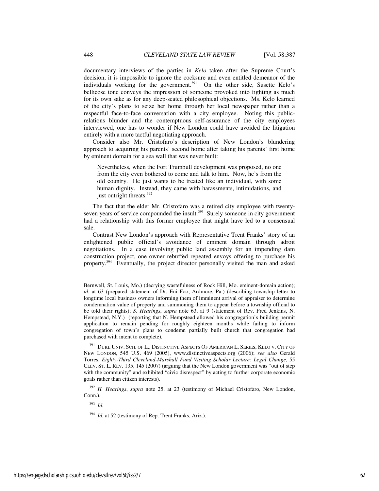documentary interviews of the parties in *Kelo* taken after the Supreme Court's decision, it is impossible to ignore the cocksure and even entitled demeanor of the individuals working for the government.<sup>391</sup> On the other side, Susette Kelo's bellicose tone conveys the impression of someone provoked into fighting as much for its own sake as for any deep-seated philosophical objections. Ms. Kelo learned of the city's plans to seize her home through her local newspaper rather than a respectful face-to-face conversation with a city employee. Noting this publicrelations blunder and the contemptuous self-assurance of the city employees interviewed, one has to wonder if New London could have avoided the litigation entirely with a more tactful negotiating approach.

Consider also Mr. Cristofaro's description of New London's blundering approach to acquiring his parents' second home after taking his parents' first home by eminent domain for a sea wall that was never built:

Nevertheless, when the Fort Trumbull development was proposed, no one from the city even bothered to come and talk to him. Now, he's from the old country. He just wants to be treated like an individual, with some human dignity. Instead, they came with harassments, intimidations, and just outright threats.<sup>392</sup>

The fact that the elder Mr. Cristofaro was a retired city employee with twentyseven years of service compounded the insult.<sup>393</sup> Surely someone in city government had a relationship with this former employee that might have led to a consensual sale.

Contrast New London's approach with Representative Trent Franks' story of an enlightened public official's avoidance of eminent domain through adroit negotiations. In a case involving public land assembly for an impending dam construction project, one owner rebuffed repeated envoys offering to purchase his property.<sup>394</sup> Eventually, the project director personally visited the man and asked

<sup>392</sup> *H. Hearings*, *supra* note 25, at 23 (testimony of Michael Cristofaro, New London, Conn.).

<sup>393</sup> *Id.* 

Bernwell, St. Louis, Mo.) (decrying wastefulness of Rock Hill, Mo. eminent-domain action); *id.* at 63 (prepared statement of Dr. Eni Foo, Ardmore, Pa.) (describing township letter to longtime local business owners informing them of imminent arrival of appraiser to determine condemnation value of property and summoning them to appear before a township official to be told their rights); *S. Hearings*, *supra* note 63, at 9 (statement of Rev. Fred Jenkins, N. Hempstead, N.Y.) (reporting that N. Hempstead allowed his congregation's building permit application to remain pending for roughly eighteen months while failing to inform congregation of town's plans to condemn partially built church that congregation had purchased with intent to complete).

<sup>&</sup>lt;sup>391</sup> DUKE UNIV. SCH. OF L., DISTINCTIVE ASPECTS OF AMERICAN L. SERIES, KELO V. CITY OF NEW LONDON, 545 U.S. 469 (2005), www.distinctiveaspects.org (2006); *see also* Gerald Torres, *Eighty-Third Cleveland-Marshall Fund Visiting Scholar Lecture: Legal Change*, 55 CLEV. ST. L. REV. 135, 145 (2007) (arguing that the New London government was "out of step with the community" and exhibited "civic disrespect" by acting to further corporate economic goals rather than citizen interests).

<sup>&</sup>lt;sup>394</sup> *Id.* at 52 (testimony of Rep. Trent Franks, Ariz.).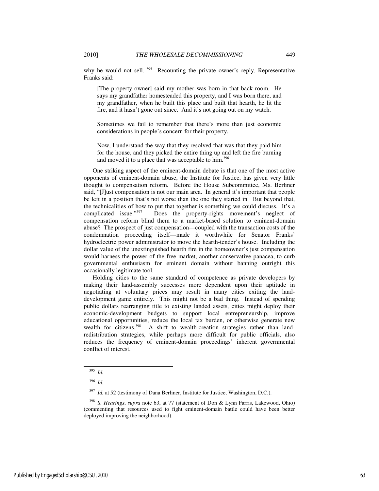why he would not sell.<sup>395</sup> Recounting the private owner's reply, Representative Franks said:

[The property owner] said my mother was born in that back room. He says my grandfather homesteaded this property, and I was born there, and my grandfather, when he built this place and built that hearth, he lit the fire, and it hasn't gone out since. And it's not going out on my watch.

Sometimes we fail to remember that there's more than just economic considerations in people's concern for their property.

Now, I understand the way that they resolved that was that they paid him for the house, and they picked the entire thing up and left the fire burning and moved it to a place that was acceptable to him.<sup>396</sup>

One striking aspect of the eminent-domain debate is that one of the most active opponents of eminent-domain abuse, the Institute for Justice, has given very little thought to compensation reform. Before the House Subcommittee, Ms. Berliner said, "[J]ust compensation is not our main area. In general it's important that people be left in a position that's not worse than the one they started in. But beyond that, the technicalities of how to put that together is something we could discuss. It's a complicated issue."<sup>397</sup> Does the property-rights movement's neglect of Does the property-rights movement's neglect of compensation reform blind them to a market-based solution to eminent-domain abuse? The prospect of just compensation—coupled with the transaction costs of the condemnation proceeding itself—made it worthwhile for Senator Franks' hydroelectric power administrator to move the hearth-tender's house. Including the dollar value of the unextinguished hearth fire in the homeowner's just compensation would harness the power of the free market, another conservative panacea, to curb governmental enthusiasm for eminent domain without banning outright this occasionally legitimate tool.

Holding cities to the same standard of competence as private developers by making their land-assembly successes more dependent upon their aptitude in negotiating at voluntary prices may result in many cities exiting the landdevelopment game entirely. This might not be a bad thing. Instead of spending public dollars rearranging title to existing landed assets, cities might deploy their economic-development budgets to support local entrepreneurship, improve educational opportunities, reduce the local tax burden, or otherwise generate new wealth for citizens.<sup>398</sup> A shift to wealth-creation strategies rather than landredistribution strategies, while perhaps more difficult for public officials, also reduces the frequency of eminent-domain proceedings' inherent governmental conflict of interest.

<sup>395</sup> *Id.*

<sup>396</sup> *Id.*

*Id.* at 52 (testimony of Dana Berliner, Institute for Justice, Washington, D.C.).

<sup>398</sup> *S. Hearings*, *supra* note 63, at 77 (statement of Don & Lynn Farris, Lakewood, Ohio) (commenting that resources used to fight eminent-domain battle could have been better deployed improving the neighborhood).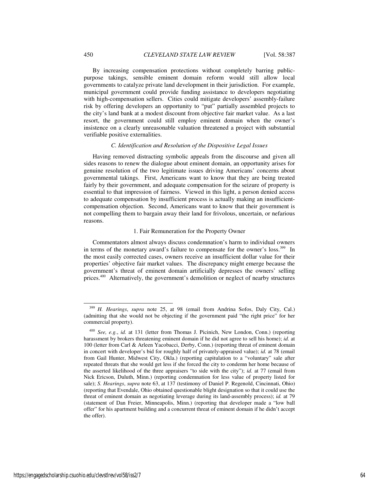By increasing compensation protections without completely barring publicpurpose takings, sensible eminent domain reform would still allow local governments to catalyze private land development in their jurisdiction. For example, municipal government could provide funding assistance to developers negotiating with high-compensation sellers. Cities could mitigate developers' assembly-failure risk by offering developers an opportunity to "put" partially assembled projects to the city's land bank at a modest discount from objective fair market value. As a last resort, the government could still employ eminent domain when the owner's insistence on a clearly unreasonable valuation threatened a project with substantial verifiable positive externalities.

#### *C. Identification and Resolution of the Dispositive Legal Issues*

Having removed distracting symbolic appeals from the discourse and given all sides reasons to renew the dialogue about eminent domain, an opportunity arises for genuine resolution of the two legitimate issues driving Americans' concerns about governmental takings. First, Americans want to know that they are being treated fairly by their government, and adequate compensation for the seizure of property is essential to that impression of fairness. Viewed in this light, a person denied access to adequate compensation by insufficient process is actually making an insufficientcompensation objection. Second, Americans want to know that their government is not compelling them to bargain away their land for frivolous, uncertain, or nefarious reasons.

### 1. Fair Remuneration for the Property Owner

Commentators almost always discuss condemnation's harm to individual owners in terms of the monetary award's failure to compensate for the owner's loss.<sup>399</sup> In the most easily corrected cases, owners receive an insufficient dollar value for their properties' objective fair market values. The discrepancy might emerge because the government's threat of eminent domain artificially depresses the owners' selling prices.<sup>400</sup> Alternatively, the government's demolition or neglect of nearby structures

<sup>399</sup> *H. Hearings*, *supra* note 25, at 98 (email from Andrina Sofos, Daly City, Cal.) (admitting that she would not be objecting if the government paid "the right price" for her commercial property).

<sup>400</sup> *See, e.g.*, *id.* at 131 (letter from Thomas J. Picinich, New London, Conn.) (reporting harassment by brokers threatening eminent domain if he did not agree to sell his home); *id.* at 100 (letter from Carl & Arleen Yacobacci, Derby, Conn.) (reporting threat of eminent domain in concert with developer's bid for roughly half of privately-appraised value); *id.* at 78 (email from Gail Hunter, Midwest City, Okla.) (reporting capitulation to a "voluntary" sale after repeated threats that she would get less if she forced the city to condemn her home because of the asserted likelihood of the three appraisers "to side with the city"); *id.* at 77 (email from Nick Ericson, Duluth, Minn.) (reporting condemnation for less value of property listed for sale); *S. Hearings*, *supra* note 63, at 137 (testimony of Daniel P. Regenold, Cincinnati, Ohio) (reporting that Evendale, Ohio obtained questionable blight designation so that it could use the threat of eminent domain as negotiating leverage during its land-assembly process); *id.* at 79 (statement of Dan Freier, Minneapolis, Minn.) (reporting that developer made a "low ball offer" for his apartment building and a concurrent threat of eminent domain if he didn't accept the offer).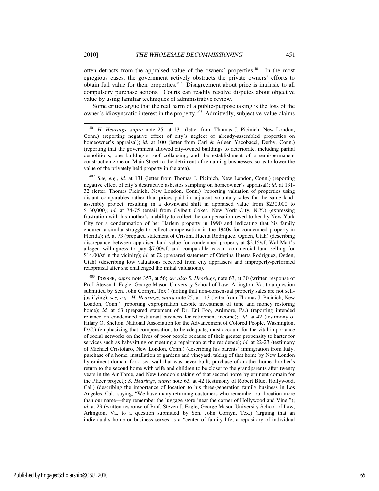often detracts from the appraised value of the owners' properties.<sup>401</sup> In the most egregious cases, the government actively obstructs the private owners' efforts to obtain full value for their properties.<sup>402</sup> Disagreement about price is intrinsic to all

value by using familiar techniques of administrative review. Some critics argue that the real harm of a public-purpose taking is the loss of the owner's idiosyncratic interest in the property.<sup>403</sup> Admittedly, subjective-value claims

compulsory purchase actions. Courts can readily resolve disputes about objective

<sup>402</sup> *See, e.g.*, *id.* at 131 (letter from Thomas J. Picinich, New London, Conn.) (reporting negative effect of city's destructive asbestos sampling on homeowner's appraisal); *id.* at 131- 32 (letter, Thomas Picinich, New London, Conn.) (reporting valuation of properties using distant comparables rather than prices paid in adjacent voluntary sales for the same landassembly project, resulting in a downward shift in appraised value from \$230,000 to \$130,000); *id.* at 74-75 (email from Gylbert Coker, New York City, N.Y.) (expressing frustration with his mother's inability to collect the compensation owed to her by New York City for a condemnation of her Harlem property in 1990 and indicating that his family endured a similar struggle to collect compensation in the 1940s for condemned property in Florida); *id.* at 73 (prepared statement of Cristina Huerta Rodriguez, Ogden, Utah) (describing discrepancy between appraised land value for condemned property at \$2.15/sf, Wal-Mart's alleged willingness to pay \$7.00/sf, and comparable vacant commercial land selling for \$14.00/sf in the vicinity); *id.* at 72 (prepared statement of Cristina Huerta Rodriguez, Ogden, Utah) (describing low valuations received from city appraisers and improperly-performed reappraisal after she challenged the initial valuations).

<sup>403</sup> POSNER, *supra* note 357, at 56; *see also S. Hearings*, note 63, at 30 (written response of Prof. Steven J. Eagle, George Mason University School of Law, Arlington, Va. to a question submitted by Sen. John Cornyn, Tex.) (noting that non-consensual property sales are not selfjustifying); *see, e.g.*, *H. Hearings*, *supra* note 25, at 113 (letter from Thomas J. Picinich, New London, Conn.) (reporting expropriation despite investment of time and money restoring home); *id.* at 63 (prepared statement of Dr. Eni Foo, Ardmore, Pa.) (reporting intended reliance on condemned restaurant business for retirement income); *id.* at 42 (testimony of Hilary O. Shelton, National Association for the Advancement of Colored People, Washington, D.C.) (emphasizing that compensation, to be adequate, must account for the vital importance of social networks on the lives of poor people because of their greater propensity to barter for services such as babysitting or meeting a repairman at the residence); *id.* at 22-23 (testimony of Michael Cristofaro, New London, Conn.) (describing his parents' immigration from Italy, purchase of a home, installation of gardens and vineyard, taking of that home by New London by eminent domain for a sea wall that was never built, purchase of another home, brother's return to the second home with wife and children to be closer to the grandparents after twenty years in the Air Force, and New London's taking of that second home by eminent domain for the Pfizer project); *S. Hearings*, *supra* note 63, at 42 (testimony of Robert Blue, Hollywood, Cal.) (describing the importance of location to his three-generation family business in Los Angeles, Cal., saying, "We have many returning customers who remember our location more than our name—they remember the luggage store 'near the corner of Hollywood and Vine'"); *id.* at 29 (written response of Prof. Steven J. Eagle, George Mason University School of Law, Arlington, Va. to a question submitted by Sen. John Cornyn, Tex.) (arguing that an individual's home or business serves as a "center of family life, a repository of individual

<sup>401</sup> *H. Hearings*, *supra* note 25, at 131 (letter from Thomas J. Picinich, New London, Conn.) (reporting negative effect of city's neglect of already-assembled properties on homeowner's appraisal); *id.* at 100 (letter from Carl & Arleen Yacobacci, Derby, Conn.) (reporting that the government allowed city-owned buildings to deteriorate, including partial demolitions, one building's roof collapsing, and the establishment of a semi-permanent construction zone on Main Street to the detriment of remaining businesses, so as to lower the value of the privately held property in the area).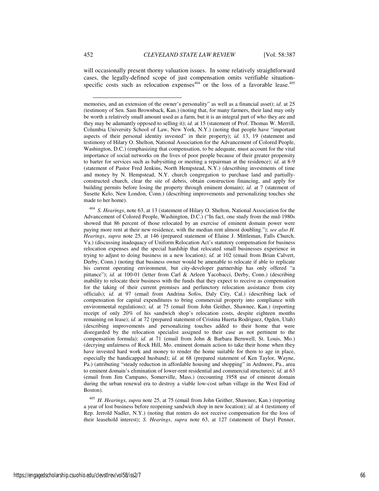will occasionally present thorny valuation issues. In some relatively straightforward cases, the legally-defined scope of just compensation omits verifiable situationspecific costs such as relocation expenses $404$  or the loss of a favorable lease.  $405$ 

<sup>404</sup> *S. Hearings*, note 63, at 13 (statement of Hilary O. Shelton, National Association for the Advancement of Colored People, Washington, D.C.) ("In fact, one study from the mid-1980s showed that 86 percent of those relocated by an exercise of eminent domain power were paying more rent at their new residence, with the median rent almost doubling."); *see also H. Hearings*, *supra* note 25, at 146 (prepared statement of Elaine J. Mittleman, Falls Church, Va.) (discussing inadequacy of Uniform Relocation Act's statutory compensation for business relocation expenses and the special hardship that relocated small businesses experience in trying to adjust to doing business in a new location); *id.* at 102 (email from Brian Calvert, Derby, Conn.) (noting that business owner would be amenable to relocate if able to replicate his current operating environment, but city-developer partnership has only offered "a pittance"); *id.* at 100-01 (letter from Carl & Arleen Yacobacci, Derby, Conn.) (describing inability to relocate their business with the funds that they expect to receive as compensation for the taking of their current premises and perfunctory relocation assistance from city officials); *id.* at 97 (email from Andrina Sofos, Daly City, Cal.) (describing lack of compensation for capital expenditures to bring commercial property into compliance with environmental regulations); *id.* at 75 (email from John Geither, Shawnee, Kan.) (reporting receipt of only 20% of his sandwich shop's relocation costs, despite eighteen months remaining on lease); *id.* at 72 (prepared statement of Cristina Huerta Rodriguez, Ogden, Utah) (describing improvements and personalizing touches added to their home that were disregarded by the relocation specialist assigned to their case as not pertinent to the compensation formula); *id.* at 71 (email from John & Barbara Bernwell, St. Louis, Mo.) (decrying unfairness of Rock Hill, Mo. eminent domain action to take their home when they have invested hard work and money to render the home suitable for them to age in place, especially the handicapped husband); *id.* at 68 (prepared statement of Ken Taylor, Wayne, Pa.) (attributing "steady reduction in affordable housing and shopping" in Ardmore, Pa., area to eminent domain's elimination of lower-rent residential and commercial structures); *id.* at 63 (email from Jim Campano, Somerville, Mass.) (recounting 1958 use of eminent domain during the urban renewal era to destroy a viable low-cost urban village in the West End of Boston).

<sup>405</sup> *H. Hearings*, *supra* note 25, at 75 (email from John Geither, Shawnee, Kan.) (reporting a year of lost business before reopening sandwich shop in new location); *id.* at 4 (testimony of Rep. Jerrold Nadler, N.Y.) (noting that renters do not receive compensation for the loss of their leasehold interest); *S. Hearings*, *supra* note 63, at 127 (statement of Daryl Penner,

memories, and an extension of the owner's personality" as well as a financial asset); *id.* at 25 (testimony of Sen. Sam Brownback, Kan.) (noting that, for many farmers, their land may only be worth a relatively small amount used as a farm, but it is an integral part of who they are and they may be adamantly opposed to selling it); *id.* at 15 (statement of Prof. Thomas W. Merrill, Columbia University School of Law, New York, N.Y.) (noting that people have "important aspects of their personal identity invested" in their property); *id.* 13, 19 (statement and testimony of Hilary O. Shelton, National Association for the Advancement of Colored People, Washington, D.C.) (emphasizing that compensation, to be adequate, must account for the vital importance of social networks on the lives of poor people because of their greater propensity to barter for services such as babysitting or meeting a repairman at the residence); *id.* at 8-9 (statement of Pastor Fred Jenkins, North Hempstead, N.Y.) (describing investments of time and money by N. Hempstead, N.Y. church congregation to purchase land and partiallyconstructed church, clear the site of debris, obtain construction financing, and apply for building permits before losing the property through eminent domain); *id.* at 7 (statement of Susette Kelo, New London, Conn.) (describing improvements and personalizing touches she made to her home).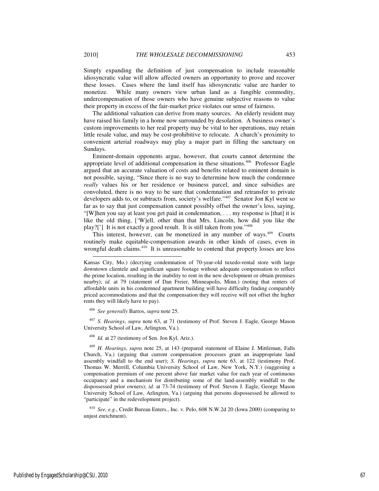Simply expanding the definition of just compensation to include reasonable idiosyncratic value will allow affected owners an opportunity to prove and recover these losses. Cases where the land itself has idiosyncratic value are harder to monetize. While many owners view urban land as a fungible commodity, undercompensation of those owners who have genuine subjective reasons to value their property in excess of the fair-market price violates our sense of fairness.

The additional valuation can derive from many sources. An elderly resident may have raised his family in a home now surrounded by desolation. A business owner's custom improvements to her real property may be vital to her operations, may retain little resale value, and may be cost-prohibitive to relocate. A church's proximity to convenient arterial roadways may play a major part in filling the sanctuary on Sundays.

Eminent-domain opponents argue, however, that courts cannot determine the appropriate level of additional compensation in these situations.<sup>406</sup> Professor Eagle argued that an accurate valuation of costs and benefits related to eminent domain is not possible, saying, "Since there is no way to determine how much the condemnee *really* values his or her residence or business parcel, and since subsidies are convoluted, there is no way to be sure that condemnation and retransfer to private developers adds to, or subtracts from, society's welfare."<sup>407</sup> Senator Jon Kyl went so far as to say that just compensation cannot possibly offset the owner's loss, saying, "[W]hen you say at least you get paid in condemnation, . . . my response is [that] it is like the old thing, ['W]ell, other than that Mrs. Lincoln, how did you like the play?['] It is not exactly a good result. It is still taken from you."<sup>408</sup>

This interest, however, can be monetized in any number of ways.<sup>409</sup> Courts routinely make equitable-compensation awards in other kinds of cases, even in wrongful death claims.<sup>410</sup> It is unreasonable to contend that property losses are less

<sup>406</sup> *See generally* Barros, *supra* note 25.

<sup>407</sup> *S. Hearings*, *supra* note 63, at 71 (testimony of Prof. Steven J. Eagle, George Mason University School of Law, Arlington, Va.).

<sup>408</sup> *Id.* at 27 (testimony of Sen. Jon Kyl, Ariz.).

<sup>410</sup> *See, e.g.*, Credit Bureau Enters., Inc. v. Pelo, 608 N.W.2d 20 (Iowa 2000) (comparing to unjust enrichment).

j

Kansas City, Mo.) (decrying condemnation of 70-year-old tuxedo-rental store with large downtown clientele and significant square footage without adequate compensation to reflect the prime location, resulting in the inability to rent in the new development or obtain premises nearby); *id.* at 79 (statement of Dan Freier, Minneapolis, Minn.) (noting that renters of affordable units in his condemned apartment building will have difficulty finding comparably priced accommodations and that the compensation they will receive will not offset the higher rents they will likely have to pay).

<sup>409</sup> *H. Hearings*, *supra* note 25, at 143 (prepared statement of Elaine J. Mittleman, Falls Church, Va.) (arguing that current compensation processes grant an inappropriate land assembly windfall to the end user); *S. Hearings*, *supra* note 63, at 122 (testimony Prof. Thomas W. Merrill, Columbia University School of Law, New York, N.Y.) (suggesting a compensation premium of one percent above fair market value for each year of continuous occupancy and a mechanism for distributing some of the land-assembly windfall to the dispossessed prior owners); *id.* at 73-74 (testimony of Prof. Steven J. Eagle, George Mason University School of Law, Arlington, Va.) (arguing that persons dispossessed be allowed to "participate" in the redevelopment project).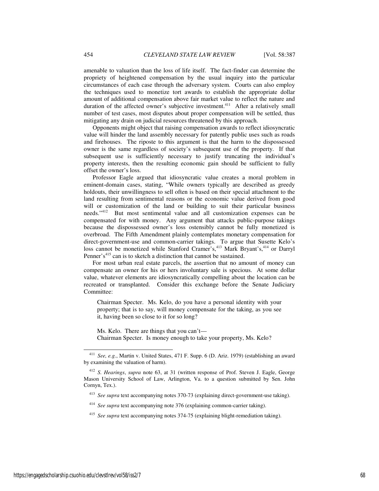amenable to valuation than the loss of life itself. The fact-finder can determine the propriety of heightened compensation by the usual inquiry into the particular circumstances of each case through the adversary system. Courts can also employ the techniques used to monetize tort awards to establish the appropriate dollar amount of additional compensation above fair market value to reflect the nature and duration of the affected owner's subjective investment.<sup>411</sup> After a relatively small number of test cases, most disputes about proper compensation will be settled, thus mitigating any drain on judicial resources threatened by this approach.

Opponents might object that raising compensation awards to reflect idiosyncratic value will hinder the land assembly necessary for patently public uses such as roads and firehouses. The riposte to this argument is that the harm to the dispossessed owner is the same regardless of society's subsequent use of the property. If that subsequent use is sufficiently necessary to justify truncating the individual's property interests, then the resulting economic gain should be sufficient to fully offset the owner's loss.

Professor Eagle argued that idiosyncratic value creates a moral problem in eminent-domain cases, stating, "While owners typically are described as greedy holdouts, their unwillingness to sell often is based on their special attachment to the land resulting from sentimental reasons or the economic value derived from good will or customization of the land or building to suit their particular business needs."<sup>412</sup> But most sentimental value and all customization expenses can be compensated for with money. Any argument that attacks public-purpose takings because the dispossessed owner's loss ostensibly cannot be fully monetized is overbroad. The Fifth Amendment plainly contemplates monetary compensation for direct-government-use and common-carrier takings. To argue that Susette Kelo's loss cannot be monetized while Stanford Cramer's,<sup>413</sup> Mark Bryant's,<sup>414</sup> or Darryl Penner's<sup>415</sup> can is to sketch a distinction that cannot be sustained.

For most urban real estate parcels, the assertion that no amount of money can compensate an owner for his or hers involuntary sale is specious. At some dollar value, whatever elements are idiosyncratically compelling about the location can be recreated or transplanted. Consider this exchange before the Senate Judiciary Committee:

Chairman Specter. Ms. Kelo, do you have a personal identity with your property; that is to say, will money compensate for the taking, as you see it, having been so close to it for so long?

Ms. Kelo. There are things that you can't— Chairman Specter. Is money enough to take your property, Ms. Kelo?

<sup>411</sup> *See, e.g.*, Martin v. United States, 471 F. Supp. 6 (D. Ariz. 1979) (establishing an award by examining the valuation of harm).

<sup>412</sup> *S. Hearings*, *supra* note 63, at 31 (written response of Prof. Steven J. Eagle, George Mason University School of Law, Arlington, Va. to a question submitted by Sen. John Cornyn, Tex.).

<sup>413</sup> *See supra* text accompanying notes 370-73 (explaining direct-government-use taking).

<sup>414</sup> *See supra* text accompanying note 376 (explaining common-carrier taking).

<sup>415</sup> *See supra* text accompanying notes 374-75 (explaining blight-remediation taking).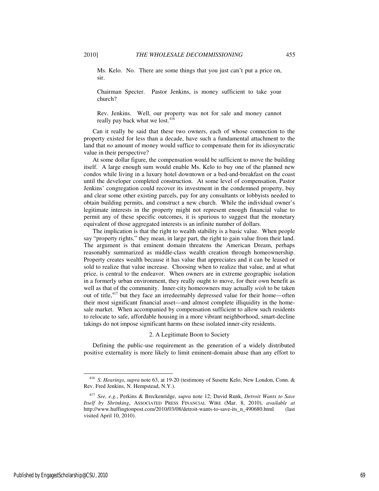Ms. Kelo. No. There are some things that you just can't put a price on, sir.

Chairman Specter. Pastor Jenkins, is money sufficient to take your church?

Rev. Jenkins. Well, our property was not for sale and money cannot really pay back what we lost.<sup>416</sup>

Can it really be said that these two owners, each of whose connection to the property existed for less than a decade, have such a fundamental attachment to the land that *no* amount of money would suffice to compensate them for its idiosyncratic value in their perspective?

At some dollar figure, the compensation would be sufficient to move the building itself. A large enough sum would enable Ms. Kelo to buy one of the planned new condos while living in a luxury hotel downtown or a bed-and-breakfast on the coast until the developer completed construction. At some level of compensation, Pastor Jenkins' congregation could recover its investment in the condemned property, buy and clear some other existing parcels, pay for any consultants or lobbyists needed to obtain building permits, and construct a new church. While the individual owner's legitimate interests in the property might not represent enough financial value to permit any of these specific outcomes, it is spurious to suggest that the monetary equivalent of those aggregated interests is an infinite number of dollars.

The implication is that the right to wealth stability is a basic value. When people say "property rights," they mean, in large part, the right to gain value from their land. The argument is that eminent domain threatens the American Dream, perhaps reasonably summarized as middle-class wealth creation through homeownership. Property creates wealth because it has value that appreciates and it can be leased or sold to realize that value increase. Choosing when to realize that value, and at what price, is central to the endeavor. When owners are in extreme geographic isolation in a formerly urban environment, they really ought to move, for their own benefit as well as that of the community. Inner-city homeowners may actually *wish* to be taken out of title,<sup>417</sup> but they face an irredeemably depressed value for their home—often their most significant financial asset—and almost complete illiquidity in the homesale market. When accompanied by compensation sufficient to allow such residents to relocate to safe, affordable housing in a more vibrant neighborhood, smart-decline takings do not impose significant harms on these isolated inner-city residents.

### 2. A Legitimate Boon to Society

Defining the public-use requirement as the generation of a widely distributed positive externality is more likely to limit eminent-domain abuse than any effort to

<sup>416</sup> *S. Hearings*, *supra* note 63, at 19-20 (testimony of Susette Kelo, New London, Conn. & Rev. Fred Jenkins, N. Hempstead, N.Y.).

<sup>417</sup> *See, e.g.*, Perkins & Breckenridge, *supra* note 12; David Runk, *Detroit Wants to Save Itself by Shrinking*, ASSOCIATED PRESS FINANCIAL WIRE (Mar. 8, 2010), *available at*  http://www.huffingtonpost.com/2010/03/08/detroit-wants-to-save-its\_n\_490680.html (last visited April 10, 2010).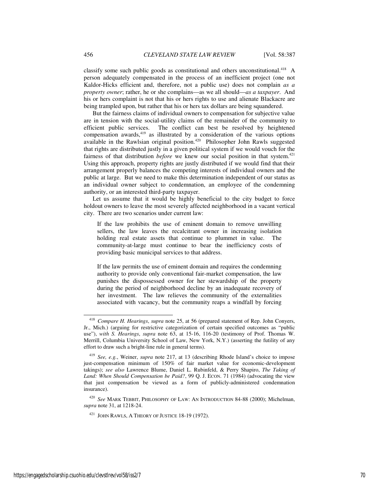classify some such public goods as constitutional and others unconstitutional.<sup>418</sup> A person adequately compensated in the process of an inefficient project (one not Kaldor-Hicks efficient and, therefore, not a public use) does not complain *as a property owner*; rather, he or she complains—as we all should—*as a taxpayer*. And his or hers complaint is not that his or hers rights to use and alienate Blackacre are being trampled upon, but rather that his or hers tax dollars are being squandered.

But the fairness claims of individual owners to compensation for subjective value are in tension with the social-utility claims of the remainder of the community to efficient public services. The conflict can best be resolved by heightened compensation awards,<sup>419</sup> as illustrated by a consideration of the various options available in the Rawlsian original position.<sup>420</sup> Philosopher John Rawls suggested that rights are distributed justly in a given political system if we would vouch for the fairness of that distribution *before* we knew our social position in that system.<sup>421</sup> Using this approach, property rights are justly distributed if we would find that their arrangement properly balances the competing interests of individual owners and the public at large. But we need to make this determination independent of our status as an individual owner subject to condemnation, an employee of the condemning authority, or an interested third-party taxpayer.

Let us assume that it would be highly beneficial to the city budget to force holdout owners to leave the most severely affected neighborhood in a vacant vertical city. There are two scenarios under current law:

If the law prohibits the use of eminent domain to remove unwilling sellers, the law leaves the recalcitrant owner in increasing isolation holding real estate assets that continue to plummet in value. The community-at-large must continue to bear the inefficiency costs of providing basic municipal services to that address.

If the law permits the use of eminent domain and requires the condemning authority to provide only conventional fair-market compensation, the law punishes the dispossessed owner for her stewardship of the property during the period of neighborhood decline by an inadequate recovery of her investment. The law relieves the community of the externalities associated with vacancy, but the community reaps a windfall by forcing

<sup>418</sup> *Compare H. Hearings*, *supra* note 25, at 56 (prepared statement of Rep. John Conyers, Jr., Mich.) (arguing for restrictive categorization of certain specified outcomes as "public use"), *with S. Hearings*, *supra* note 63, at 15-16, 116-20 (testimony of Prof. Thomas W. Merrill, Columbia University School of Law, New York, N.Y.) (asserting the futility of any effort to draw such a bright-line rule in general terms).

<sup>419</sup> *See, e.g.*, Weiner, *supra* note 217, at 13 (describing Rhode Island's choice to impose just-compensation minimum of 150% of fair market value for economic-development takings); *see also* Lawrence Blume, Daniel L. Rubinfeld, & Perry Shapiro, *The Taking of Land: When Should Compensation be Paid?*, 99 Q. J. ECON. 71 (1984) (advocating the view that just compensation be viewed as a form of publicly-administered condemnation insurance).

<sup>420</sup> *See* MARK TEBBIT, PHILOSOPHY OF LAW: AN INTRODUCTION 84-88 (2000); Michelman, *supra* note 31, at 1218-24.

<sup>&</sup>lt;sup>421</sup> JOHN RAWLS, A THEORY OF JUSTICE 18-19 (1972).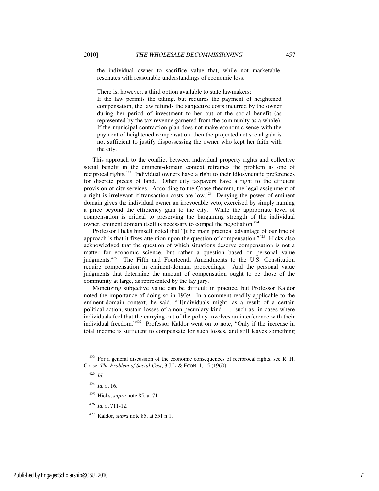the individual owner to sacrifice value that, while not marketable, resonates with reasonable understandings of economic loss.

There is, however, a third option available to state lawmakers:

If the law permits the taking, but requires the payment of heightened compensation, the law refunds the subjective costs incurred by the owner during her period of investment to her out of the social benefit (as represented by the tax revenue garnered from the community as a whole). If the municipal contraction plan does not make economic sense with the payment of heightened compensation, then the projected net social gain is not sufficient to justify dispossessing the owner who kept her faith with the city.

This approach to the conflict between individual property rights and collective social benefit in the eminent-domain context reframes the problem as one of reciprocal rights.<sup>422</sup> Individual owners have a right to their idiosyncratic preferences for discrete pieces of land. Other city taxpayers have a right to the efficient provision of city services. According to the Coase theorem, the legal assignment of a right is irrelevant if transaction costs are low.<sup>423</sup> Denying the power of eminent domain gives the individual owner an irrevocable veto, exercised by simply naming a price beyond the efficiency gain to the city. While the appropriate level of compensation is critical to preserving the bargaining strength of the individual owner, eminent domain itself is necessary to compel the negotiation.<sup>424</sup>

Professor Hicks himself noted that "[t]he main practical advantage of our line of approach is that it fixes attention upon the question of compensation."<sup>425</sup> Hicks also acknowledged that the question of which situations deserve compensation is not a matter for economic science, but rather a question based on personal value judgments.<sup>426</sup> The Fifth and Fourteenth Amendments to the U.S. Constitution require compensation in eminent-domain proceedings. And the personal value judgments that determine the amount of compensation ought to be those of the community at large, as represented by the lay jury.

Monetizing subjective value can be difficult in practice, but Professor Kaldor noted the importance of doing so in 1939. In a comment readily applicable to the eminent-domain context, he said, "[I]ndividuals might, as a result of a certain political action, sustain losses of a non-pecuniary kind . . . [such as] in cases where individuals feel that the carrying out of the policy involves an interference with their individual freedom."<sup>427</sup> Professor Kaldor went on to note, "Only if the increase in total income is sufficient to compensate for such losses, and still leaves something

<sup>&</sup>lt;sup>422</sup> For a general discussion of the economic consequences of reciprocal rights, see R. H. Coase, *The Problem of Social Cost*, 3 J.L. & ECON. 1, 15 (1960).

<sup>423</sup> *Id.*

<sup>424</sup> *Id.* at 16.

<sup>425</sup> Hicks, *supra* note 85, at 711.

<sup>426</sup> *Id.* at 711-12.

<sup>427</sup> Kaldor, *supra* note 85, at 551 n.1.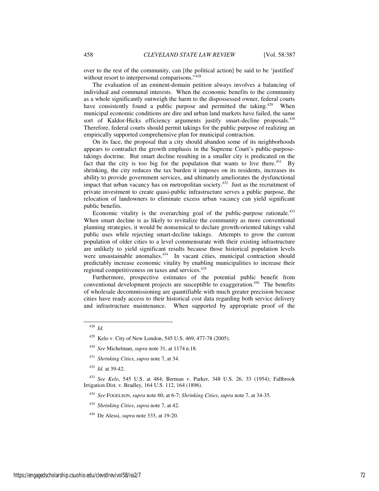over to the rest of the community, can [the political action] be said to be 'justified' without resort to interpersonal comparisons."<sup>428</sup>

The evaluation of an eminent-domain petition always involves a balancing of individual and communal interests. When the economic benefits to the community as a whole significantly outweigh the harm to the dispossessed owner, federal courts have consistently found a public purpose and permitted the taking.<sup>429</sup> When municipal economic conditions are dire and urban land markets have failed, the same sort of Kaldor-Hicks efficiency arguments justify smart-decline proposals.<sup>430</sup> Therefore, federal courts should permit takings for the public purpose of realizing an empirically supported comprehensive plan for municipal contraction.

On its face, the proposal that a city should abandon some of its neighborhoods appears to contradict the growth emphasis in the Supreme Court's public-purposetakings doctrine. But smart decline resulting in a smaller city is predicated on the fact that the city is too big for the population that wants to live there.<sup>431</sup> By shrinking, the city reduces the tax burden it imposes on its residents, increases its ability to provide government services, and ultimately ameliorates the dysfunctional impact that urban vacancy has on metropolitan society.<sup>432</sup> Just as the recruitment of private investment to create quasi-public infrastructure serves a public purpose, the relocation of landowners to eliminate excess urban vacancy can yield significant public benefits.

Economic vitality is the overarching goal of the public-purpose rationale. $433$ When smart decline is as likely to revitalize the community as more conventional planning strategies, it would be nonsensical to declare growth-oriented takings valid public uses while rejecting smart-decline takings. Attempts to grow the current population of older cities to a level commensurate with their existing infrastructure are unlikely to yield significant results because those historical population levels were unsustainable anomalies.<sup>434</sup> In vacant cities, municipal contraction should predictably increase economic vitality by enabling municipalities to increase their regional competitiveness on taxes and services.<sup>435</sup>

Furthermore, prospective estimates of the potential public benefit from conventional development projects are susceptible to exaggeration.<sup>436</sup> The benefits of wholesale decommissioning are quantifiable with much greater precision because cities have ready access to their historical cost data regarding both service delivery and infrastructure maintenance. When supported by appropriate proof of the

-

<sup>432</sup> *Id.* at 39-42.

<sup>428</sup> *Id.* 

<sup>429</sup> Kelo v. City of New London, 545 U.S. 469, 477-78 (2005).

<sup>430</sup> *See* Michelman, *supra* note 31, at 1174 n.18.

<sup>431</sup> *Shrinking Cities*, *supra* note 7, at 34.

<sup>433</sup> *See Kelo*, 545 U.S. at 484; Berman v. Parker, 348 U.S. 26, 33 (1954); Fallbrook Irrigation Dist. v. Bradley, 164 U.S. 112, 164 (1896).

<sup>434</sup> *See* FOGELSON, *supra* note 60, at 6-7; *Shrinking Cities*, *supra* note 7, at 34-35.

<sup>435</sup> *Shrinking Cities*, *supra* note 7, at 42.

<sup>436</sup> De Alessi, *supra* note 333, at 19-20.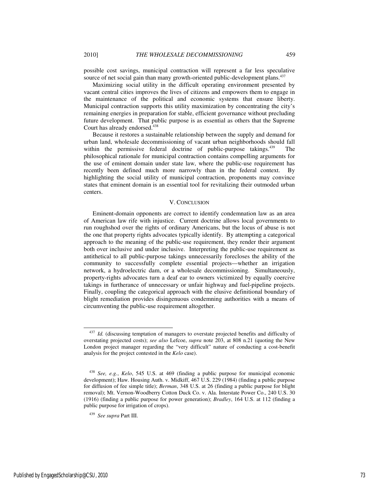possible cost savings, municipal contraction will represent a far less speculative

source of net social gain than many growth-oriented public-development plans.<sup>437</sup> Maximizing social utility in the difficult operating environment presented by vacant central cities improves the lives of citizens and empowers them to engage in the maintenance of the political and economic systems that ensure liberty. Municipal contraction supports this utility maximization by concentrating the city's remaining energies in preparation for stable, efficient governance without precluding future development. That public purpose is as essential as others that the Supreme Court has already endorsed.<sup>438</sup>

Because it restores a sustainable relationship between the supply and demand for urban land, wholesale decommissioning of vacant urban neighborhoods should fall within the permissive federal doctrine of public-purpose takings.<sup>439</sup> The philosophical rationale for municipal contraction contains compelling arguments for the use of eminent domain under state law, where the public-use requirement has recently been defined much more narrowly than in the federal context. By highlighting the social utility of municipal contraction, proponents may convince states that eminent domain is an essential tool for revitalizing their outmoded urban centers.

## V. CONCLUSION

Eminent-domain opponents are correct to identify condemnation law as an area of American law rife with injustice. Current doctrine allows local governments to run roughshod over the rights of ordinary Americans, but the locus of abuse is not the one that property rights advocates typically identify. By attempting a categorical approach to the meaning of the public-use requirement, they render their argument both over inclusive and under inclusive. Interpreting the public-use requirement as antithetical to all public-purpose takings unnecessarily forecloses the ability of the community to successfully complete essential projects—whether an irrigation network, a hydroelectric dam, or a wholesale decommissioning. Simultaneously, property-rights advocates turn a deaf ear to owners victimized by equally coercive takings in furtherance of unnecessary or unfair highway and fuel-pipeline projects. Finally, coupling the categorical approach with the elusive definitional boundary of blight remediation provides disingenuous condemning authorities with a means of circumventing the public-use requirement altogether.

-

<sup>&</sup>lt;sup>437</sup> *Id.* (discussing temptation of managers to overstate projected benefits and difficulty of overstating projected costs); *see also* Lefcoe, *supra* note 203, at 808 n.21 (quoting the New London project manager regarding the "very difficult" nature of conducting a cost-benefit analysis for the project contested in the *Kelo* case).

<sup>438</sup> *See, e.g.*, *Kelo*, 545 U.S. at 469 (finding a public purpose for municipal economic development); Haw. Housing Auth. v. Midkiff, 467 U.S. 229 (1984) (finding a public purpose for diffusion of fee simple title); *Berman*, 348 U.S. at 26 (finding a public purpose for blight removal); Mt. Vernon-Woodberry Cotton Duck Co. v. Ala. Interstate Power Co., 240 U.S. 30 (1916) (finding a public purpose for power generation); *Bradley*, 164 U.S. at 112 (finding a public purpose for irrigation of crops).

<sup>439</sup> *See supra* Part III.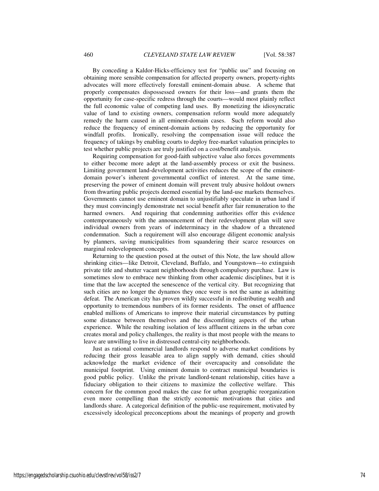By conceding a Kaldor-Hicks-efficiency test for "public use" and focusing on obtaining more sensible compensation for affected property owners, property-rights advocates will more effectively forestall eminent-domain abuse. A scheme that properly compensates dispossessed owners for their loss—and grants them the opportunity for case-specific redress through the courts—would most plainly reflect the full economic value of competing land uses. By monetizing the idiosyncratic value of land to existing owners, compensation reform would more adequately remedy the harm caused in all eminent-domain cases. Such reform would also reduce the frequency of eminent-domain actions by reducing the opportunity for windfall profits. Ironically, resolving the compensation issue will reduce the frequency of takings by enabling courts to deploy free-market valuation principles to test whether public projects are truly justified on a cost/benefit analysis.

Requiring compensation for good-faith subjective value also forces governments to either become more adept at the land-assembly process or exit the business. Limiting government land-development activities reduces the scope of the eminentdomain power's inherent governmental conflict of interest. At the same time, preserving the power of eminent domain will prevent truly abusive holdout owners from thwarting public projects deemed essential by the land-use markets themselves. Governments cannot use eminent domain to unjustifiably speculate in urban land if they must convincingly demonstrate net social benefit after fair remuneration to the harmed owners. And requiring that condemning authorities offer this evidence contemporaneously with the announcement of their redevelopment plan will save individual owners from years of indeterminacy in the shadow of a threatened condemnation. Such a requirement will also encourage diligent economic analysis by planners, saving municipalities from squandering their scarce resources on marginal redevelopment concepts.

Returning to the question posed at the outset of this Note, the law should allow shrinking cities—like Detroit, Cleveland, Buffalo, and Youngstown—to extinguish private title and shutter vacant neighborhoods through compulsory purchase. Law is sometimes slow to embrace new thinking from other academic disciplines, but it is time that the law accepted the senescence of the vertical city. But recognizing that such cities are no longer the dynamos they once were is not the same as admitting defeat. The American city has proven wildly successful in redistributing wealth and opportunity to tremendous numbers of its former residents. The onset of affluence enabled millions of Americans to improve their material circumstances by putting some distance between themselves and the discomfiting aspects of the urban experience. While the resulting isolation of less affluent citizens in the urban core creates moral and policy challenges, the reality is that most people with the means to leave are unwilling to live in distressed central-city neighborhoods.

Just as rational commercial landlords respond to adverse market conditions by reducing their gross leasable area to align supply with demand, cities should acknowledge the market evidence of their overcapacity and consolidate the municipal footprint. Using eminent domain to contract municipal boundaries is good public policy. Unlike the private landlord-tenant relationship, cities have a fiduciary obligation to their citizens to maximize the collective welfare. This concern for the common good makes the case for urban geographic reorganization even more compelling than the strictly economic motivations that cities and landlords share. A categorical definition of the public-use requirement, motivated by excessively ideological preconceptions about the meanings of property and growth